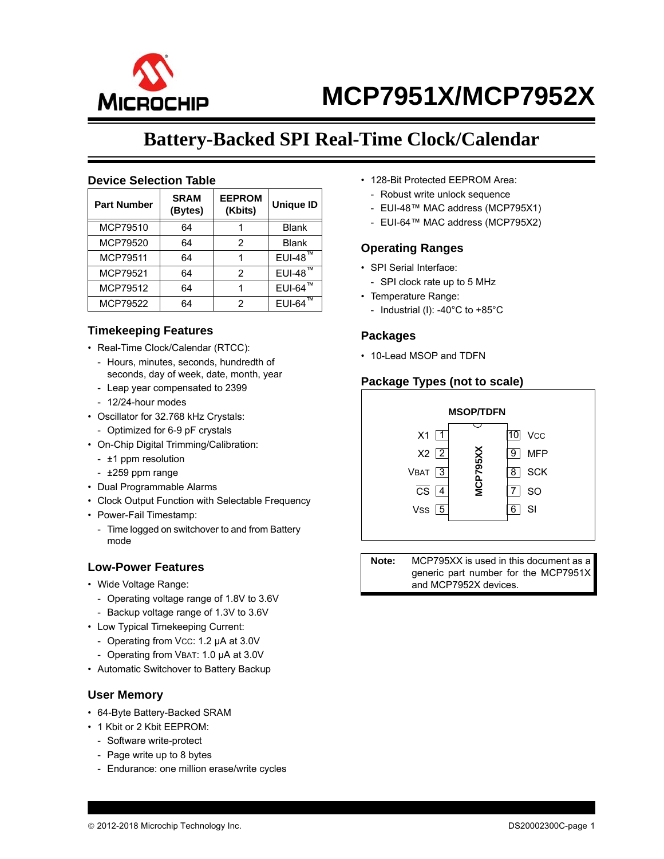

## **Battery-Backed SPI Real-Time Clock/Calendar**

#### **Device Selection Table**

| <b>Part Number</b> | <b>SRAM</b><br>(Bytes) | <b>EEPROM</b><br>(Kbits) | <b>Unique ID</b> |
|--------------------|------------------------|--------------------------|------------------|
| MCP79510           | 64                     |                          | <b>Blank</b>     |
| MCP79520           | 64                     | 2                        | <b>Blank</b>     |
| <b>MCP79511</b>    | 64                     |                          | $EUI-48$ ™       |
| <b>MCP79521</b>    | 64                     | 2                        | $EUI-48™$        |
| MCP79512           | 64                     |                          | <b>EUI-64</b>    |
| MCP79522           | 64                     | 2                        | <b>EUI-64</b>    |

#### **Timekeeping Features**

- Real-Time Clock/Calendar (RTCC):
	- Hours, minutes, seconds, hundredth of seconds, day of week, date, month, year
	- Leap year compensated to 2399
	- 12/24-hour modes
- Oscillator for 32.768 kHz Crystals:
	- Optimized for 6-9 pF crystals
- On-Chip Digital Trimming/Calibration:
	- ±1 ppm resolution
	- ±259 ppm range
- Dual Programmable Alarms
- Clock Output Function with Selectable Frequency
- Power-Fail Timestamp:
- Time logged on switchover to and from Battery mode

#### **Low-Power Features**

- Wide Voltage Range:
	- Operating voltage range of 1.8V to 3.6V
	- Backup voltage range of 1.3V to 3.6V
- Low Typical Timekeeping Current:
- Operating from VCC: 1.2 µA at 3.0V
- Operating from VBAT: 1.0 µA at 3.0V
- Automatic Switchover to Battery Backup

#### **User Memory**

- 64-Byte Battery-Backed SRAM
- 1 Kbit or 2 Kbit EEPROM:
	- Software write-protect
	- Page write up to 8 bytes
	- Endurance: one million erase/write cycles
- 128-Bit Protected EEPROM Area:
- Robust write unlock sequence
- EUI-48™ MAC address (MCP795X1)
- EUI-64™ MAC address (MCP795X2)

#### **Operating Ranges**

- SPI Serial Interface:
	- SPI clock rate up to 5 MHz
- Temperature Range:
	- Industrial (I): -40°C to +85°C

#### **Packages**

• 10-Lead MSOP and TDFN

#### **Package Types (not to scale)**



**Note:** MCP795XX is used in this document as a generic part number for the MCP7951X and MCP7952X devices.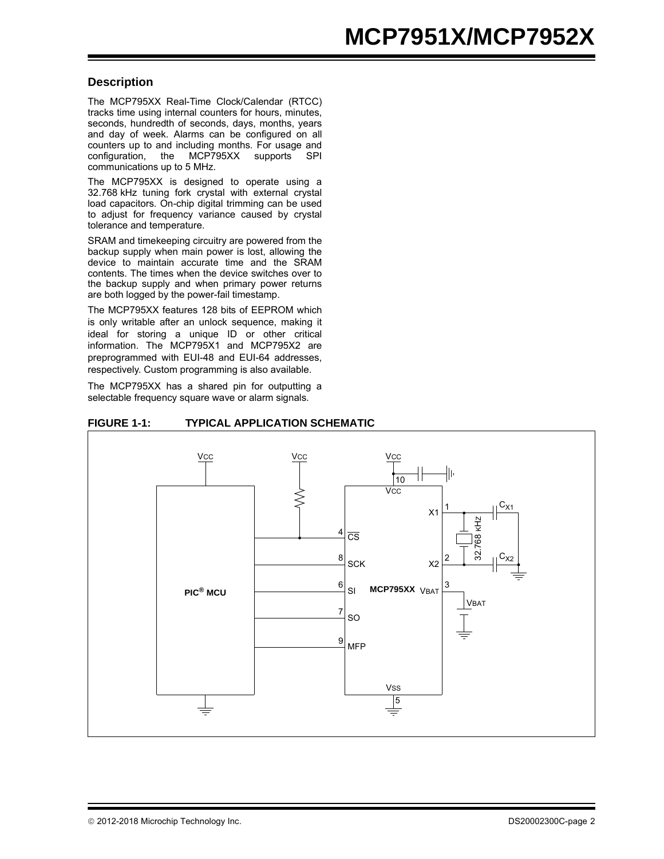#### **Description**

The MCP795XX Real-Time Clock/Calendar (RTCC) tracks time using internal counters for hours, minutes, seconds, hundredth of seconds, days, months, years and day of week. Alarms can be configured on all counters up to and including months. For usage and configuration, the MCP795XX supports SPI communications up to 5 MHz.

The MCP795XX is designed to operate using a 32.768 kHz tuning fork crystal with external crystal load capacitors. On-chip digital trimming can be used to adjust for frequency variance caused by crystal tolerance and temperature.

SRAM and timekeeping circuitry are powered from the backup supply when main power is lost, allowing the device to maintain accurate time and the SRAM contents. The times when the device switches over to the backup supply and when primary power returns are both logged by the power-fail timestamp.

The MCP795XX features 128 bits of EEPROM which is only writable after an unlock sequence, making it ideal for storing a unique ID or other critical information. The MCP795X1 and MCP795X2 are preprogrammed with EUI-48 and EUI-64 addresses, respectively. Custom programming is also available.

The MCP795XX has a shared pin for outputting a selectable frequency square wave or alarm signals.



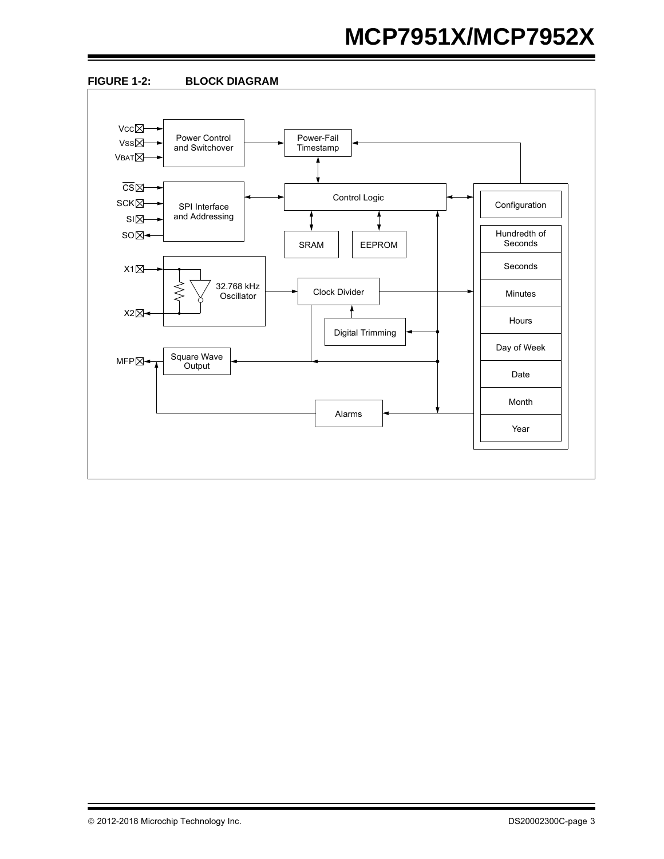# **MCP7951X/MCP7952X**

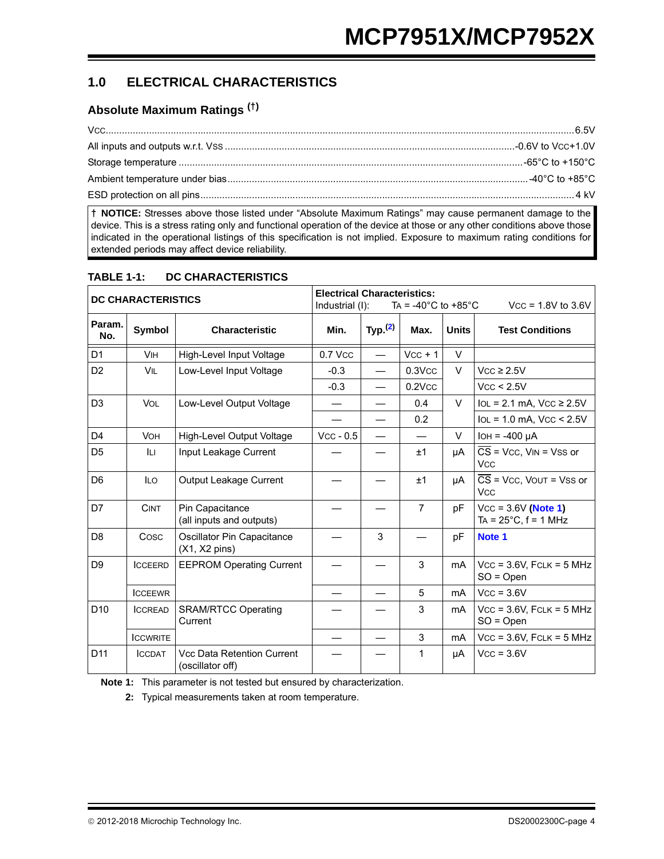## **1.0 ELECTRICAL CHARACTERISTICS**

### **Absolute Maximum Ratings (†)**

**† NOTICE:** Stresses above those listed under "Absolute Maximum Ratings" may cause permanent damage to the device. This is a stress rating only and functional operation of the device at those or any other conditions above those indicated in the operational listings of this specification is not implied. Exposure to maximum rating conditions for extended periods may affect device reliability.

| <b>DC CHARACTERISTICS</b> |                 | <b>Electrical Characteristics:</b><br>Industrial (I): |             | TA = $-40^{\circ}$ C to $+85^{\circ}$ C |                | $Vcc = 1.8V$ to 3.6V |                                                                          |
|---------------------------|-----------------|-------------------------------------------------------|-------------|-----------------------------------------|----------------|----------------------|--------------------------------------------------------------------------|
| Param.<br>No.             | Symbol          | <b>Characteristic</b>                                 | Min.        | Typ. $(2)$                              | Max.           | <b>Units</b>         | <b>Test Conditions</b>                                                   |
| D <sub>1</sub>            | <b>VIH</b>      | High-Level Input Voltage                              | 0.7 Vcc     | $\overline{\phantom{0}}$                | $Vcc + 1$      | V                    |                                                                          |
| D <sub>2</sub>            | VIL             | Low-Level Input Voltage                               | $-0.3$      | $\overline{\phantom{0}}$                | $0.3$ V $cc$   | V                    | $Vcc \geq 2.5V$                                                          |
|                           |                 |                                                       | $-0.3$      | $\overline{\phantom{0}}$                | $0.2$ V $cc$   |                      | Vcc < 2.5V                                                               |
| D <sub>3</sub>            | <b>VOL</b>      | Low-Level Output Voltage                              |             |                                         | 0.4            | $\vee$               | $IoL = 2.1$ mA, $VCC \ge 2.5V$                                           |
|                           |                 |                                                       |             |                                         | 0.2            |                      | $IoL = 1.0$ mA, $VCC < 2.5V$                                             |
| D <sub>4</sub>            | <b>VOH</b>      | <b>High-Level Output Voltage</b>                      | $Vcc - 0.5$ |                                         |                | $\vee$               | $IOH = -400 \mu A$                                                       |
| D <sub>5</sub>            | Iц              | Input Leakage Current                                 |             |                                         | ±1             | μA                   | $\overline{CS}$ = Vcc, V <sub>IN</sub> = Vss or<br><b>V<sub>CC</sub></b> |
| D <sub>6</sub>            | <b>ILO</b>      | Output Leakage Current                                |             |                                         | ±1             | μA                   | $CS = Vcc$ , VOUT = VSS or<br><b>V<sub>CC</sub></b>                      |
| D7                        | <b>CINT</b>     | Pin Capacitance<br>(all inputs and outputs)           |             |                                         | $\overline{7}$ | pF                   | $Vcc = 3.6V$ (Note 1)<br>TA = $25^{\circ}$ C, f = 1 MHz                  |
| D <sub>8</sub>            | Cosc            | Oscillator Pin Capacitance<br>$(X1, X2 \text{ pins})$ |             | 3                                       |                | рF                   | Note 1                                                                   |
| D <sub>9</sub>            | <b>ICCEERD</b>  | <b>EEPROM Operating Current</b>                       |             |                                         | 3              | mA                   | $Vcc = 3.6V$ , FCLK = 5 MHz<br>$SO = Open$                               |
|                           | <b>ICCEEWR</b>  |                                                       |             |                                         | 5              | mA                   | $Vcc = 3.6V$                                                             |
| D <sub>10</sub>           | <b>ICCREAD</b>  | <b>SRAM/RTCC Operating</b><br>Current                 |             |                                         | 3              | mA                   | $Vcc = 3.6V$ , FCLK = 5 MHz<br>$SO = Open$                               |
|                           | <b>ICCWRITE</b> |                                                       |             |                                         | 3              | mA                   | $Vcc = 3.6V$ , FCLK = 5 MHz                                              |
| D <sub>11</sub>           | <b>ICCDAT</b>   | Vcc Data Retention Current<br>(oscillator off)        |             |                                         | 1              | μA                   | $Vcc = 3.6V$                                                             |

#### **TABLE 1-1: DC CHARACTERISTICS**

<span id="page-3-1"></span><span id="page-3-0"></span>**Note 1:** This parameter is not tested but ensured by characterization.

**2:** Typical measurements taken at room temperature.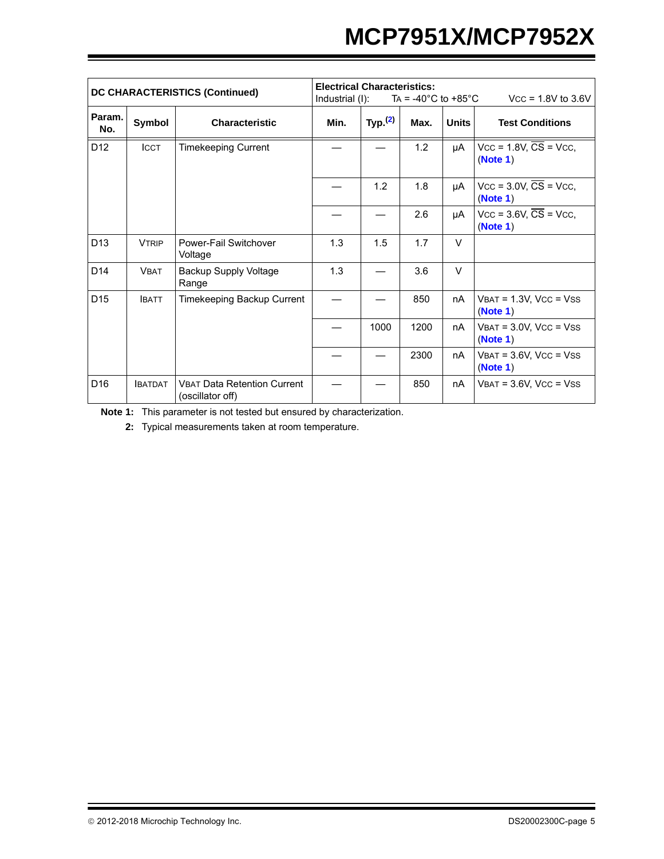# **MCP7951X/MCP7952X**

| <b>DC CHARACTERISTICS (Continued)</b> |               | <b>Electrical Characteristics:</b><br>$Vcc = 1.8V$ to 3.6V<br>Industrial (I):<br>TA = -40 $^{\circ}$ C to +85 $^{\circ}$ C |      |            |      |              |                                                    |
|---------------------------------------|---------------|----------------------------------------------------------------------------------------------------------------------------|------|------------|------|--------------|----------------------------------------------------|
| Param.<br>No.                         | Symbol        | <b>Characteristic</b>                                                                                                      | Min. | Typ. $(2)$ | Max. | <b>Units</b> | <b>Test Conditions</b>                             |
| D <sub>12</sub>                       | <b>ICCT</b>   | <b>Timekeeping Current</b>                                                                                                 |      |            | 1.2  | μA           | $Vcc = 1.8V$ , $\overline{CS} = Vcc$ ,<br>(Note 1) |
|                                       |               |                                                                                                                            |      | 1.2        | 1.8  | μA           | $Vcc = 3.0V$ , $\overline{CS} = Vcc$ ,<br>(Note 1) |
|                                       |               |                                                                                                                            |      |            | 2.6  | μA           | $Vcc = 3.6V$ , $\overline{CS} = Vcc$ ,<br>(Note 1) |
| D <sub>13</sub>                       | <b>VTRIP</b>  | Power-Fail Switchover<br>Voltage                                                                                           | 1.3  | 1.5        | 1.7  | $\vee$       |                                                    |
| D <sub>14</sub>                       | <b>VBAT</b>   | <b>Backup Supply Voltage</b><br>Range                                                                                      | 1.3  |            | 3.6  | $\vee$       |                                                    |
| D <sub>15</sub>                       | <b>IBATT</b>  | Timekeeping Backup Current                                                                                                 |      |            | 850  | nA           | $V$ BAT = 1.3V, VCC = VSS<br>(Note 1)              |
|                                       |               |                                                                                                                            |      | 1000       | 1200 | nA           | $V$ BAT = $3.0V$ , VCC = VSS<br>(Note 1)           |
|                                       |               |                                                                                                                            |      |            | 2300 | nA           | $V$ BAT = $3.6V$ , $V$ CC = $V$ SS<br>(Note 1)     |
| D <sub>16</sub>                       | <b>BATDAT</b> | <b>VBAT Data Retention Current</b><br>(oscillator off)                                                                     |      |            | 850  | nA           | $V$ BAT = $3.6V$ , $Vcc = V$ SS                    |

**Note 1:** This parameter is not tested but ensured by characterization.

**2:** Typical measurements taken at room temperature.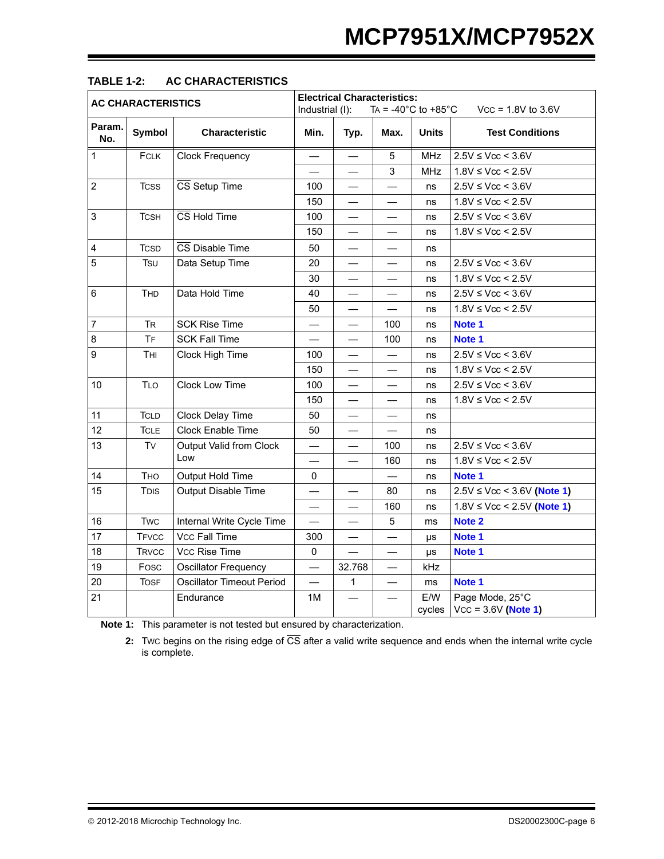|                           |              |                                  | <b>Electrical Characteristics:</b>                         |                          |                          |                      |                                          |  |
|---------------------------|--------------|----------------------------------|------------------------------------------------------------|--------------------------|--------------------------|----------------------|------------------------------------------|--|
| <b>AC CHARACTERISTICS</b> |              |                                  | Industrial (I):<br>TA = $-40^{\circ}$ C to $+85^{\circ}$ C |                          |                          | $Vcc = 1.8V$ to 3.6V |                                          |  |
| Param.<br>No.             | Symbol       | <b>Characteristic</b>            | Min.                                                       | Typ.                     | Max.                     | <b>Units</b>         | <b>Test Conditions</b>                   |  |
| $\mathbf{1}$              | <b>FCLK</b>  | <b>Clock Frequency</b>           |                                                            |                          | $\overline{5}$           | <b>MHz</b>           | $2.5V \leq Vcc < 3.6V$                   |  |
|                           |              |                                  |                                                            |                          | $\sqrt{3}$               | <b>MHz</b>           | $1.8V \leq Vcc \leq 2.5V$                |  |
| $\overline{2}$            | <b>TCSS</b>  | CS Setup Time                    | 100                                                        | $\overline{\phantom{0}}$ |                          | ns                   | $2.5V \leq Vcc < 3.6V$                   |  |
|                           |              |                                  | 150                                                        |                          |                          | ns                   | $1.8V \leq Vcc \leq 2.5V$                |  |
| 3                         | <b>TCSH</b>  | $\overline{\text{CS}}$ Hold Time | 100                                                        |                          |                          | ns                   | $2.5V \leq Vcc \leq 3.6V$                |  |
|                           |              |                                  | 150                                                        |                          |                          | ns                   | $1.8V \leq Vcc < 2.5V$                   |  |
| $\overline{\mathbf{4}}$   | <b>TCSD</b>  | CS Disable Time                  | 50                                                         |                          |                          | ns                   |                                          |  |
| 5                         | Tsu          | Data Setup Time                  | 20                                                         |                          |                          | ns                   | $2.5V \leq Vcc < 3.6V$                   |  |
|                           |              |                                  | 30                                                         |                          |                          | ns                   | $1.8V \leq Vcc \leq 2.5V$                |  |
| 6                         | THD          | Data Hold Time                   | 40                                                         |                          |                          | ns                   | $2.5V \leq Vcc \leq 3.6V$                |  |
|                           |              |                                  | 50                                                         |                          |                          | ns                   | $1.8V \leq Vcc \leq 2.5V$                |  |
| $\overline{7}$            | <b>TR</b>    | <b>SCK Rise Time</b>             |                                                            |                          | 100                      | ns                   | Note 1                                   |  |
| 8                         | <b>TF</b>    | <b>SCK Fall Time</b>             |                                                            |                          | 100                      | ns                   | Note 1                                   |  |
| 9                         | Tнı          | Clock High Time                  | 100                                                        |                          |                          | ns                   | $2.5V \leq Vcc < 3.6V$                   |  |
|                           |              |                                  | 150                                                        |                          |                          | ns                   | $1.8V \leq Vcc \leq 2.5V$                |  |
| 10                        | <b>TLO</b>   | <b>Clock Low Time</b>            | 100                                                        | $\qquad \qquad$          |                          | ns                   | $2.5V \leq Vcc < 3.6V$                   |  |
|                           |              |                                  | 150                                                        |                          |                          | ns                   | $1.8V \leq Vcc \leq 2.5V$                |  |
| 11                        | <b>TCLD</b>  | Clock Delay Time                 | 50                                                         |                          |                          | ns                   |                                          |  |
| 12                        | <b>TCLE</b>  | Clock Enable Time                | 50                                                         |                          |                          | ns                   |                                          |  |
| 13                        | Tv           | <b>Output Valid from Clock</b>   |                                                            |                          | 100                      | ns                   | $2.5V \leq Vcc \leq 3.6V$                |  |
|                           |              | Low                              |                                                            |                          | 160                      | ns                   | $1.8V \leq Vcc \leq 2.5V$                |  |
| 14                        | <b>THO</b>   | <b>Output Hold Time</b>          | 0                                                          |                          |                          | ns                   | Note 1                                   |  |
| 15                        | TDIS         | Output Disable Time              |                                                            |                          | 80                       | ns                   | $2.5V \leq Vcc \leq 3.6V$ (Note 1)       |  |
|                           |              |                                  |                                                            |                          | 160                      | ns                   | $1.8V \leq Vcc$ < 2.5V (Note 1)          |  |
| 16                        | <b>Twc</b>   | Internal Write Cycle Time        | $\overline{\phantom{0}}$                                   |                          | $\sqrt{5}$               | ms                   | Note 2                                   |  |
| 17                        | <b>TFVCC</b> | <b>Vcc Fall Time</b>             | 300                                                        | $\equiv$                 | $\overline{\phantom{0}}$ | μs                   | Note 1                                   |  |
| 18                        | <b>TRVCC</b> | Vcc Rise Time                    | $\mathbf 0$                                                |                          |                          | μs                   | Note 1                                   |  |
| 19                        | Fosc         | <b>Oscillator Frequency</b>      |                                                            | 32.768                   |                          | kHz                  |                                          |  |
| 20                        | <b>TOSF</b>  | Oscillator Timeout Period        |                                                            | $\mathbf{1}$             |                          | ms                   | Note 1                                   |  |
| 21                        |              | Endurance                        | 1M                                                         |                          |                          | E/W<br>cycles        | Page Mode, 25°C<br>$VCC = 3.6V (Note 1)$ |  |

### **TABLE 1-2: AC CHARACTERISTICS**

<span id="page-5-1"></span><span id="page-5-0"></span>**Note 1:** This parameter is not tested but ensured by characterization.

**2:** Twc begins on the rising edge of  $\overline{CS}$  after a valid write sequence and ends when the internal write cycle is complete.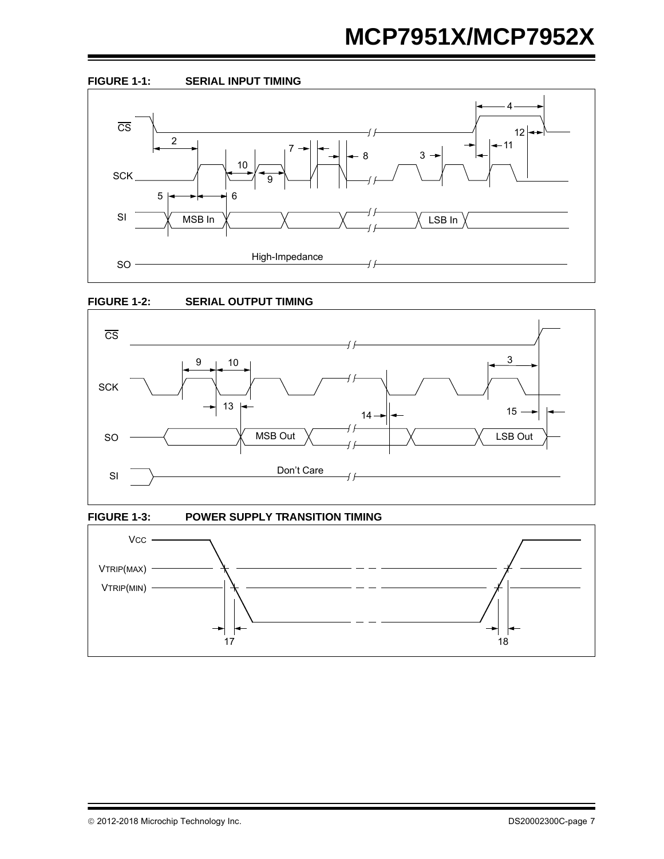# **MCP7951X/MCP7952X**









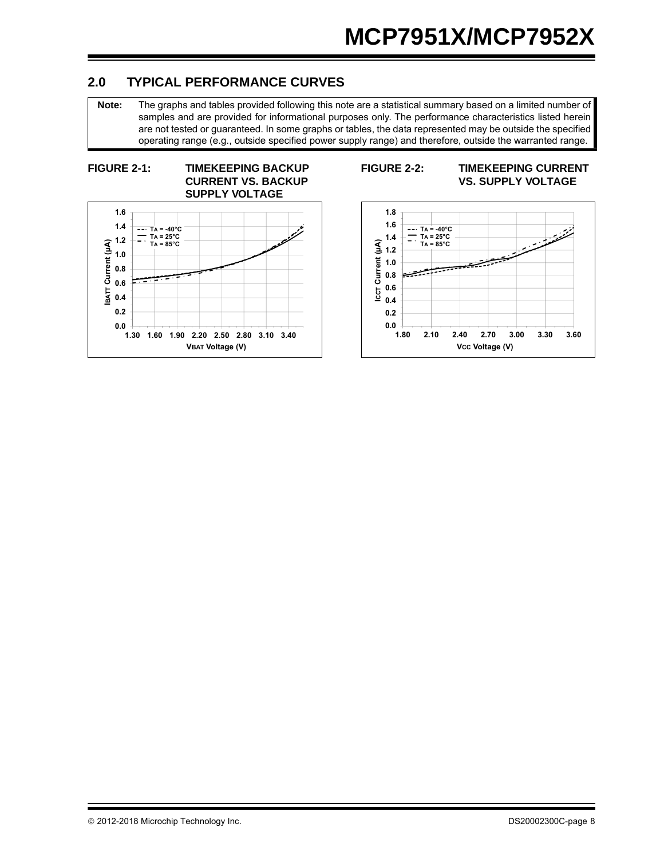### **2.0 TYPICAL PERFORMANCE CURVES**

**Note:** The graphs and tables provided following this note are a statistical summary based on a limited number of samples and are provided for informational purposes only. The performance characteristics listed herein are not tested or guaranteed. In some graphs or tables, the data represented may be outside the specified operating range (e.g., outside specified power supply range) and therefore, outside the warranted range.

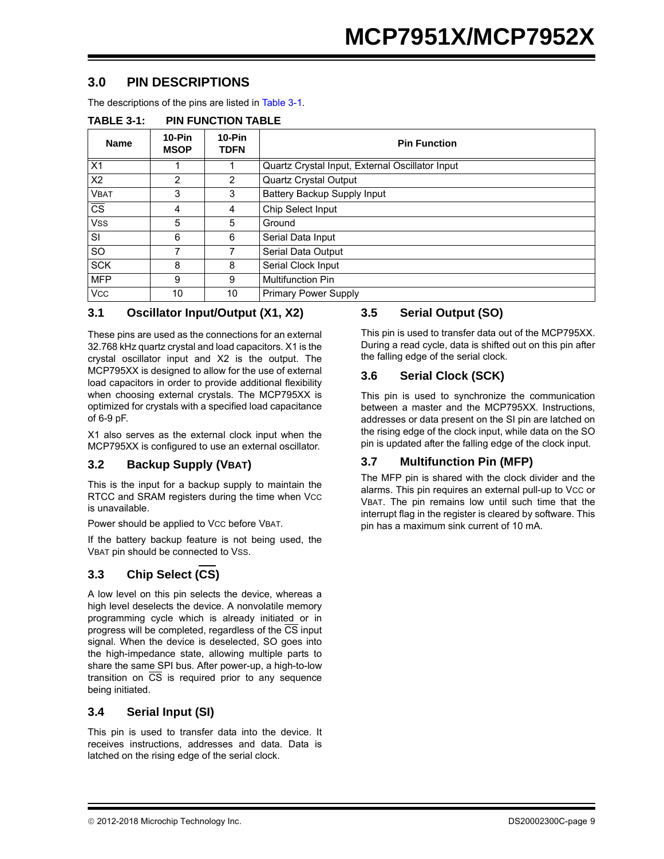### **3.0 PIN DESCRIPTIONS**

The descriptions of the pins are listed in [Table 3-1.](#page-8-0)

|                        | .  . vvv <i></i>        |                         |                                                 |  |  |  |
|------------------------|-------------------------|-------------------------|-------------------------------------------------|--|--|--|
| <b>Name</b>            | $10-Pin$<br><b>MSOP</b> | $10-Pin$<br><b>TDFN</b> | <b>Pin Function</b>                             |  |  |  |
| X1                     |                         |                         | Quartz Crystal Input, External Oscillator Input |  |  |  |
| X <sub>2</sub>         | 2                       | $\overline{2}$          | Quartz Crystal Output                           |  |  |  |
| <b>VBAT</b>            | 3                       | 3                       | Battery Backup Supply Input                     |  |  |  |
| $\overline{\text{cs}}$ | 4                       | 4                       | Chip Select Input                               |  |  |  |
| <b>VSS</b>             | 5                       | 5                       | Ground                                          |  |  |  |
| <b>SI</b>              | 6                       | 6                       | Serial Data Input                               |  |  |  |
| <b>SO</b>              | 7                       |                         | Serial Data Output                              |  |  |  |
| <b>SCK</b>             | 8                       | 8                       | Serial Clock Input                              |  |  |  |
| <b>MFP</b>             | 9                       | 9                       | Multifunction Pin                               |  |  |  |
| <b>VCC</b>             | 10                      | 10                      | <b>Primary Power Supply</b>                     |  |  |  |

#### <span id="page-8-0"></span>**TABLE 3-1: PIN FUNCTION TABLE**

#### **3.1 Oscillator Input/Output (X1, X2)**

These pins are used as the connections for an external 32.768 kHz quartz crystal and load capacitors. X1 is the crystal oscillator input and X2 is the output. The MCP795XX is designed to allow for the use of external load capacitors in order to provide additional flexibility when choosing external crystals. The MCP795XX is optimized for crystals with a specified load capacitance of 6-9 pF.

X1 also serves as the external clock input when the MCP795XX is configured to use an external oscillator.

#### **3.2 Backup Supply (VBAT)**

This is the input for a backup supply to maintain the RTCC and SRAM registers during the time when Vcc is unavailable.

Power should be applied to Vcc before VBAT.

If the battery backup feature is not being used, the VBAT pin should be connected to VSS.

### **3.3 Chip Select (CS)**

A low level on this pin selects the device, whereas a high level deselects the device. A nonvolatile memory programming cycle which is already initiated or in progress will be completed, regardless of the CS input signal. When the device is deselected, SO goes into the high-impedance state, allowing multiple parts to share the same SPI bus. After power-up, a high-to-low transition on  $\overline{CS}$  is required prior to any sequence being initiated.

#### **3.4 Serial Input (SI)**

This pin is used to transfer data into the device. It receives instructions, addresses and data. Data is latched on the rising edge of the serial clock.

#### **3.5 Serial Output (SO)**

This pin is used to transfer data out of the MCP795XX. During a read cycle, data is shifted out on this pin after the falling edge of the serial clock.

#### **3.6 Serial Clock (SCK)**

This pin is used to synchronize the communication between a master and the MCP795XX. Instructions, addresses or data present on the SI pin are latched on the rising edge of the clock input, while data on the SO pin is updated after the falling edge of the clock input.

#### **3.7 Multifunction Pin (MFP)**

The MFP pin is shared with the clock divider and the alarms. This pin requires an external pull-up to Vcc or VBAT. The pin remains low until such time that the interrupt flag in the register is cleared by software. This pin has a maximum sink current of 10 mA.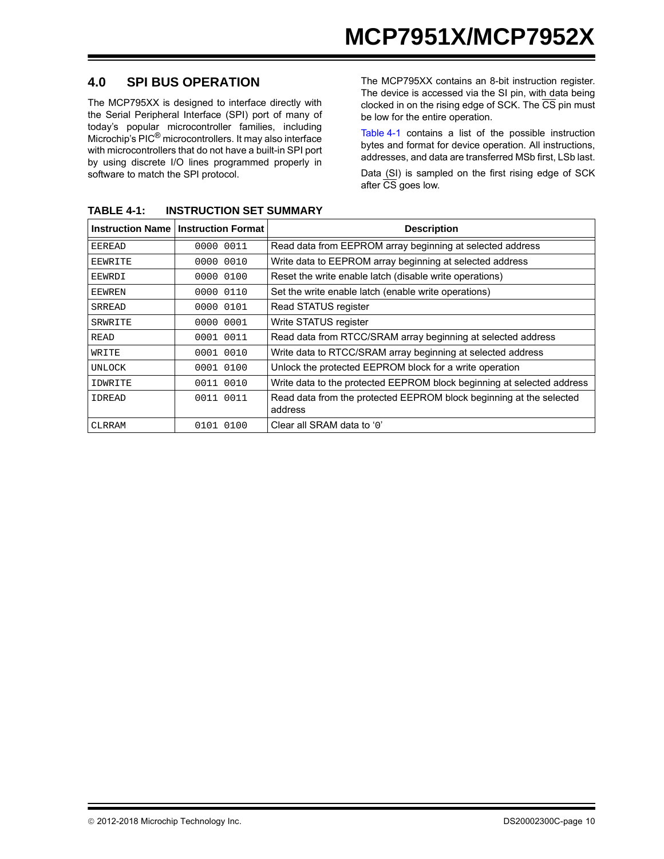### **4.0 SPI BUS OPERATION**

The MCP795XX is designed to interface directly with the Serial Peripheral Interface (SPI) port of many of today's popular microcontroller families, including Microchip's PIC® microcontrollers. It may also interface with microcontrollers that do not have a built-in SPI port by using discrete I/O lines programmed properly in software to match the SPI protocol.

The MCP795XX contains an 8-bit instruction register. The device is accessed via the SI pin, with data being clocked in on the rising edge of SCK. The  $\overline{\text{CS}}$  pin must be low for the entire operation.

[Table 4-1](#page-9-0) contains a list of the possible instruction bytes and format for device operation. All instructions, addresses, and data are transferred MSb first, LSb last.

Data (SI) is sampled on the first rising edge of SCK after  $\overline{\text{CS}}$  goes low.

|                | <b>Instruction Name   Instruction Format</b> | <b>Description</b>                                                     |
|----------------|----------------------------------------------|------------------------------------------------------------------------|
| <b>EEREAD</b>  | 0000 0011                                    | Read data from EEPROM array beginning at selected address              |
| <b>EEWRITE</b> | 0000 0010                                    | Write data to EEPROM array beginning at selected address               |
| EEWRDI         | 0000 0100                                    | Reset the write enable latch (disable write operations)                |
| <b>EEWREN</b>  | 0000 0110                                    | Set the write enable latch (enable write operations)                   |
| <b>SRREAD</b>  | 0000 0101                                    | Read STATUS register                                                   |
| SRWRITE        | 0000 0001                                    | Write STATUS register                                                  |
| <b>READ</b>    | 0001 0011                                    | Read data from RTCC/SRAM array beginning at selected address           |
| WRITE          | 0001 0010                                    | Write data to RTCC/SRAM array beginning at selected address            |
| UNLOCK         | 0001 0100                                    | Unlock the protected EEPROM block for a write operation                |
| IDWRITE        | 0011 0010                                    | Write data to the protected EEPROM block beginning at selected address |
| <b>IDREAD</b>  | 0011 0011                                    | Read data from the protected EEPROM block beginning at the selected    |
|                |                                              | address                                                                |
| CLRRAM         | 0100<br>0101                                 | Clear all SRAM data to '0'                                             |

<span id="page-9-0"></span>**TABLE 4-1: INSTRUCTION SET SUMMARY**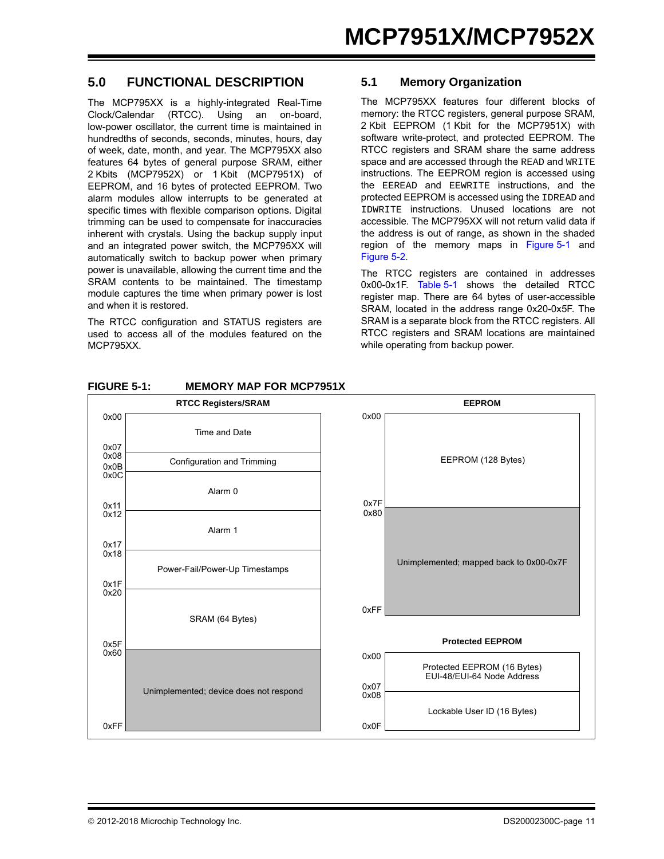#### **5.0 FUNCTIONAL DESCRIPTION**

The MCP795XX is a highly-integrated Real-Time Clock/Calendar (RTCC). Using an on-board, low-power oscillator, the current time is maintained in hundredths of seconds, seconds, minutes, hours, day of week, date, month, and year. The MCP795XX also features 64 bytes of general purpose SRAM, either 2 Kbits (MCP7952X) or 1 Kbit (MCP7951X) of EEPROM, and 16 bytes of protected EEPROM. Two alarm modules allow interrupts to be generated at specific times with flexible comparison options. Digital trimming can be used to compensate for inaccuracies inherent with crystals. Using the backup supply input and an integrated power switch, the MCP795XX will automatically switch to backup power when primary power is unavailable, allowing the current time and the SRAM contents to be maintained. The timestamp module captures the time when primary power is lost and when it is restored.

The RTCC configuration and STATUS registers are used to access all of the modules featured on the MCP795XX.

#### **5.1 Memory Organization**

The MCP795XX features four different blocks of memory: the RTCC registers, general purpose SRAM, 2 Kbit EEPROM (1 Kbit for the MCP7951X) with software write-protect, and protected EEPROM. The RTCC registers and SRAM share the same address space and are accessed through the READ and WRITE instructions. The EEPROM region is accessed using the EEREAD and EEWRITE instructions, and the protected EEPROM is accessed using the IDREAD and IDWRITE instructions. Unused locations are not accessible. The MCP795XX will not return valid data if the address is out of range, as shown in the shaded region of the memory maps in [Figure 5-1](#page-10-0) and [Figure 5-2.](#page-11-0)

The RTCC registers are contained in addresses 0x00-0x1F. [Table 5-1](#page-12-0) shows the detailed RTCC register map. There are 64 bytes of user-accessible SRAM, located in the address range 0x20-0x5F. The SRAM is a separate block from the RTCC registers. All RTCC registers and SRAM locations are maintained while operating from backup power.



#### <span id="page-10-0"></span>**FIGURE 5-1: MEMORY MAP FOR MCP7951X**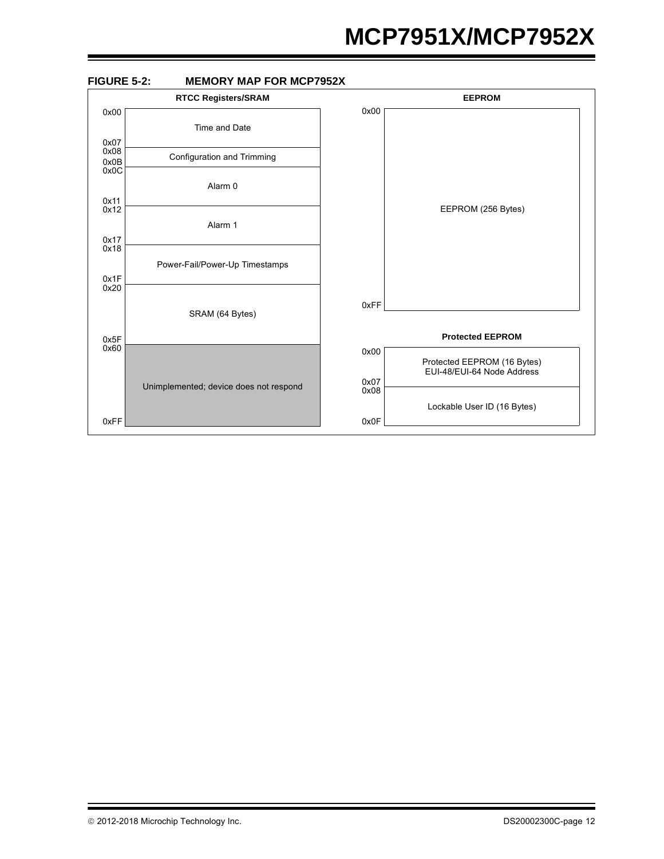# **MCP7951X/MCP7952X**

<span id="page-11-0"></span>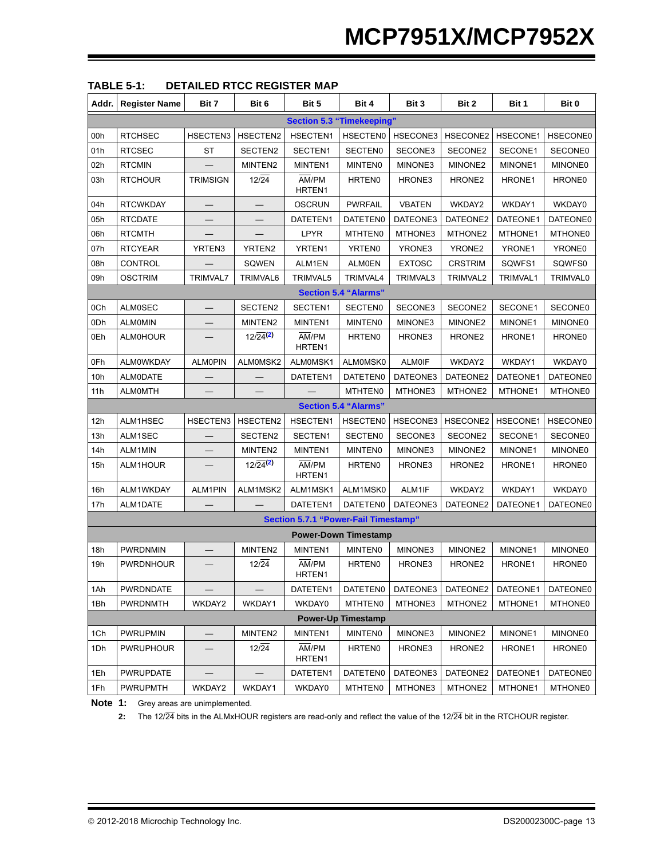| Addr. | <b>Register Name</b> | Bit 7           | Bit 6                        | Bit 5                                       | Bit 4                       | Bit 3         | Bit 2              | Bit 1    | Bit 0           |
|-------|----------------------|-----------------|------------------------------|---------------------------------------------|-----------------------------|---------------|--------------------|----------|-----------------|
|       |                      |                 |                              | <b>Section 5.3 "Timekeeping"</b>            |                             |               |                    |          |                 |
| 00h   | <b>RTCHSEC</b>       | HSECTEN3        | HSECTEN2                     | HSECTEN1                                    | <b>HSECTEN0</b>             | HSECONE3      | HSECONE2           | HSECONE1 | <b>HSECONE0</b> |
| 01h   | <b>RTCSEC</b>        | ST              | SECTEN2                      | SECTEN1                                     | <b>SECTENO</b>              | SECONE3       | SECONE2            | SECONE1  | SECONE0         |
| 02h   | <b>RTCMIN</b>        |                 | MINTEN2                      | MINTEN1                                     | <b>MINTENO</b>              | MINONE3       | MINONE2            | MINONE1  | <b>MINONE0</b>  |
| 03h   | <b>RTCHOUR</b>       | <b>TRIMSIGN</b> | $12\sqrt{24}$                | AM/PM<br>HRTEN1                             | HRTEN <sub>0</sub>          | HRONE3        | HRONE <sub>2</sub> | HRONE1   | HRONE0          |
| 04h   | <b>RTCWKDAY</b>      |                 |                              | <b>OSCRUN</b>                               | <b>PWRFAIL</b>              | <b>VBATEN</b> | WKDAY2             | WKDAY1   | WKDAY0          |
| 05h   | <b>RTCDATE</b>       |                 |                              | DATETEN1                                    | DATETEN0                    | DATEONE3      | DATEONE2           | DATEONE1 | DATEONE0        |
| 06h   | <b>RTCMTH</b>        |                 |                              | LPYR                                        | MTHTEN0                     | MTHONE3       | MTHONE2            | MTHONE1  | MTHONE0         |
| 07h   | <b>RTCYEAR</b>       | YRTEN3          | YRTEN2                       | YRTEN1                                      | YRTEN0                      | YRONE3        | YRONE <sub>2</sub> | YRONE1   | YRONE0          |
| 08h   | <b>CONTROL</b>       |                 | SQWEN                        | ALM1EN                                      | <b>ALM0EN</b>               | <b>EXTOSC</b> | <b>CRSTRIM</b>     | SQWFS1   | SQWFS0          |
| 09h   | <b>OSCTRIM</b>       | <b>TRIMVAL7</b> | TRIMVAL6                     | <b>TRIMVAL5</b>                             | TRIMVAL4                    | TRIMVAL3      | TRIMVAL2           | TRIMVAL1 | TRIMVAL0        |
|       |                      |                 |                              |                                             | <b>Section 5.4 "Alarms"</b> |               |                    |          |                 |
| 0Ch   | <b>ALM0SEC</b>       |                 | SECTEN2                      | SECTEN1                                     | <b>SECTEN0</b>              | SECONE3       | SECONE2            | SECONE1  | <b>SECONE0</b>  |
| 0Dh   | <b>ALMOMIN</b>       |                 | MINTEN2                      | MINTEN1                                     | <b>MINTENO</b>              | MINONE3       | MINONE2            | MINONE1  | <b>MINONE0</b>  |
| 0Eh   | <b>ALMOHOUR</b>      |                 | $12\sqrt{24}$ <sup>(2)</sup> | AM/PM<br>HRTEN1                             | <b>HRTEN0</b>               | HRONE3        | HRONE <sub>2</sub> | HRONE1   | HRONE0          |
| 0Fh   | <b>ALMOWKDAY</b>     | <b>ALMOPIN</b>  | ALM0MSK2                     | ALMOMSK1                                    | ALM0MSK0                    | <b>ALM0IF</b> | WKDAY2             | WKDAY1   | WKDAY0          |
| 10h   | <b>ALMODATE</b>      |                 |                              | DATETEN1                                    | DATETEN0                    | DATEONE3      | DATEONE2           | DATEONE1 | DATEONE0        |
| 11h   | <b>ALMOMTH</b>       |                 |                              |                                             | <b>MTHTEN0</b>              | MTHONE3       | MTHONE2            | MTHONE1  | MTHONE0         |
|       |                      |                 |                              |                                             | <b>Section 5.4 "Alarms"</b> |               |                    |          |                 |
| 12h   | ALM1HSEC             | HSECTEN3        | HSECTEN2                     | HSECTEN1                                    | <b>HSECTEN0</b>             | HSECONE3      | HSECONE2           | HSECONE1 | <b>HSECONE0</b> |
| 13h   | ALM1SEC              |                 | SECTEN2                      | SECTEN1                                     | <b>SECTEN0</b>              | SECONE3       | SECONE2            | SECONE1  | SECONE0         |
| 14h   | ALM1MIN              |                 | MINTEN2                      | MINTEN1                                     | <b>MINTENO</b>              | MINONE3       | MINONE2            | MINONE1  | <b>MINONE0</b>  |
| 15h   | ALM1HOUR             |                 | $12/24^{(2)}$                | AM/PM<br>HRTEN1                             | <b>HRTEN0</b>               | HRONE3        | HRONE <sub>2</sub> | HRONE1   | HRONE0          |
| 16h   | ALM1WKDAY            | ALM1PIN         | ALM1MSK2                     | ALM1MSK1                                    | ALM1MSK0                    | ALM1IF        | WKDAY2             | WKDAY1   | WKDAY0          |
| 17h   | ALM1DATE             |                 |                              | DATETEN1                                    | DATETEN0                    | DATEONE3      | DATEONE2           | DATEONE1 | DATEONE0        |
|       |                      |                 |                              | <b>Section 5.7.1 "Power-Fail Timestamp"</b> |                             |               |                    |          |                 |
|       |                      |                 |                              |                                             | <b>Power-Down Timestamp</b> |               |                    |          |                 |
| 18h   | <b>PWRDNMIN</b>      |                 | MINTEN2                      | MINTEN1                                     | <b>MINTEN0</b>              | MINONE3       | MINONE2            | MINONE1  | <b>MINONE0</b>  |
| 19h   | <b>PWRDNHOUR</b>     |                 | 12/24                        | AM/PM<br>HRTEN1                             | HRTEN <sub>0</sub>          | HRONE3        | HRONE <sub>2</sub> | HRONE1   | HRONE0          |
| 1Ah   | <b>PWRDNDATE</b>     |                 |                              | DATETEN1                                    | DATETEN0                    | DATEONE3      | DATEONE2           | DATEONE1 | DATEONE0        |
| 1Bh   | PWRDNMTH             | WKDAY2          | WKDAY1                       | WKDAY0                                      | MTHTEN0                     | MTHONE3       | MTHONE2            | MTHONE1  | MTHONE0         |
|       |                      |                 |                              |                                             | <b>Power-Up Timestamp</b>   |               |                    |          |                 |
| 1Ch   | <b>PWRUPMIN</b>      |                 | MINTEN2                      | MINTEN1                                     | <b>MINTENO</b>              | MINONE3       | MINONE2            | MINONE1  | <b>MINONE0</b>  |
| 1Dh   | <b>PWRUPHOUR</b>     |                 | 12/24                        | AM/PM<br>HRTEN1                             | HRTEN <sub>0</sub>          | HRONE3        | HRONE <sub>2</sub> | HRONE1   | HRONE0          |
| 1Eh   | <b>PWRUPDATE</b>     |                 |                              | DATETEN1                                    | DATETEN0                    | DATEONE3      | DATEONE2           | DATEONE1 | DATEONE0        |
| 1Fh   | <b>PWRUPMTH</b>      | WKDAY2          | WKDAY1                       | WKDAY0                                      | MTHTEN0                     | MTHONE3       | MTHONE2            | MTHONE1  | <b>MTHONE0</b>  |

<span id="page-12-0"></span>

| <b>TABLE 5-1:</b> | <b>DETAILED RTCC REGISTER MAP</b> |  |
|-------------------|-----------------------------------|--|
|                   |                                   |  |

<span id="page-12-1"></span>**Note 1:** Grey areas are unimplemented.

**2:** The 12/24 bits in the ALMxHOUR registers are read-only and reflect the value of the 12/24 bit in the RTCHOUR register.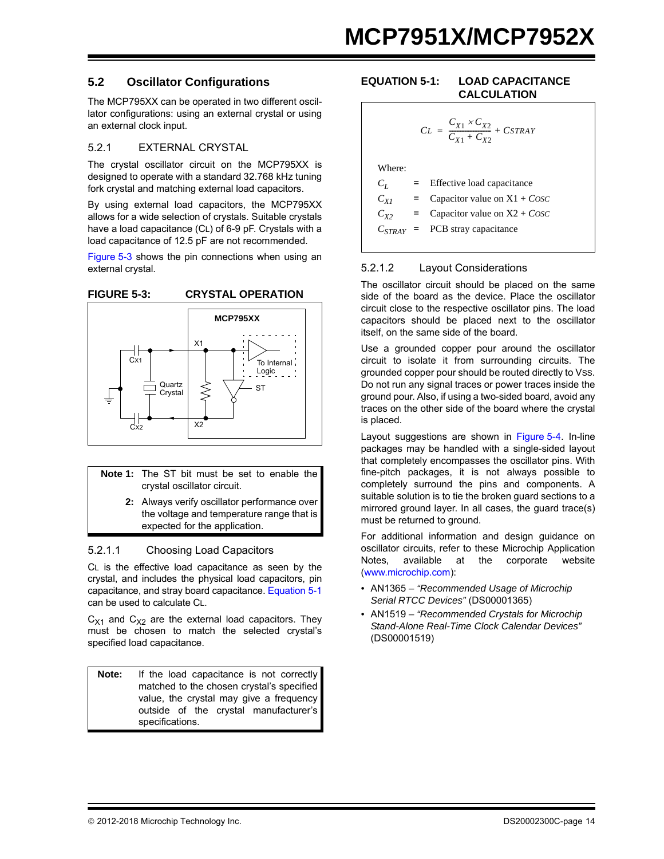#### **5.2 Oscillator Configurations**

The MCP795XX can be operated in two different oscillator configurations: using an external crystal or using an external clock input.

#### 5.2.1 EXTERNAL CRYSTAL

The crystal oscillator circuit on the MCP795XX is designed to operate with a standard 32.768 kHz tuning fork crystal and matching external load capacitors.

By using external load capacitors, the MCP795XX allows for a wide selection of crystals. Suitable crystals have a load capacitance (CL) of 6-9 pF. Crystals with a load capacitance of 12.5 pF are not recommended.

[Figure 5-3](#page-13-0) shows the pin connections when using an external crystal.

<span id="page-13-0"></span>

- **Note 1:** The ST bit must be set to enable the crystal oscillator circuit.
	- **2:** Always verify oscillator performance over the voltage and temperature range that is expected for the application.

#### 5.2.1.1 Choosing Load Capacitors

CL is the effective load capacitance as seen by the crystal, and includes the physical load capacitors, pin capacitance, and stray board capacitance. [Equation 5-1](#page-13-1) can be used to calculate CL.

 $C_{X1}$  and  $C_{X2}$  are the external load capacitors. They must be chosen to match the selected crystal's specified load capacitance.

**Note:** If the load capacitance is not correctly matched to the chosen crystal's specified value, the crystal may give a frequency outside of the crystal manufacturer's specifications.

#### <span id="page-13-1"></span>**EQUATION 5-1: LOAD CAPACITANCE CALCULATION**

$$
CL = \frac{C_{X1} \times C_{X2}}{C_{X1} + C_{X2}} + CSTRAY
$$
  
Where:  

$$
C_L = \text{Effective load capacitance}
$$
  

$$
C_{X1} = \text{Capacitor value on X1} + Cosc
$$
  

$$
C_{X2} = \text{Capacitor value on X2} + Cosc
$$
  

$$
C_{STRAY} = \text{PCB stray capacitance}
$$

#### 5.2.1.2 Layout Considerations

The oscillator circuit should be placed on the same side of the board as the device. Place the oscillator circuit close to the respective oscillator pins. The load capacitors should be placed next to the oscillator itself, on the same side of the board.

Use a grounded copper pour around the oscillator circuit to isolate it from surrounding circuits. The grounded copper pour should be routed directly to VSS. Do not run any signal traces or power traces inside the ground pour. Also, if using a two-sided board, avoid any traces on the other side of the board where the crystal is placed.

Layout suggestions are shown in [Figure 5-4.](#page-14-0) In-line packages may be handled with a single-sided layout that completely encompasses the oscillator pins. With fine-pitch packages, it is not always possible to completely surround the pins and components. A suitable solution is to tie the broken guard sections to a mirrored ground layer. In all cases, the guard trace(s) must be returned to ground.

For additional information and design guidance on oscillator circuits, refer to these Microchip Application Notes, available at the corporate website (www.microchip.com):

- *•* AN1365 *"Recommended Usage of Microchip Serial RTCC Devices"* (DS00001365)
- *•* AN1519 *"Recommended Crystals for Microchip Stand-Alone Real-Time Clock Calendar Devices"*  (DS00001519)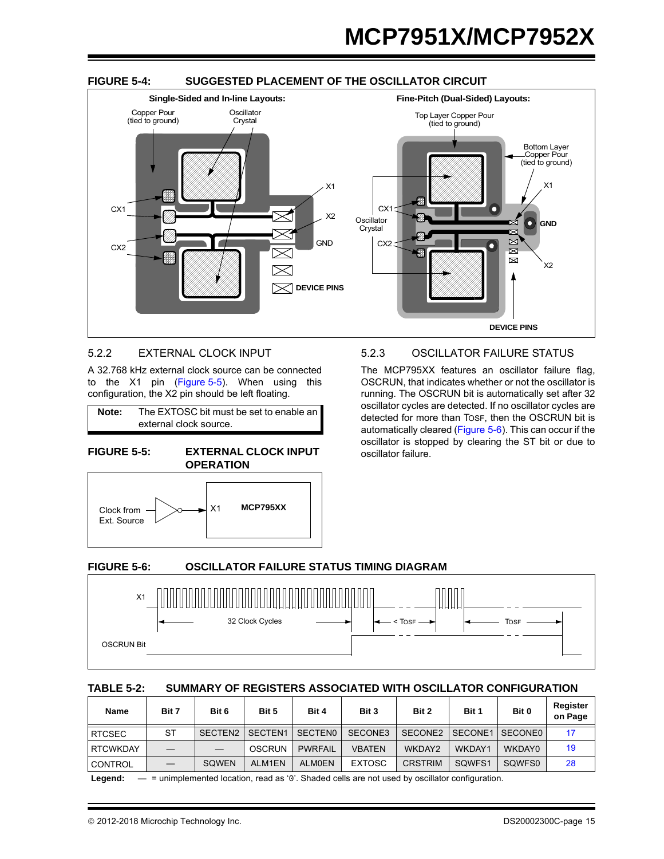<span id="page-14-0"></span>

#### 5.2.2 EXTERNAL CLOCK INPUT

A 32.768 kHz external clock source can be connected to the X1 pin ([Figure 5-5\)](#page-14-1). When using this configuration, the X2 pin should be left floating.

**Note:** The EXTOSC bit must be set to enable an external clock source.

<span id="page-14-1"></span>**FIGURE 5-5: EXTERNAL CLOCK INPUT OPERATION**



#### 5.2.3 OSCILLATOR FAILURE STATUS

The MCP795XX features an oscillator failure flag, OSCRUN, that indicates whether or not the oscillator is running. The OSCRUN bit is automatically set after 32 oscillator cycles are detected. If no oscillator cycles are detected for more than TOSF, then the OSCRUN bit is automatically cleared ([Figure 5-6\)](#page-14-2). This can occur if the oscillator is stopped by clearing the ST bit or due to oscillator failure.

#### <span id="page-14-2"></span>**FIGURE 5-6: OSCILLATOR FAILURE STATUS TIMING DIAGRAM**



#### **TABLE 5-2: SUMMARY OF REGISTERS ASSOCIATED WITH OSCILLATOR CONFIGURATION**

| Name            | Bit 7     | Bit 6        | Bit 5         | Bit 4          | Bit 3         | Bit 2          | Bit 1   | Bit 0          | Register<br>on Page |
|-----------------|-----------|--------------|---------------|----------------|---------------|----------------|---------|----------------|---------------------|
| <b>RTCSEC</b>   | <b>ST</b> | SECTEN2      | SECTEN1       | <b>SECTENO</b> | SECONE3       | SECONE2        | SECONE1 | <b>SECONE0</b> |                     |
| <b>RTCWKDAY</b> |           |              | <b>OSCRUN</b> | <b>PWRFAIL</b> | <b>VBATEN</b> | WKDAY2         | WKDAY1  | WKDAY0         | 19                  |
| CONTROL         |           | <b>SOWEN</b> | ALM1EN        | <b>ALMOEN</b>  | <b>EXTOSC</b> | <b>CRSTRIM</b> | SQWFS1  | SOWFS0         | 28                  |

**Legend:** — = unimplemented location, read as '0'. Shaded cells are not used by oscillator configuration.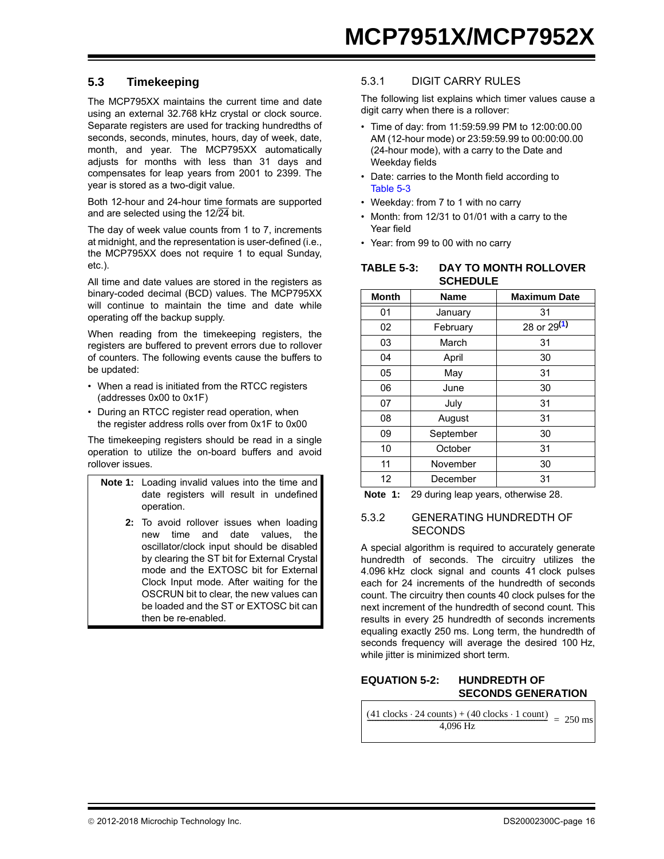#### <span id="page-15-0"></span>**5.3 Timekeeping**

The MCP795XX maintains the current time and date using an external 32.768 kHz crystal or clock source. Separate registers are used for tracking hundredths of seconds, seconds, minutes, hours, day of week, date, month, and year. The MCP795XX automatically adjusts for months with less than 31 days and compensates for leap years from 2001 to 2399. The year is stored as a two-digit value.

Both 12-hour and 24-hour time formats are supported and are selected using the 12/24 bit.

The day of week value counts from 1 to 7, increments at midnight, and the representation is user-defined (i.e., the MCP795XX does not require 1 to equal Sunday, etc.).

All time and date values are stored in the registers as binary-coded decimal (BCD) values. The MCP795XX will continue to maintain the time and date while operating off the backup supply.

When reading from the timekeeping registers, the registers are buffered to prevent errors due to rollover of counters. The following events cause the buffers to be updated:

- When a read is initiated from the RTCC registers (addresses 0x00 to 0x1F)
- During an RTCC register read operation, when the register address rolls over from 0x1F to 0x00

The timekeeping registers should be read in a single operation to utilize the on-board buffers and avoid rollover issues.

- **Note 1:** Loading invalid values into the time and date registers will result in undefined operation.
	- **2:** To avoid rollover issues when loading new time and date values, the oscillator/clock input should be disabled by clearing the ST bit for External Crystal mode and the EXTOSC bit for External Clock Input mode. After waiting for the OSCRUN bit to clear, the new values can be loaded and the ST or EXTOSC bit can then be re-enabled.

#### 5.3.1 DIGIT CARRY RULES

The following list explains which timer values cause a digit carry when there is a rollover:

- Time of day: from 11:59:59.99 PM to 12:00:00.00 AM (12-hour mode) or 23:59:59.99 to 00:00:00.00 (24-hour mode), with a carry to the Date and Weekday fields
- Date: carries to the Month field according to [Table 5-3](#page-15-1)
- Weekday: from 7 to 1 with no carry
- Month: from 12/31 to 01/01 with a carry to the Year field
- Year: from 99 to 00 with no carry

<span id="page-15-1"></span>

| TABLE 5-3: | DAY TO MONTH ROLLOVER |
|------------|-----------------------|
|            | <b>SCHEDULE</b>       |

| <b>Month</b> | <b>Name</b> | <b>Maximum Date</b> |
|--------------|-------------|---------------------|
| 01           | January     | 31                  |
| 02           | February    | 28 or 29(1)         |
| 03           | March       | 31                  |
| 04           | April       | 30                  |
| 05           | May         | 31                  |
| 06           | June        | 30                  |
| 07           | July        | 31                  |
| 08           | August      | 31                  |
| 09           | September   | 30                  |
| 10           | October     | 31                  |
| 11           | November    | 30                  |
| 12           | December    | 31                  |

<span id="page-15-2"></span>**Note 1:** 29 during leap years, otherwise 28.

#### 5.3.2 GENERATING HUNDREDTH OF **SECONDS**

A special algorithm is required to accurately generate hundredth of seconds. The circuitry utilizes the 4.096 kHz clock signal and counts 41 clock pulses each for 24 increments of the hundredth of seconds count. The circuitry then counts 40 clock pulses for the next increment of the hundredth of second count. This results in every 25 hundredth of seconds increments equaling exactly 250 ms. Long term, the hundredth of seconds frequency will average the desired 100 Hz, while jitter is minimized short term.

#### **EQUATION 5-2: HUNDREDTH OF SECONDS GENERATION**

 $\frac{(41 \text{ clocks} \cdot 24 \text{ counts}) + (40 \text{ clocks} \cdot 1 \text{ count})}{4,096 \text{ Hz}} = 250 \text{ ms}$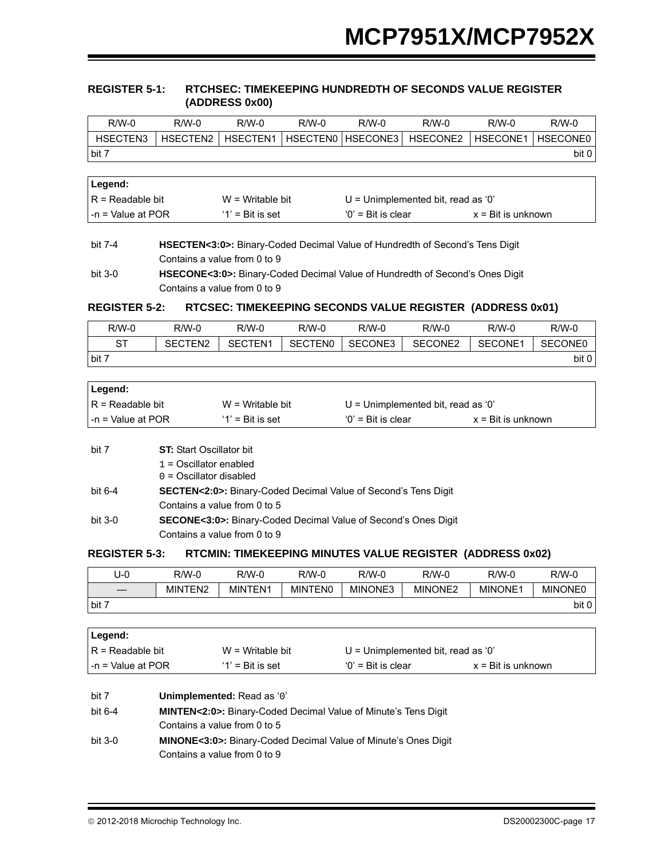#### <span id="page-16-2"></span>**REGISTER 5-1: RTCHSEC: TIMEKEEPING HUNDREDTH OF SECONDS VALUE REGISTER (ADDRESS 0x00)**

| $R/W-0$             | $R/M-0$                                   | $R/W-0$            | $R/W-0$         | $R/W-0$                                             | $R/W-0$  | $R/W-0$  | $R/W-0$  |
|---------------------|-------------------------------------------|--------------------|-----------------|-----------------------------------------------------|----------|----------|----------|
| HSECTEN3            | HSECTEN2                                  | HSECTEN1           | <b>HSECTENO</b> | HSECONE3                                            | HSECONE2 | HSECONE1 | HSECONE0 |
| bit 7               |                                           |                    |                 |                                                     |          |          | bit 0    |
|                     |                                           |                    |                 |                                                     |          |          |          |
| Legend:             |                                           |                    |                 |                                                     |          |          |          |
|                     | $R = Readable bit$<br>$W = Writeable bit$ |                    |                 | $U =$ Unimplemented bit, read as '0'                |          |          |          |
| $-n =$ Value at POR |                                           | $'1'$ = Bit is set |                 | $'0'$ = Bit is clear<br>$x = \text{Bit}$ is unknown |          |          |          |

## bit 7-4 **HSECTEN<3:0>:** Binary-Coded Decimal Value of Hundredth of Second's Tens Digit Contains a value from 0 to 9

#### <span id="page-16-0"></span>**REGISTER 5-2:** RTCSEC: TIMEKEEPING SECONDS VALUE REGISTER (ADDRESS 0x01)

| R/W-0   | R/W-0               | $R/W-0$             | R/W-0          | $R/W-0$ | $R/W-0$ | $R/W-0$ | $R/W-0$        |
|---------|---------------------|---------------------|----------------|---------|---------|---------|----------------|
| ST      | SECTEN <sub>2</sub> | SECTEN <sub>1</sub> | <b>SECTENO</b> | SECONE3 | SECONE2 | SECONE1 | <b>SECONE0</b> |
| I bit 7 |                     |                     |                |         |         |         | bit 0          |

| ∣Legend:           |                     |                                    |                             |  |
|--------------------|---------------------|------------------------------------|-----------------------------|--|
| IR = Readable bit  | $W = Writeable bit$ | U = Unimplemented bit, read as '0' |                             |  |
| l-n = Value at POR | $'1'$ = Bit is set  | $'0'$ = Bit is clear               | $x = \text{Bit}$ is unknown |  |

| bit 7     | <b>ST:</b> Start Oscillator bit                                             |
|-----------|-----------------------------------------------------------------------------|
|           | $1 =$ Oscillator enabled                                                    |
|           | $0 =$ Oscillator disabled                                                   |
| bit 6-4   | <b>SECTEN&lt;2:0&gt;:</b> Binary-Coded Decimal Value of Second's Tens Digit |
|           | Contains a value from 0 to 5                                                |
| bit $3-0$ | <b>SECONE&lt;3:0&gt;:</b> Binary-Coded Decimal Value of Second's Ones Digit |
|           | Contains a value from 0 to 9                                                |

#### <span id="page-16-1"></span>**REGISTER 5-3: REGISTER 5-3: RTCMIN: TIMEKEEPING MINUTES VALUE REGISTER (ADDRESS 0x02)**

| U-0                      | R/W-0       | R/W-0   | R/W-0          | $R/W-0$ | $R/W-0$             | $R/W-0$        | R/W-0          |
|--------------------------|-------------|---------|----------------|---------|---------------------|----------------|----------------|
| $\overline{\phantom{0}}$ | TEN2<br>MIN | MINTEN1 | <b>MINTENO</b> | MINONE3 | MINONE <sub>2</sub> | <b>MINONE1</b> | <b>MINONE0</b> |
| bit 7                    |             |         |                |         |                     |                | bit 0          |

| Legend:             |  |                              |                                                                             |                             |  |  |  |  |
|---------------------|--|------------------------------|-----------------------------------------------------------------------------|-----------------------------|--|--|--|--|
| $R =$ Readable bit  |  | $W =$ Writable bit           | $U =$ Unimplemented bit, read as '0'                                        |                             |  |  |  |  |
| $-n = Value$ at POR |  | $'1'$ = Bit is set           | $'0'$ = Bit is clear                                                        | $x = \text{Bit}$ is unknown |  |  |  |  |
|                     |  |                              |                                                                             |                             |  |  |  |  |
| bit 7               |  | Unimplemented: Read as '0'   |                                                                             |                             |  |  |  |  |
| bit $6-4$           |  |                              | <b>MINTEN&lt;2:0&gt;:</b> Binary-Coded Decimal Value of Minute's Tens Digit |                             |  |  |  |  |
|                     |  | Contains a value from 0 to 5 |                                                                             |                             |  |  |  |  |
| bit 3-0             |  |                              | <b>MINONE&lt;3:0&gt;:</b> Binary-Coded Decimal Value of Minute's Ones Digit |                             |  |  |  |  |

Contains a value from 0 to 9

bit 3-0 **HSECONE<3:0>:** Binary-Coded Decimal Value of Hundredth of Second's Ones Digit Contains a value from 0 to 9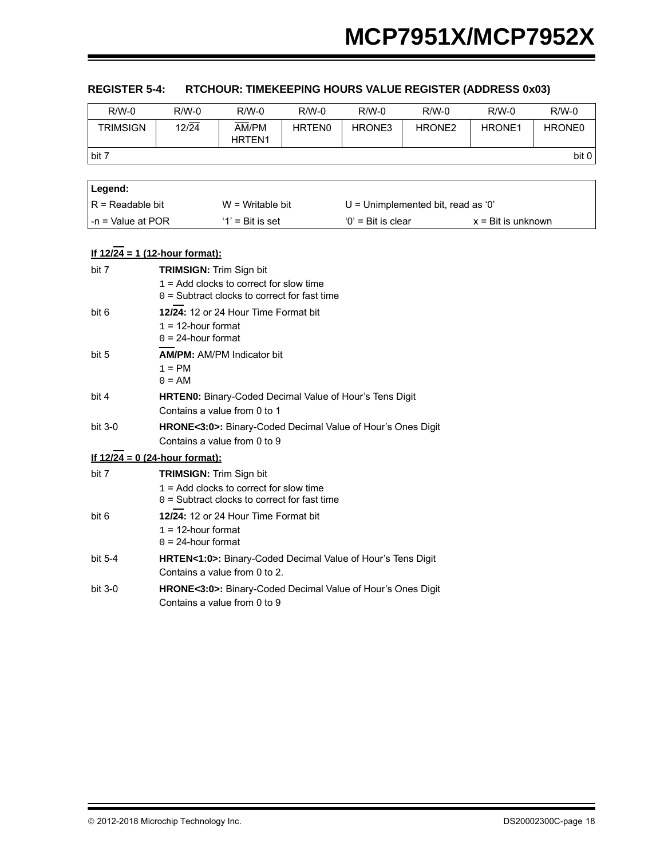| $R/W-0$             | $R/W-0$                                        | $R/W-0$                                                                                      | $R/W-0$       | $R/W-0$              | $R/W-0$                              | $R/W-0$                     | $R/W-0$            |
|---------------------|------------------------------------------------|----------------------------------------------------------------------------------------------|---------------|----------------------|--------------------------------------|-----------------------------|--------------------|
| <b>TRIMSIGN</b>     | $12\sqrt{24}$                                  | AM/PM<br>HRTEN1                                                                              | <b>HRTENO</b> | HRONE3               | HRONE <sub>2</sub>                   | HRONE1                      | HRONE <sub>0</sub> |
| bit 7               |                                                |                                                                                              |               |                      |                                      |                             | bit 0              |
|                     |                                                |                                                                                              |               |                      |                                      |                             |                    |
| Legend:             |                                                |                                                                                              |               |                      |                                      |                             |                    |
| $R =$ Readable bit  |                                                | $W = Writeable bit$                                                                          |               |                      | $U =$ Unimplemented bit, read as '0' |                             |                    |
| $-n =$ Value at POR |                                                | $'1'$ = Bit is set                                                                           |               | $'0'$ = Bit is clear |                                      | $x = \text{Bit}$ is unknown |                    |
|                     | If $12/24 = 1$ (12-hour format):               |                                                                                              |               |                      |                                      |                             |                    |
| bit 7               | <b>TRIMSIGN: Trim Sign bit</b>                 |                                                                                              |               |                      |                                      |                             |                    |
|                     |                                                | $1 =$ Add clocks to correct for slow time                                                    |               |                      |                                      |                             |                    |
|                     |                                                | $0 =$ Subtract clocks to correct for fast time                                               |               |                      |                                      |                             |                    |
| bit 6               |                                                | 12/24: 12 or 24 Hour Time Format bit                                                         |               |                      |                                      |                             |                    |
|                     | $1 = 12$ -hour format<br>$0 = 24$ -hour format |                                                                                              |               |                      |                                      |                             |                    |
| bit 5               |                                                | <b>AM/PM: AM/PM Indicator bit</b>                                                            |               |                      |                                      |                             |                    |
|                     | $1 = PM$                                       |                                                                                              |               |                      |                                      |                             |                    |
|                     | $0 = AM$                                       |                                                                                              |               |                      |                                      |                             |                    |
| bit 4               |                                                | HRTEN0: Binary-Coded Decimal Value of Hour's Tens Digit                                      |               |                      |                                      |                             |                    |
|                     |                                                | Contains a value from 0 to 1                                                                 |               |                      |                                      |                             |                    |
| bit 3-0             |                                                | HRONE<3:0>: Binary-Coded Decimal Value of Hour's Ones Digit                                  |               |                      |                                      |                             |                    |
|                     |                                                | Contains a value from 0 to 9                                                                 |               |                      |                                      |                             |                    |
|                     | If $12/24 = 0$ (24-hour format):               |                                                                                              |               |                      |                                      |                             |                    |
| bit 7               | <b>TRIMSIGN: Trim Sign bit</b>                 | $1 =$ Add clocks to correct for slow time                                                    |               |                      |                                      |                             |                    |
|                     |                                                | $0 =$ Subtract clocks to correct for fast time                                               |               |                      |                                      |                             |                    |
| bit 6               |                                                | 12/24: 12 or 24 Hour Time Format bit                                                         |               |                      |                                      |                             |                    |
|                     | $1 = 12$ -hour format                          |                                                                                              |               |                      |                                      |                             |                    |
|                     | $0 = 24$ -hour format                          |                                                                                              |               |                      |                                      |                             |                    |
| bit 5-4             |                                                | HRTEN<1:0>: Binary-Coded Decimal Value of Hour's Tens Digit<br>Contains a value from 0 to 2. |               |                      |                                      |                             |                    |

#### <span id="page-17-0"></span>**REGISTER 5-4: RTCHOUR: TIMEKEEPING HOURS VALUE REGISTER (ADDRESS 0x03)**

bit 3-0 **HRONE<3:0>:** Binary-Coded Decimal Value of Hour's Ones Digit Contains a value from 0 to 9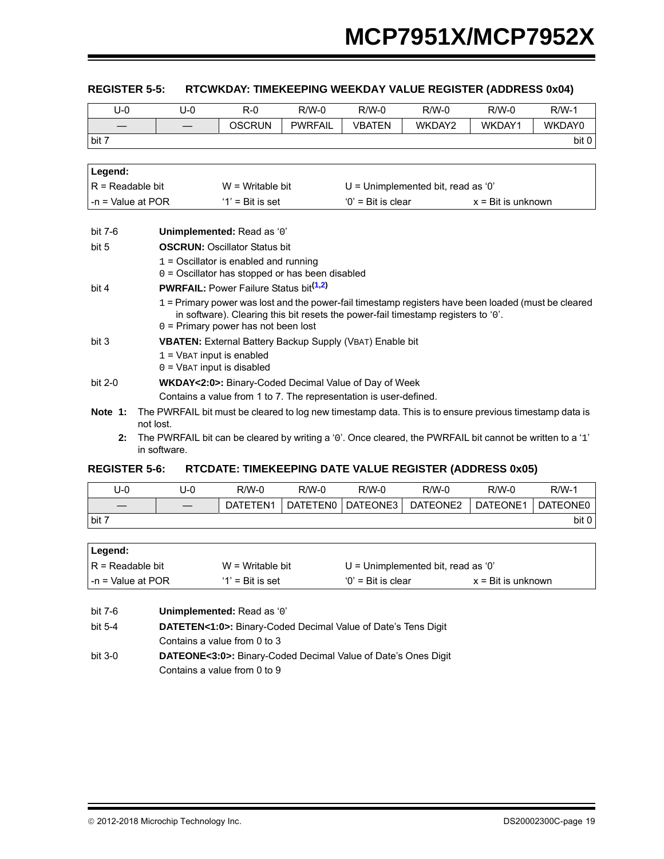#### <span id="page-18-0"></span>**REGISTER 5-5: REGISTER 5-5: RTCWKDAY: TIMEKEEPING WEEKDAY VALUE REGISTER (ADDRESS 0x04)**

| $U-0$               | $U-0$        | $R-0$                                                                                                     | $R/W-0$        | $R/W-0$              | $R/W-0$                              | $R/W-0$                     | $R/W-1$ |
|---------------------|--------------|-----------------------------------------------------------------------------------------------------------|----------------|----------------------|--------------------------------------|-----------------------------|---------|
|                     |              | <b>OSCRUN</b>                                                                                             | <b>PWRFAIL</b> | <b>VBATEN</b>        | WKDAY2                               | WKDAY1                      | WKDAY0  |
| bit 7               |              |                                                                                                           |                |                      |                                      |                             | bit 0   |
|                     |              |                                                                                                           |                |                      |                                      |                             |         |
| Legend:             |              |                                                                                                           |                |                      |                                      |                             |         |
| $R = Readable bit$  |              | $W = Writeble$ bit                                                                                        |                |                      | $U =$ Unimplemented bit, read as '0' |                             |         |
| $-n =$ Value at POR |              | $'1'$ = Bit is set                                                                                        |                | $'0'$ = Bit is clear |                                      | $x = \text{Bit}$ is unknown |         |
|                     |              |                                                                                                           |                |                      |                                      |                             |         |
| bit 7-6             |              | Unimplemented: Read as '0'                                                                                |                |                      |                                      |                             |         |
| bit 5               |              | <b>OSCRUN: Oscillator Status bit</b>                                                                      |                |                      |                                      |                             |         |
|                     |              | $1 =$ Oscillator is enabled and running                                                                   |                |                      |                                      |                             |         |
|                     |              | 0 = Oscillator has stopped or has been disabled                                                           |                |                      |                                      |                             |         |
| bit 4               |              | <b>PWRFAIL:</b> Power Failure Status bit <sup>(1,2)</sup>                                                 |                |                      |                                      |                             |         |
|                     |              | 1 = Primary power was lost and the power-fail timestamp registers have been loaded (must be cleared       |                |                      |                                      |                             |         |
|                     |              | in software). Clearing this bit resets the power-fail timestamp registers to '0'.                         |                |                      |                                      |                             |         |
| bit 3               |              | $0 =$ Primary power has not been lost                                                                     |                |                      |                                      |                             |         |
|                     |              | <b>VBATEN:</b> External Battery Backup Supply (VBAT) Enable bit<br>$1 =$ VBAT input is enabled            |                |                      |                                      |                             |         |
|                     |              | $0 =$ VBAT input is disabled                                                                              |                |                      |                                      |                             |         |
| bit 2-0             |              | <b>WKDAY&lt;2:0&gt;:</b> Binary-Coded Decimal Value of Day of Week                                        |                |                      |                                      |                             |         |
|                     |              | Contains a value from 1 to 7. The representation is user-defined.                                         |                |                      |                                      |                             |         |
| Note 1:             | not lost.    | The PWRFAIL bit must be cleared to log new timestamp data. This is to ensure previous timestamp data is   |                |                      |                                      |                             |         |
| 2:                  | in software. | The PWRFAIL bit can be cleared by writing a '0'. Once cleared, the PWRFAIL bit cannot be written to a '1' |                |                      |                                      |                             |         |

#### <span id="page-18-3"></span><span id="page-18-2"></span><span id="page-18-1"></span>**REGISTER 5-6: REGISTER 5-6: RTCDATE: TIMEKEEPING DATE VALUE REGISTER (ADDRESS 0x05)**

| U-0   | J-0 | $R/W-0$  | $R/W-0$  | $R/W-0$  | R/W-0    | $R/W-0$  | $R/W-1$  |
|-------|-----|----------|----------|----------|----------|----------|----------|
|       |     | DATETEN1 | DATETEN0 | DATEONE3 | DATEONE2 | DATEONE1 | DATEONE0 |
| bit 7 |     |          |          |          |          |          | bit 0    |

| ∣Legend:               |                     |                                      |                             |
|------------------------|---------------------|--------------------------------------|-----------------------------|
| $IR = Readable bit$    | $W = Writeable bit$ | $U =$ Unimplemented bit, read as '0' |                             |
| $l - n =$ Value at POR | $'1'$ = Bit is set  | $'0'$ = Bit is clear                 | $x = \text{Bit}$ is unknown |

| bit 7-6 | Unimplemented: Read as '0'                                                 |
|---------|----------------------------------------------------------------------------|
| bit 5-4 | <b>DATETEN&lt;1:0&gt;:</b> Binary-Coded Decimal Value of Date's Tens Digit |
|         | Contains a value from 0 to 3                                               |
| bit 3-0 | <b>DATEONE&lt;3:0&gt;:</b> Binary-Coded Decimal Value of Date's Ones Digit |
|         | Contains a value from 0 to 9                                               |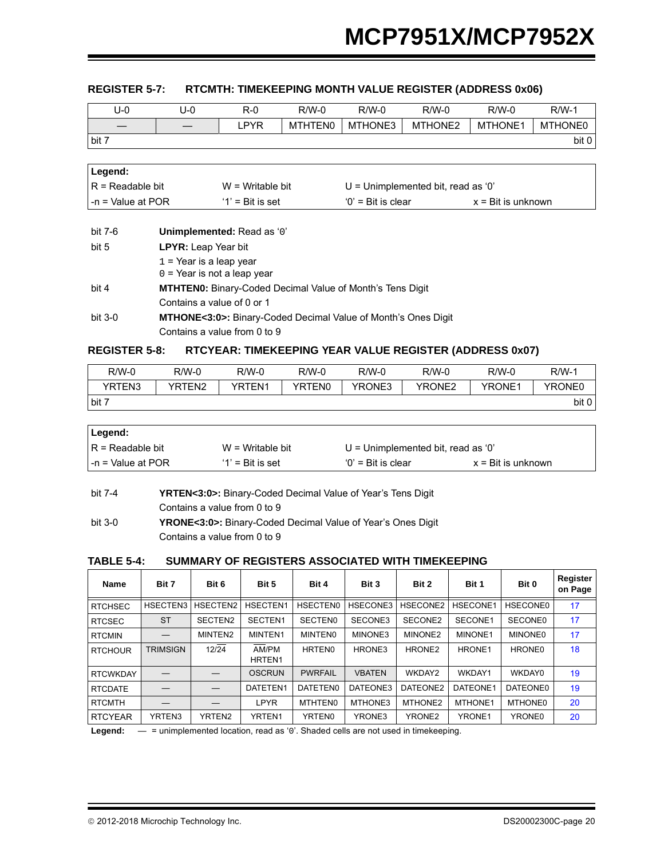#### <span id="page-19-0"></span>**REGISTER 5-7: RTCMTH: TIMEKEEPING MONTH VALUE REGISTER (ADDRESS 0x06)**

| U-0   | U-0 | R-0  | $R/W-0$        | $R/W-0$ | R/W-0   | $R/W-0$        | $R/W-1$        |
|-------|-----|------|----------------|---------|---------|----------------|----------------|
|       |     | .PYR | <b>MTHTEN0</b> | MTHONE3 | MTHONE2 | <b>MTHONE1</b> | <b>MTHONE0</b> |
| bit 7 |     |      |                |         |         |                | bit 0          |

| Legend:            |                     |                                      |                             |
|--------------------|---------------------|--------------------------------------|-----------------------------|
| IR = Readable bit  | $W = W$ ritable bit | $U =$ Unimplemented bit, read as '0' |                             |
| l-n = Value at POR | $'1'$ = Bit is set  | $'0'$ = Bit is clear                 | $x = \text{Bit}$ is unknown |

| bit 7-6   | Unimplemented: Read as '0'                                                 |
|-----------|----------------------------------------------------------------------------|
| bit 5     | <b>LPYR:</b> Leap Year bit                                                 |
|           | $1$ = Year is a leap year                                                  |
|           | $0 =$ Year is not a leap year                                              |
| bit 4     | <b>MTHTEN0:</b> Binary-Coded Decimal Value of Month's Tens Digit           |
|           | Contains a value of 0 or 1                                                 |
| bit $3-0$ | <b>MTHONE&lt;3:0&gt;:</b> Binary-Coded Decimal Value of Month's Ones Digit |
|           | Contains a value from 0 to 9                                               |

#### <span id="page-19-1"></span>**REGISTER 5-8: REGISTER 5-8: RTCYEAR: TIMEKEEPING YEAR VALUE REGISTER (ADDRESS 0x07)**

| R/W-0  | R/W-0  | R/W-0  | R/W-0         | $R/W-0$       | R/W-0  | $R/W-0$       | $R/W-1$            |
|--------|--------|--------|---------------|---------------|--------|---------------|--------------------|
| YRTEN3 | YRTEN2 | YRTEN1 | <b>YRTEN0</b> | <b>YRONE3</b> | YRONE2 | <b>YRONE1</b> | YRONE <sub>0</sub> |
| bit 7  |        |        |               |               |        |               | bit 0              |

| ∣ Legend:              |                     |                                    |                             |
|------------------------|---------------------|------------------------------------|-----------------------------|
| $IR = Readable bit$    | $W = W$ ritable bit | U = Unimplemented bit, read as '0' |                             |
| $l - n =$ Value at POR | $'1'$ = Bit is set  | $'0'$ = Bit is clear               | $x = \text{Bit}$ is unknown |

| bit 7-4 | <b>YRTEN&lt;3:0&gt;:</b> Binary-Coded Decimal Value of Year's Tens Digit |
|---------|--------------------------------------------------------------------------|
|         | Contains a value from 0 to 9                                             |
| bit 3-0 | <b>YRONE&lt;3:0&gt;:</b> Binary-Coded Decimal Value of Year's Ones Digit |
|         | Contains a value from 0 to 9                                             |

#### **TABLE 5-4: SUMMARY OF REGISTERS ASSOCIATED WITH TIMEKEEPING**

| <b>Name</b>     | Bit 7           | Bit 6              | Bit 5                       | Bit 4           | Bit 3         | Bit 2              | Bit 1    | Bit 0           | Register<br>on Page |
|-----------------|-----------------|--------------------|-----------------------------|-----------------|---------------|--------------------|----------|-----------------|---------------------|
| <b>RTCHSEC</b>  | HSECTEN3        | HSECTEN2           | HSECTEN1                    | <b>HSECTEN0</b> | HSECONE3      | HSECONE2           | HSECONE1 | <b>HSECONE0</b> | 17                  |
| <b>RTCSEC</b>   | <b>ST</b>       | SECTEN2            | SECTEN1                     | <b>SECTENO</b>  | SECONE3       | SECONE2            | SECONE1  | SECONE0         | 17                  |
| <b>RTCMIN</b>   |                 | MINTEN2            | MINTEN1                     | <b>MINTENO</b>  | MINONE3       | MINONE2            | MINONE1  | <b>MINONE0</b>  | 17                  |
| <b>RTCHOUR</b>  | <b>TRIMSIGN</b> | 12/24              | AM/PM<br>HRTEN <sub>1</sub> | <b>HRTEN0</b>   | HRONE3        | HRONE <sub>2</sub> | HRONE1   | HRONE0          | 18                  |
| <b>RTCWKDAY</b> |                 |                    | <b>OSCRUN</b>               | <b>PWRFAIL</b>  | <b>VBATEN</b> | WKDAY2             | WKDAY1   | WKDAY0          | 19                  |
| <b>RTCDATE</b>  |                 |                    | DATETEN1                    | DATETEN0        | DATEONE3      | DATEONE2           | DATEONE1 | DATEONE0        | 19                  |
| <b>RTCMTH</b>   |                 |                    | <b>LPYR</b>                 | <b>MTHTEN0</b>  | MTHONE3       | MTHONE2            | MTHONE1  | <b>MTHONE0</b>  | 20                  |
| <b>RTCYEAR</b>  | YRTEN3          | YRTEN <sub>2</sub> | <b>YRTEN1</b>               | <b>YRTEN0</b>   | YRONE3        | YRONE <sub>2</sub> | YRONE1   | YRONE0          | 20                  |

Legend:  $-$  = unimplemented location, read as '0'. Shaded cells are not used in timekeeping.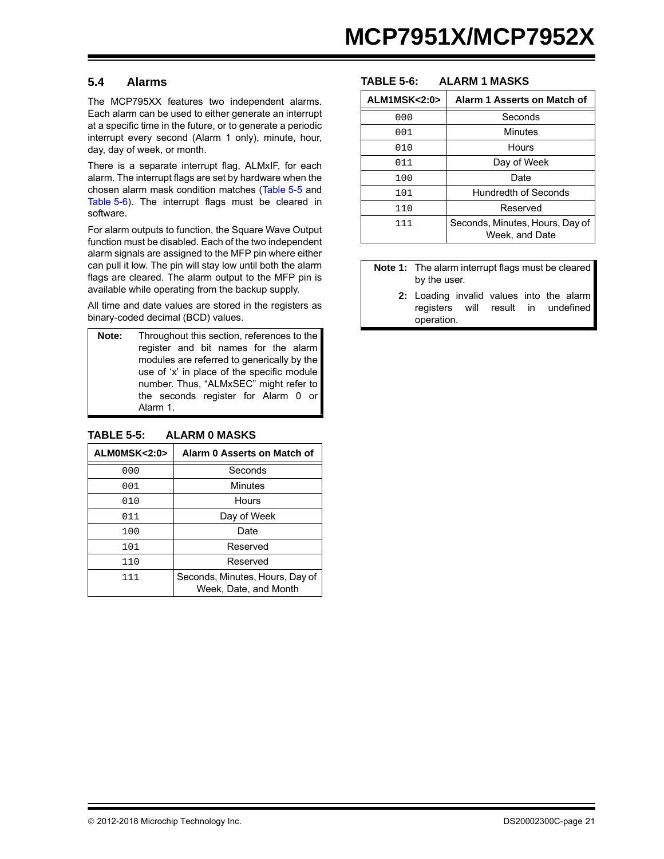#### <span id="page-20-0"></span>**5.4 Alarms**

The MCP795XX features two independent alarms. Each alarm can be used to either generate an interrupt at a specific time in the future, or to generate a periodic interrupt every second (Alarm 1 only), minute, hour, day, day of week, or month.

There is a separate interrupt flag, ALMxIF, for each alarm. The interrupt flags are set by hardware when the chosen alarm mask condition matches [\(Table 5-5](#page-20-1) and [Table 5-6\)](#page-20-2). The interrupt flags must be cleared in software.

For alarm outputs to function, the Square Wave Output function must be disabled. Each of the two independent alarm signals are assigned to the MFP pin where either can pull it low. The pin will stay low until both the alarm flags are cleared. The alarm output to the MFP pin is available while operating from the backup supply.

All time and date values are stored in the registers as binary-coded decimal (BCD) values.

**Note:** Throughout this section, references to the register and bit names for the alarm modules are referred to generically by the use of 'x' in place of the specific module number. Thus, "ALMxSEC" might refer to the seconds register for Alarm 0 or Alarm 1.

#### <span id="page-20-1"></span>**TABLE 5-5: ALARM 0 MASKS**

| ALMOMSK<2:0> | Alarm 0 Asserts on Match of                              |
|--------------|----------------------------------------------------------|
| 000          | Seconds                                                  |
| 001          | Minutes                                                  |
| 010          | Hours                                                    |
| 011          | Day of Week                                              |
| 100          | Date                                                     |
| 101          | Reserved                                                 |
| 110          | Reserved                                                 |
| 111          | Seconds, Minutes, Hours, Day of<br>Week, Date, and Month |

#### <span id="page-20-2"></span>**TABLE 5-6: ALARM 1 MASKS**

| ALM1MSK<2:0> | Alarm 1 Asserts on Match of                       |
|--------------|---------------------------------------------------|
| 000          | Seconds                                           |
| 001          | <b>Minutes</b>                                    |
| 010          | Hours                                             |
| 011          | Day of Week                                       |
| 100          | Date                                              |
| 101          | <b>Hundredth of Seconds</b>                       |
| 110          | Reserved                                          |
| 111          | Seconds, Minutes, Hours, Day of<br>Week, and Date |

**Note 1:** The alarm interrupt flags must be cleared by the user.

**2:** Loading invalid values into the alarm registers will result in undefined operation.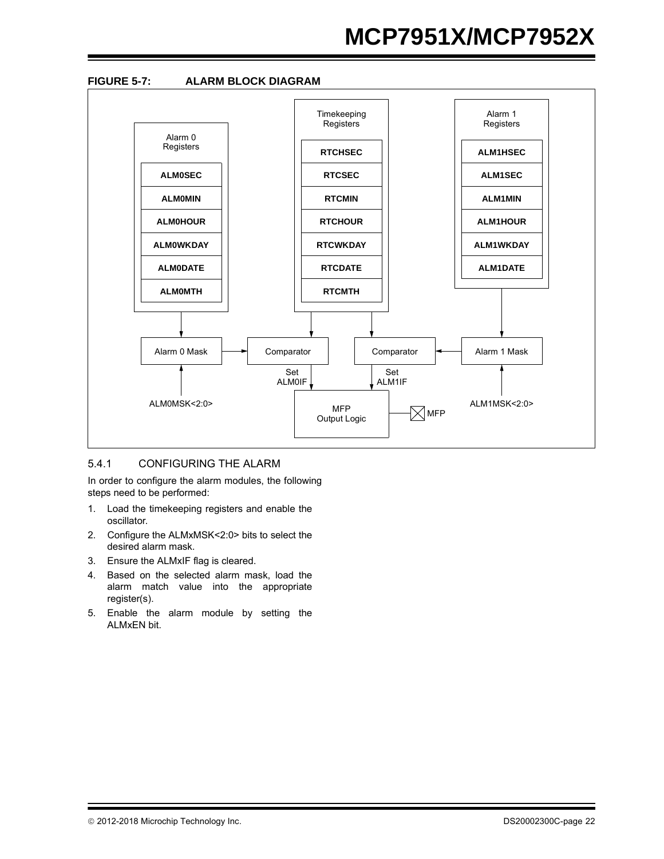# **MCP7951X/MCP7952X**



#### 5.4.1 CONFIGURING THE ALARM

In order to configure the alarm modules, the following steps need to be performed:

- 1. Load the timekeeping registers and enable the oscillator.
- 2. Configure the ALMxMSK<2:0> bits to select the desired alarm mask.
- 3. Ensure the ALMxIF flag is cleared.
- 4. Based on the selected alarm mask, load the alarm match value into the appropriate register(s).
- 5. Enable the alarm module by setting the ALMxEN bit.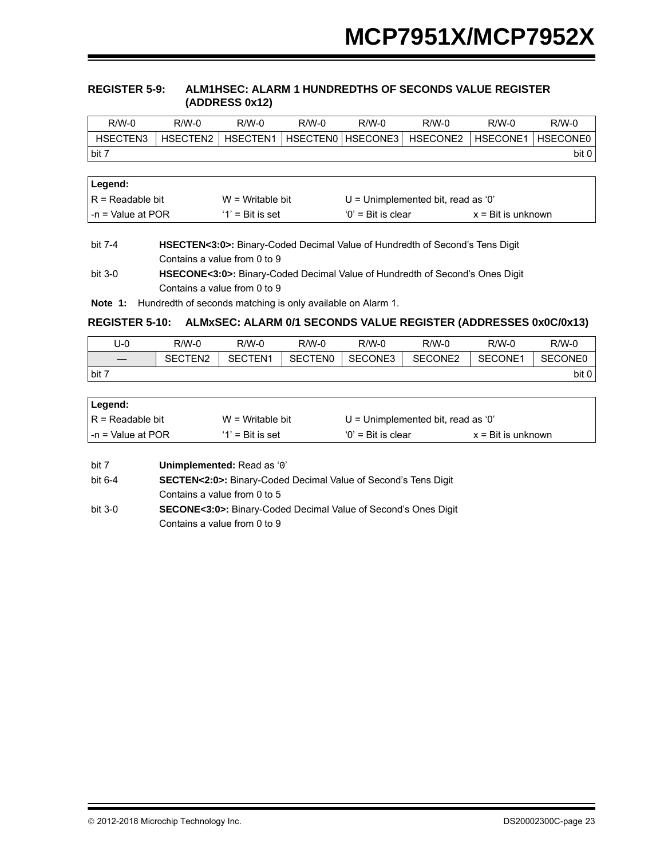#### <span id="page-22-2"></span>**REGISTER 5-9: ALM1HSEC: ALARM 1 HUNDREDTHS OF SECONDS VALUE REGISTER (ADDRESS 0x12)**

| $R/W-0$  | $R/W-0$  | $R/W-0$  | $R/M-0$ | $R/W-0$           | $R/W-0$  | $R/M-0$  | $R/W-0$  |
|----------|----------|----------|---------|-------------------|----------|----------|----------|
| HSECTEN3 | HSECTEN2 | HSECTEN1 |         | HSECTENO HSECONE3 | HSECONE2 | HSECONE1 | HSECONE0 |
| bit 7    |          |          |         |                   |          |          | bit 0    |
|          |          |          |         |                   |          |          |          |
|          |          |          |         |                   |          |          |          |

| ∣Legend:                  |                     |                                      |                             |
|---------------------------|---------------------|--------------------------------------|-----------------------------|
| $IR = Readable bit$       | $W = Writeable bit$ | $U =$ Unimplemented bit, read as '0' |                             |
| $\vert$ -n = Value at POR | $'1'$ = Bit is set  | $'0'$ = Bit is clear                 | $x = \text{Bit}$ is unknown |

## bit 7-4 **HSECTEN<3:0>:** Binary-Coded Decimal Value of Hundredth of Second's Tens Digit Contains a value from 0 to 9

<span id="page-22-0"></span>**Note 1:** Hundredth of seconds matching is only available on Alarm 1.

## <span id="page-22-1"></span>**REGISTER 5-10: ALMxSEC: ALARM 0/1 SECONDS VALUE REGISTER (ADDRESSES 0x0C/0x13)**

| J-0   | $R/W-0$             | $R/W-0$ | $R/M-0$        | $R/W-0$ | R/W-0   | $R/W-0$ | $R/W-0$ |
|-------|---------------------|---------|----------------|---------|---------|---------|---------|
|       | SECTEN <sub>2</sub> | SECTEN1 | <b>SECTENO</b> | SECONE3 | SECONE2 | SECONE1 | SECONE0 |
| bit 7 |                     |         |                |         |         |         | bit 0 l |

| Legend:             |                     |                                    |                             |
|---------------------|---------------------|------------------------------------|-----------------------------|
| l R = Readable bit  | $W = Writeable bit$ | U = Unimplemented bit, read as '0' |                             |
| l -n = Value at POR | $'1'$ = Bit is set  | $'0'$ = Bit is clear               | $x = \text{Bit}$ is unknown |

| bit 7 | Unimplemented: Read as '0' |
|-------|----------------------------|
|-------|----------------------------|

- bit 6-4 **SECTEN<2:0>:** Binary-Coded Decimal Value of Second's Tens Digit Contains a value from 0 to 5
- bit 3-0 **SECONE<3:0>:** Binary-Coded Decimal Value of Second's Ones Digit Contains a value from 0 to 9

bit 3-0 **HSECONE<3:0>:** Binary-Coded Decimal Value of Hundredth of Second's Ones Digit Contains a value from 0 to 9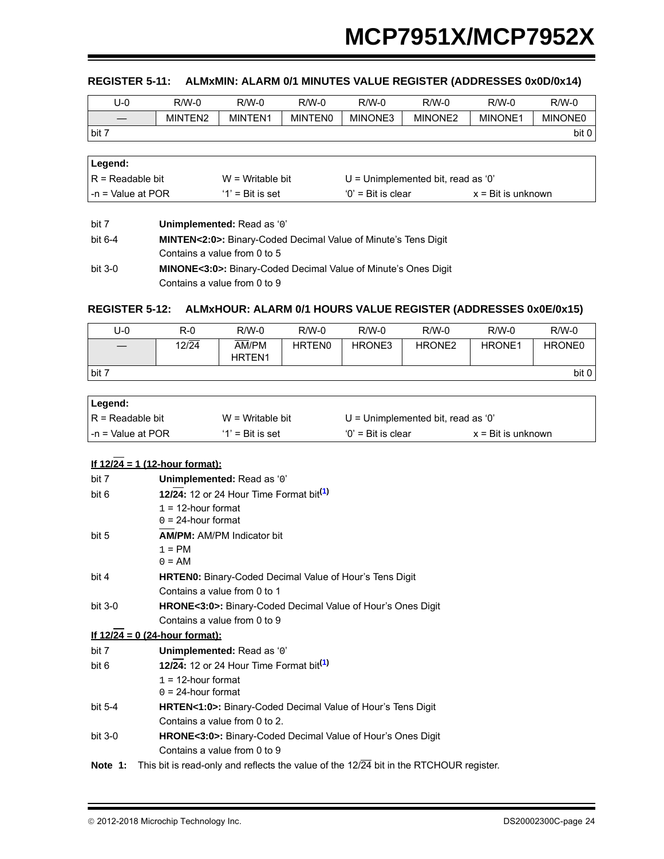#### <span id="page-23-1"></span>**REGISTER 5-11: ALMxMIN: ALARM 0/1 MINUTES VALUE REGISTER (ADDRESSES 0x0D/0x14)**

| U-0   | $R/W-0$ | $R/W-0$ | $R/M-0$        | $R/W-0$ | R/W-0               | R/W-0   | $R/W-0$        |
|-------|---------|---------|----------------|---------|---------------------|---------|----------------|
|       | MINTEN2 | MINTEN1 | <b>MINTENO</b> | MINONE3 | MINONE <sub>2</sub> | MINONE1 | <b>MINONE0</b> |
| bit 7 |         |         |                |         |                     |         | bit            |

| ∣Legend:             |                     |                                    |                             |  |
|----------------------|---------------------|------------------------------------|-----------------------------|--|
| $IR = Readable bit$  | $W = Writeable bit$ | U = Unimplemented bit, read as '0' |                             |  |
| $-$ n = Value at POR | $'1'$ = Bit is set  | $'0'$ = Bit is clear               | $x = \text{Bit}$ is unknown |  |

| bit 7   | Unimplemented: Read as '0'                                                  |
|---------|-----------------------------------------------------------------------------|
| bit 6-4 | <b>MINTEN&lt;2:0&gt;:</b> Binary-Coded Decimal Value of Minute's Tens Digit |
|         | Contains a value from 0 to 5                                                |
| bit 3-0 | <b>MINONE&lt;3:0&gt;:</b> Binary-Coded Decimal Value of Minute's Ones Digit |
|         | Contains a value from 0 to 9                                                |

## <span id="page-23-2"></span>**REGISTER 5-12: ALMxHOUR: ALARM 0/1 HOURS VALUE REGISTER (ADDRESSES 0x0E/0x15)**

| U-0   | $R-0$ | $R/W-0$                | $R/W-0$            | $R/W-0$ | $R/W-0$            | $R/W-0$            | $R/W-0$       |
|-------|-------|------------------------|--------------------|---------|--------------------|--------------------|---------------|
|       | 12/24 | AM/PM<br><b>HRTEN1</b> | HRTEN <sub>0</sub> | HRONE3  | HRONE <sub>2</sub> | HRONE <sub>1</sub> | <b>HRONE0</b> |
| bit 7 |       |                        |                    |         |                    |                    | bit 0         |

| ∣Legend:               |                     |                                      |                             |  |
|------------------------|---------------------|--------------------------------------|-----------------------------|--|
| $IR = Readable bit$    | $W = Writeable bit$ | $U =$ Unimplemented bit, read as '0' |                             |  |
| $l - n = Value$ at POR | $'1'$ = Bit is set  | $'0'$ = Bit is clear                 | $x = \text{Bit}$ is unknown |  |

### **If 12/24 = 1 (12-hour format):**

<span id="page-23-0"></span>

| bit 7     | Unimplemented: Read as '0'                                                             |
|-----------|----------------------------------------------------------------------------------------|
| bit 6     | 12/24: 12 or 24 Hour Time Format bit <sup>(1)</sup>                                    |
|           | $1 = 12$ -hour format<br>$0 = 24$ -hour format                                         |
| bit 5     | <b>AM/PM: AM/PM Indicator bit</b>                                                      |
|           | $1 = PM$                                                                               |
|           | $0 = AM$                                                                               |
| bit 4     | <b>HRTEN0:</b> Binary-Coded Decimal Value of Hour's Tens Digit                         |
|           | Contains a value from 0 to 1                                                           |
| bit $3-0$ | HRONE<3:0>: Binary-Coded Decimal Value of Hour's Ones Digit                            |
|           | Contains a value from 0 to 9                                                           |
|           | <u>If 12/24 = 0 (24-hour format):</u>                                                  |
| bit 7     | Unimplemented: Read as '0'                                                             |
| bit 6     | 12/24: 12 or 24 Hour Time Format bit <sup>(1)</sup>                                    |
|           | $1 = 12$ -hour format                                                                  |
|           | $0 = 24$ -hour format                                                                  |
| bit 5-4   | <b>HRTEN&lt;1:0&gt;:</b> Binary-Coded Decimal Value of Hour's Tens Digit               |
|           | Contains a value from 0 to 2.                                                          |
| bit $3-0$ | HRONE<3:0>: Binary-Coded Decimal Value of Hour's Ones Digit                            |
|           | Contains a value from 0 to 9                                                           |
| Note 1:   | This bit is read-only and reflects the value of the 12/24 bit in the RTCHOUR register. |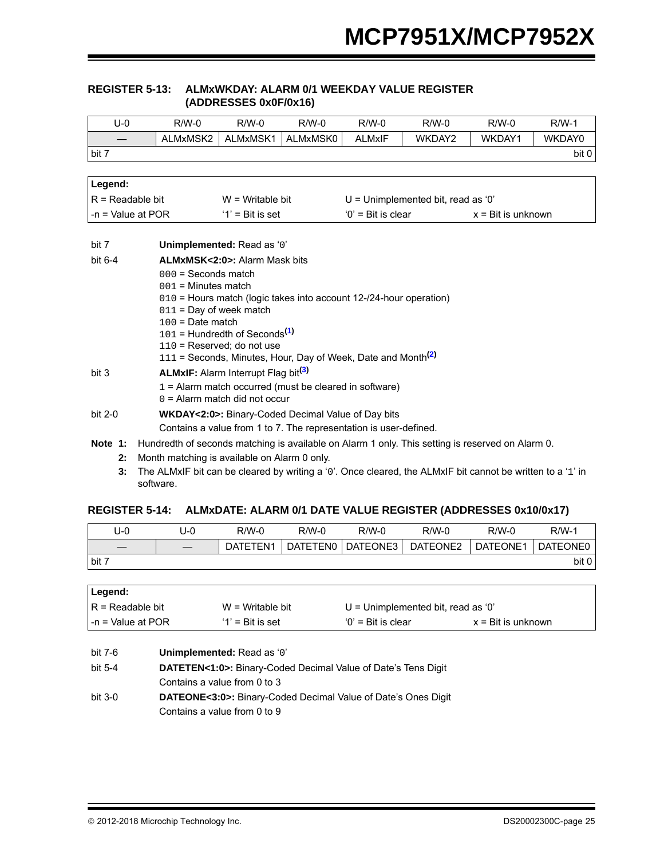### <span id="page-24-2"></span> **REGISTER 5-13: ALMxWKDAY: ALARM 0/1 WEEKDAY VALUE REGISTER (ADDRESSES 0x0F/0x16)**

| $U-0$               | $R/W-0$                                                                                          | $R/W-0$                                                            | $R/W-0$  | $R/W-0$              | $R/W-0$                              | $R/W-0$                     | $R/W-1$ |  |
|---------------------|--------------------------------------------------------------------------------------------------|--------------------------------------------------------------------|----------|----------------------|--------------------------------------|-----------------------------|---------|--|
|                     | ALMxMSK2                                                                                         | ALMxMSK1                                                           | ALMxMSK0 | <b>ALMxIF</b>        | WKDAY2                               | WKDAY1                      | WKDAY0  |  |
| bit 7               |                                                                                                  |                                                                    |          |                      |                                      |                             | bit 0   |  |
|                     |                                                                                                  |                                                                    |          |                      |                                      |                             |         |  |
| Legend:             |                                                                                                  |                                                                    |          |                      |                                      |                             |         |  |
| $R = Readable bit$  |                                                                                                  | $W = Writeable bit$                                                |          |                      | $U =$ Unimplemented bit, read as '0' |                             |         |  |
| $-n =$ Value at POR |                                                                                                  | $'1'$ = Bit is set                                                 |          | $'0'$ = Bit is clear |                                      | $x = \text{Bit}$ is unknown |         |  |
|                     |                                                                                                  |                                                                    |          |                      |                                      |                             |         |  |
| bit 7               | Unimplemented: Read as '0'                                                                       |                                                                    |          |                      |                                      |                             |         |  |
| bit $6-4$           |                                                                                                  | <b>ALMxMSK&lt;2:0&gt;: Alarm Mask bits</b>                         |          |                      |                                      |                             |         |  |
|                     | $000 =$ Seconds match                                                                            |                                                                    |          |                      |                                      |                             |         |  |
|                     | $001$ = Minutes match                                                                            |                                                                    |          |                      |                                      |                             |         |  |
|                     |                                                                                                  | 010 = Hours match (logic takes into account 12-/24-hour operation) |          |                      |                                      |                             |         |  |
|                     | 011 = Day of week match<br>$100 =$ Date match                                                    |                                                                    |          |                      |                                      |                             |         |  |
|                     |                                                                                                  | $101$ = Hundredth of Seconds <sup>(1)</sup>                        |          |                      |                                      |                             |         |  |
|                     |                                                                                                  | 110 = Reserved; do not use                                         |          |                      |                                      |                             |         |  |
|                     | 111 = Seconds, Minutes, Hour, Day of Week, Date and Month <sup>(2)</sup>                         |                                                                    |          |                      |                                      |                             |         |  |
| bit 3               |                                                                                                  | <b>ALMxIF:</b> Alarm Interrupt Flag bit <sup>(3)</sup>             |          |                      |                                      |                             |         |  |
|                     | $1 =$ Alarm match occurred (must be cleared in software)                                         |                                                                    |          |                      |                                      |                             |         |  |
|                     | $0 =$ Alarm match did not occur                                                                  |                                                                    |          |                      |                                      |                             |         |  |
| bit 2-0             | <b>WKDAY&lt;2:0&gt;:</b> Binary-Coded Decimal Value of Day bits                                  |                                                                    |          |                      |                                      |                             |         |  |
|                     | Contains a value from 1 to 7. The representation is user-defined.                                |                                                                    |          |                      |                                      |                             |         |  |
| Note $1:$           | Hundredth of seconds matching is available on Alarm 1 only. This setting is reserved on Alarm 0. |                                                                    |          |                      |                                      |                             |         |  |
| 2:                  | Month matching is available on Alarm 0 only.                                                     |                                                                    |          |                      |                                      |                             |         |  |

<span id="page-24-1"></span><span id="page-24-0"></span>**3:** The ALMxIF bit can be cleared by writing a '0'. Once cleared, the ALMxIF bit cannot be written to a '1' in software.

#### <span id="page-24-3"></span>**REGISTER 5-14: ALMxDATE: ALARM 0/1 DATE VALUE REGISTER (ADDRESSES 0x10/0x17)**

| U-0   | U-0                             | R/W-0    | R/W-0    | $R/W-0$  | $R/W-0$  | $R/W-0$  | $R/W-1$         |
|-------|---------------------------------|----------|----------|----------|----------|----------|-----------------|
|       | $\hspace{0.1mm}-\hspace{0.1mm}$ | DATETEN1 | DATETEN0 | DATEONE3 | DATEONE2 | DATEONE1 | <b>DATEONE0</b> |
| bit 7 |                                 |          |          |          |          |          | bit 0           |

| Legend:                |                     |                                    |                             |
|------------------------|---------------------|------------------------------------|-----------------------------|
| $IR = Readable bit$    | $W = Writeable bit$ | U = Unimplemented bit, read as '0' |                             |
| $l - n =$ Value at POR | $'1'$ = Bit is set  | $'0'$ = Bit is clear               | $x = \text{Bit}$ is unknown |

| bit 7-6 | Unimplemented: Read as '0'                                                 |
|---------|----------------------------------------------------------------------------|
| bit 5-4 | <b>DATETEN&lt;1:0&gt;:</b> Binary-Coded Decimal Value of Date's Tens Digit |
|         | Contains a value from 0 to 3                                               |
| bit 3-0 | <b>DATEONE&lt;3:0&gt;:</b> Binary-Coded Decimal Value of Date's Ones Digit |
|         | Contains a value from 0 to 9                                               |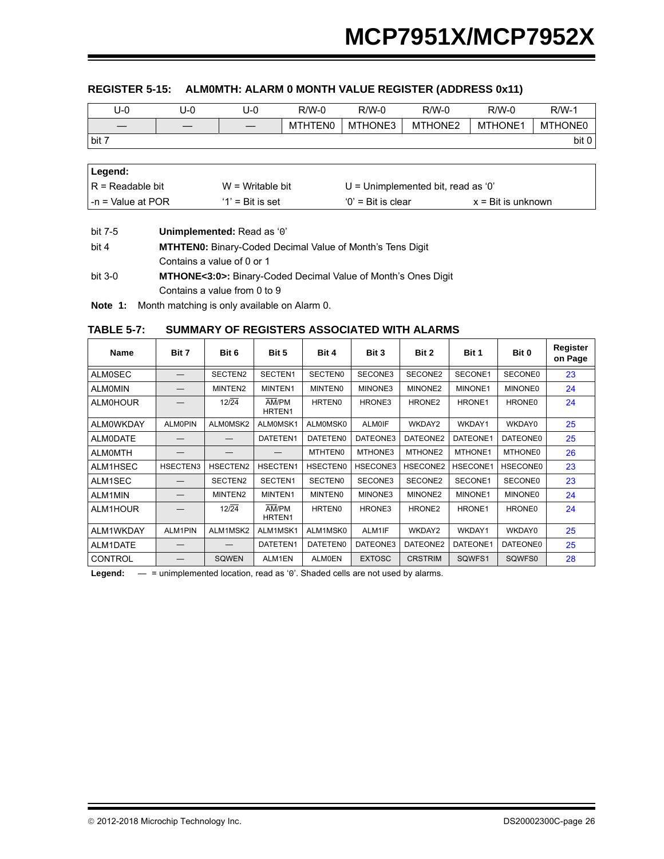## <span id="page-25-0"></span>**REGISTER 5-15: ALM0MTH: ALARM 0 MONTH VALUE REGISTER (ADDRESS 0x11)**

| U-0   | J-0 | J-0               | $R/W-0$ | $R/W-0$ | $R/W-0$ | $R/W-0$        | $R/W-1$        |
|-------|-----|-------------------|---------|---------|---------|----------------|----------------|
|       |     | $\hspace{0.05cm}$ | MTHTEN0 | MTHONE3 | MTHONE2 | <b>MTHONE1</b> | <b>MTHONE0</b> |
| bit 7 |     |                   |         |         |         |                | bit 0          |

| Legend:             |                     |                                      |                             |
|---------------------|---------------------|--------------------------------------|-----------------------------|
| IR = Readable bit   | $W = W$ ritable bit | $U =$ Unimplemented bit, read as '0' |                             |
| l -n = Value at POR | $'1'$ = Bit is set  | $'0'$ = Bit is clear                 | $x = \text{Bit}$ is unknown |

bit 4 **MTHTEN0:** Binary-Coded Decimal Value of Month's Tens Digit Contains a value of 0 or 1 bit 3-0 **MTHONE<3:0>:** Binary-Coded Decimal Value of Month's Ones Digit Contains a value from 0 to 9

**Note 1:** Month matching is only available on Alarm 0.

#### **TABLE 5-7: SUMMARY OF REGISTERS ASSOCIATED WITH ALARMS**

| <b>Name</b>      | Bit 7          | Bit 6        | Bit 5                       | Bit 4           | Bit 3         | Bit 2              | Bit 1           | Bit 0           | Register<br>on Page |
|------------------|----------------|--------------|-----------------------------|-----------------|---------------|--------------------|-----------------|-----------------|---------------------|
| <b>ALM0SEC</b>   |                | SECTEN2      | SECTEN1                     | <b>SECTENO</b>  | SECONE3       | SECONE2            | SECONE1         | SECONE0         | 23                  |
| <b>ALMOMIN</b>   |                | MINTEN2      | MINTEN1                     | <b>MINTENO</b>  | MINONE3       | MINONE2            | MINONE1         | <b>MINONE0</b>  | 24                  |
| <b>ALMOHOUR</b>  |                | 12/24        | AM/PM<br>HRTEN1             | <b>HRTEN0</b>   | HRONE3        | HRONE <sub>2</sub> | HRONE1          | HRONE0          | 24                  |
| <b>ALMOWKDAY</b> | <b>ALMOPIN</b> | ALM0MSK2     | ALMOMSK1                    | ALM0MSK0        | <b>ALM0IF</b> | WKDAY2             | WKDAY1          | WKDAY0          | 25                  |
| ALM0DATE         |                |              | DATETEN1                    | DATETEN0        | DATEONE3      | DATEONE2           | DATEONE1        | DATEONE0        | 25                  |
| <b>ALMOMTH</b>   |                |              |                             | <b>MTHTEN0</b>  | MTHONE3       | MTHONE2            | MTHONE1         | <b>MTHONE0</b>  | 26                  |
| ALM1HSEC         | HSECTEN3       | HSECTEN2     | HSECTEN1                    | <b>HSECTEN0</b> | HSECONE3      | HSECONE2           | <b>HSECONE1</b> | <b>HSECONE0</b> | 23                  |
| ALM1SEC          |                | SECTEN2      | SECTEN1                     | <b>SECTENO</b>  | SECONE3       | SECONE2            | SECONE1         | <b>SECONE0</b>  | 23                  |
| ALM1MIN          |                | MINTEN2      | MINTEN1                     | <b>MINTENO</b>  | MINONE3       | MINONE2            | MINONE1         | <b>MINONE0</b>  | 24                  |
| ALM1HOUR         |                | 12/24        | AM/PM<br>HRTEN <sub>1</sub> | <b>HRTEN0</b>   | HRONE3        | HRONE <sub>2</sub> | HRONE1          | HRONE0          | 24                  |
| ALM1WKDAY        | ALM1PIN        | ALM1MSK2     | ALM1MSK1                    | ALM1MSK0        | ALM1IF        | WKDAY2             | WKDAY1          | WKDAY0          | 25                  |
| ALM1DATE         |                |              | DATETEN1                    | <b>DATETEN0</b> | DATEONE3      | DATEONE2           | DATEONE1        | <b>DATEONE0</b> | 25                  |
| <b>CONTROL</b>   |                | <b>SQWEN</b> | ALM1EN                      | <b>ALMOEN</b>   | <b>EXTOSC</b> | <b>CRSTRIM</b>     | SQWFS1          | SQWFS0          | 28                  |

Legend:  $-$  = unimplemented location, read as '0'. Shaded cells are not used by alarms.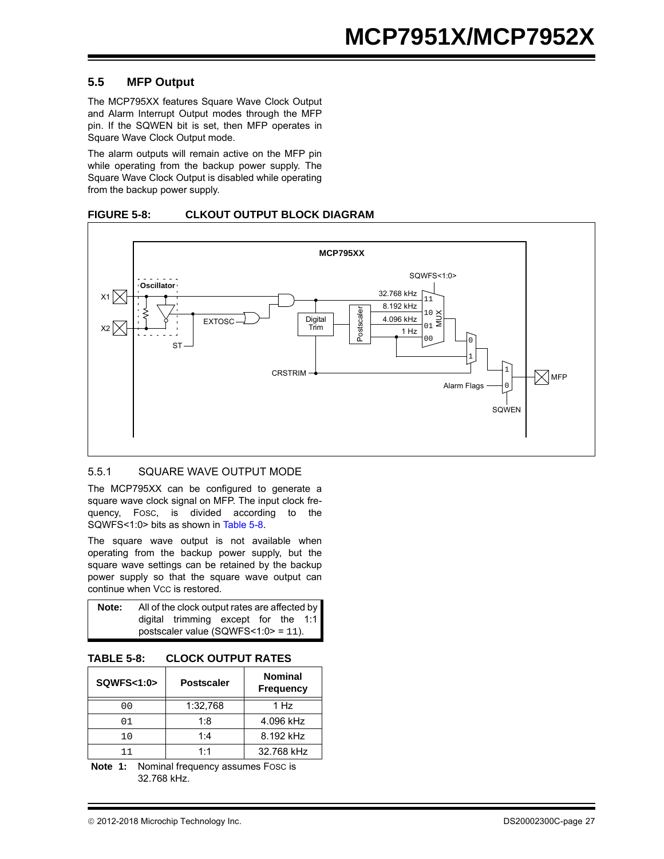#### **5.5 MFP Output**

The MCP795XX features Square Wave Clock Output and Alarm Interrupt Output modes through the MFP pin. If the SQWEN bit is set, then MFP operates in Square Wave Clock Output mode.

The alarm outputs will remain active on the MFP pin while operating from the backup power supply. The Square Wave Clock Output is disabled while operating from the backup power supply.

#### **FIGURE 5-8: CLKOUT OUTPUT BLOCK DIAGRAM**



#### 5.5.1 SQUARE WAVE OUTPUT MODE

The MCP795XX can be configured to generate a square wave clock signal on MFP. The input clock frequency, FOSC, is divided according to the SQWFS<1:0> bits as shown in [Table 5-8.](#page-26-0)

The square wave output is not available when operating from the backup power supply, but the square wave settings can be retained by the backup power supply so that the square wave output can continue when Vcc is restored.

| Note: |                                         | All of the clock output rates are affected by |  |  |  |  |  |  |  |  |
|-------|-----------------------------------------|-----------------------------------------------|--|--|--|--|--|--|--|--|
|       |                                         | digital trimming except for the 1:1           |  |  |  |  |  |  |  |  |
|       | postscaler value (SQWFS $<1:0> = 11$ ). |                                               |  |  |  |  |  |  |  |  |

#### <span id="page-26-0"></span>**TABLE 5-8: CLOCK OUTPUT RATES**

| <b>SQWFS&lt;1:0&gt;</b> | <b>Postscaler</b> | <b>Nominal</b><br><b>Frequency</b> |
|-------------------------|-------------------|------------------------------------|
| 0 <sub>0</sub>          | 1:32,768          | 1 Hz                               |
| 01                      | 1:8               | 4.096 kHz                          |
| 10                      | 1:4               | 8.192 kHz                          |
|                         | 1:1               | 32.768 kHz                         |

**Note 1:** Nominal frequency assumes FOSC is 32.768 kHz.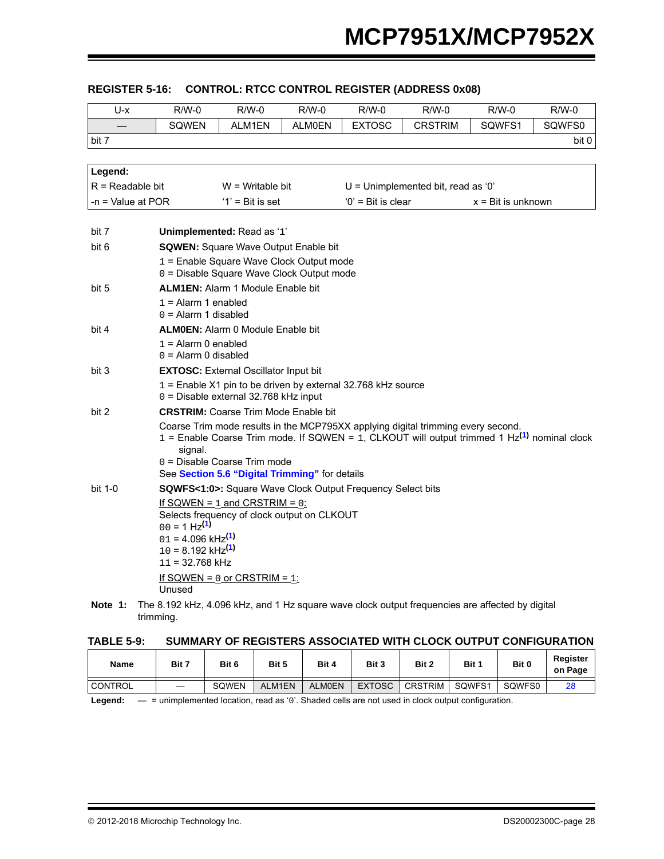| U-x                 | $R/W-0$                                         | $R/W-0$                                                                               | $R/W-0$       | $R/W-0$              | $R/W-0$                                                                                       | $R/W-0$                     | $R/W-0$ |
|---------------------|-------------------------------------------------|---------------------------------------------------------------------------------------|---------------|----------------------|-----------------------------------------------------------------------------------------------|-----------------------------|---------|
|                     | <b>SQWEN</b>                                    | ALM1EN                                                                                | <b>ALM0EN</b> | <b>EXTOSC</b>        | <b>CRSTRIM</b>                                                                                | SQWFS1                      | SQWFS0  |
| bit 7               |                                                 |                                                                                       |               |                      |                                                                                               |                             | bit 0   |
|                     |                                                 |                                                                                       |               |                      |                                                                                               |                             |         |
| Legend:             |                                                 |                                                                                       |               |                      |                                                                                               |                             |         |
| $R =$ Readable bit  |                                                 | $W =$ Writable bit                                                                    |               |                      | $U =$ Unimplemented bit, read as '0'                                                          |                             |         |
| $-n =$ Value at POR |                                                 | $'1'$ = Bit is set                                                                    |               | $'0'$ = Bit is clear |                                                                                               | $x = \text{Bit}$ is unknown |         |
|                     |                                                 |                                                                                       |               |                      |                                                                                               |                             |         |
| bit 7               |                                                 | Unimplemented: Read as '1'                                                            |               |                      |                                                                                               |                             |         |
| bit 6               |                                                 | <b>SQWEN:</b> Square Wave Output Enable bit                                           |               |                      |                                                                                               |                             |         |
|                     |                                                 | 1 = Enable Square Wave Clock Output mode<br>0 = Disable Square Wave Clock Output mode |               |                      |                                                                                               |                             |         |
| bit 5               |                                                 | <b>ALM1EN:</b> Alarm 1 Module Enable bit                                              |               |                      |                                                                                               |                             |         |
|                     | $1 =$ Alarm 1 enabled                           |                                                                                       |               |                      |                                                                                               |                             |         |
|                     | $0 =$ Alarm 1 disabled                          |                                                                                       |               |                      |                                                                                               |                             |         |
| bit 4               |                                                 | <b>ALMOEN:</b> Alarm 0 Module Enable bit                                              |               |                      |                                                                                               |                             |         |
|                     | $1 =$ Alarm 0 enabled<br>$0 =$ Alarm 0 disabled |                                                                                       |               |                      |                                                                                               |                             |         |
| bit 3               |                                                 | <b>EXTOSC:</b> External Oscillator Input bit                                          |               |                      |                                                                                               |                             |         |
|                     |                                                 | 1 = Enable X1 pin to be driven by external 32.768 kHz source                          |               |                      |                                                                                               |                             |         |
|                     |                                                 | 0 = Disable external 32.768 kHz input                                                 |               |                      |                                                                                               |                             |         |
| bit 2               |                                                 | <b>CRSTRIM:</b> Coarse Trim Mode Enable bit                                           |               |                      |                                                                                               |                             |         |
|                     |                                                 |                                                                                       |               |                      | Coarse Trim mode results in the MCP795XX applying digital trimming every second.              |                             |         |
|                     | signal.                                         |                                                                                       |               |                      | 1 = Enable Coarse Trim mode. If SQWEN = 1, CLKOUT will output trimmed 1 $Hz(1)$ nominal clock |                             |         |
|                     |                                                 | $0 =$ Disable Coarse Trim mode                                                        |               |                      |                                                                                               |                             |         |
|                     |                                                 | See Section 5.6 "Digital Trimming" for details                                        |               |                      |                                                                                               |                             |         |
| bit 1-0             |                                                 | <b>SQWFS&lt;1:0&gt;:</b> Square Wave Clock Output Frequency Select bits               |               |                      |                                                                                               |                             |         |
|                     |                                                 | If SQWEN = $1$ and CRSTRIM = $0$ :                                                    |               |                      |                                                                                               |                             |         |
|                     | $00 = 1$ Hz <sup>(1)</sup>                      | Selects frequency of clock output on CLKOUT                                           |               |                      |                                                                                               |                             |         |
|                     | $01 = 4.096$ kHz <sup>(1)</sup>                 |                                                                                       |               |                      |                                                                                               |                             |         |
|                     | $10 = 8.192$ kHz <sup>(1)</sup>                 |                                                                                       |               |                      |                                                                                               |                             |         |
|                     | $11 = 32.768$ kHz                               |                                                                                       |               |                      |                                                                                               |                             |         |
|                     | Unused                                          | If SQWEN = $0$ or CRSTRIM = $1$ :                                                     |               |                      |                                                                                               |                             |         |
|                     |                                                 |                                                                                       |               |                      |                                                                                               |                             |         |

## <span id="page-27-0"></span>**REGISTER 5-16: CONTROL: RTCC CONTROL REGISTER (ADDRESS 0x08)**

<span id="page-27-1"></span>Note 1: The 8.192 kHz, 4.096 kHz, and 1 Hz square wave clock output frequencies are affected by digital trimming.

#### **TABLE 5-9: SUMMARY OF REGISTERS ASSOCIATED WITH CLOCK OUTPUT CONFIGURATION**

| Name           | Bit 7 | Bit 6 | Bit 5  | Bit 4         | Bit 3         | Bit 2          | Bit 1  | Bit 0  | Register<br>on Page |
|----------------|-------|-------|--------|---------------|---------------|----------------|--------|--------|---------------------|
| <b>CONTROL</b> |       | SQWEN | ALM1EN | <b>ALMOEN</b> | <b>EXTOSC</b> | <b>CRSTRIM</b> | SQWFS1 | SQWFS0 | 28                  |

**Legend:** — = unimplemented location, read as '0'. Shaded cells are not used in clock output configuration.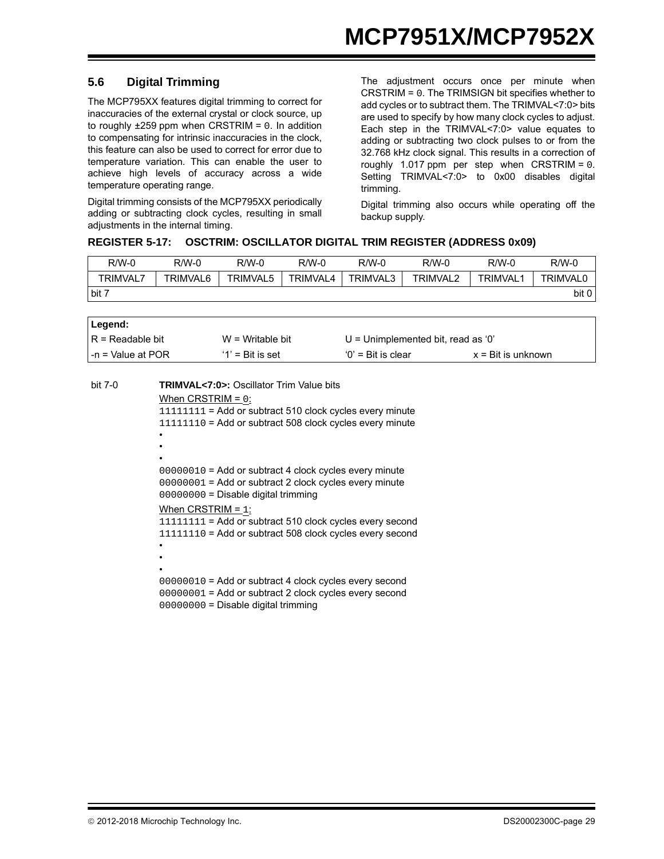### <span id="page-28-0"></span>**5.6 Digital Trimming**

The MCP795XX features digital trimming to correct for inaccuracies of the external crystal or clock source, up to roughly  $\pm 259$  ppm when CRSTRIM = 0. In addition to compensating for intrinsic inaccuracies in the clock, this feature can also be used to correct for error due to temperature variation. This can enable the user to achieve high levels of accuracy across a wide temperature operating range.

Digital trimming consists of the MCP795XX periodically adding or subtracting clock cycles, resulting in small adjustments in the internal timing.

The adjustment occurs once per minute when CRSTRIM = 0. The TRIMSIGN bit specifies whether to add cycles or to subtract them. The TRIMVAL<7:0> bits are used to specify by how many clock cycles to adjust. Each step in the TRIMVAL<7:0> value equates to adding or subtracting two clock pulses to or from the 32.768 kHz clock signal. This results in a correction of roughly 1.017 ppm per step when CRSTRIM = 0. Setting TRIMVAL<7:0> to 0x00 disables digital trimming.

Digital trimming also occurs while operating off the backup supply.

#### <span id="page-28-1"></span>**REGISTER 5-17: OSCTRIM: OSCILLATOR DIGITAL TRIM REGISTER (ADDRESS 0x09)**

| R/W-0    | R/W-0    | $R/W-0$         | $R/W-0$  | $R/W-0$  | $R/W-0$         | $R/W-0$        | $R/W-0$         |
|----------|----------|-----------------|----------|----------|-----------------|----------------|-----------------|
| TRIMVAL. | TRIMVAL6 | <b>TRIMVAL5</b> | TRIMVAL4 | TRIMVAL3 | <b>TRIMVAL2</b> | <b>TRIMVAL</b> | <b>TRIMVAL0</b> |
| $-bit$ 7 |          |                 |          |          |                 |                | bit 0           |

| Legend:             |                     |                                    |                             |
|---------------------|---------------------|------------------------------------|-----------------------------|
| l R = Readable bit  | $W = Writeable bit$ | U = Unimplemented bit, read as '0' |                             |
| l -n = Value at POR | $'1'$ = Bit is set  | $'0'$ = Bit is clear               | $x = \text{Bit}$ is unknown |
|                     |                     |                                    |                             |

| bit 7-0 | <b>TRIMVAL&lt;7:0&gt;: Oscillator Trim Value bits</b>                                                                                                     |
|---------|-----------------------------------------------------------------------------------------------------------------------------------------------------------|
|         | When CRSTRIM = $0$ :                                                                                                                                      |
|         | $11111111 =$ Add or subtract 510 clock cycles every minute                                                                                                |
|         | $11111110$ = Add or subtract 508 clock cycles every minute                                                                                                |
|         |                                                                                                                                                           |
|         |                                                                                                                                                           |
|         |                                                                                                                                                           |
|         | 00000010 = Add or subtract 4 clock cycles every minute<br>00000001 = Add or subtract 2 clock cycles every minute<br>00000000 = Disable digital trimming   |
|         | When CRSTRIM = $1$ :                                                                                                                                      |
|         | $11111111 =$ Add or subtract 510 clock cycles every second                                                                                                |
|         | 11111110 = Add or subtract 508 clock cycles every second                                                                                                  |
|         |                                                                                                                                                           |
|         |                                                                                                                                                           |
|         |                                                                                                                                                           |
|         | 00000010 = Add or subtract 4 clock cycles every second<br>00000001 = Add or subtract 2 clock cycles every second<br>$00000000 =$ Disable digital trimming |
|         |                                                                                                                                                           |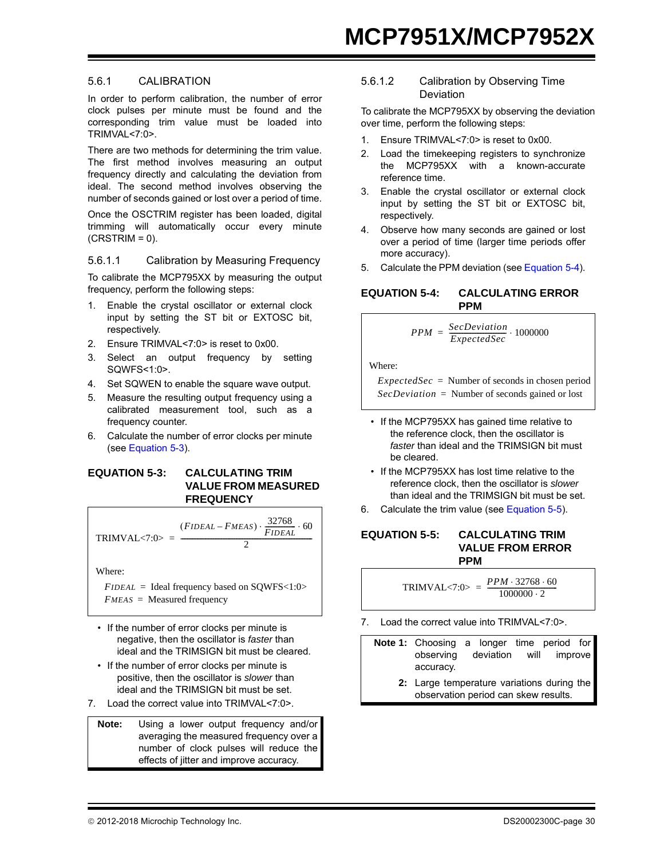#### 5.6.1 CALIBRATION

In order to perform calibration, the number of error clock pulses per minute must be found and the corresponding trim value must be loaded into TRIMVAL<7:0>.

There are two methods for determining the trim value. The first method involves measuring an output frequency directly and calculating the deviation from ideal. The second method involves observing the number of seconds gained or lost over a period of time.

Once the OSCTRIM register has been loaded, digital trimming will automatically occur every minute  $(CRSTRIM = 0)$ .

#### 5.6.1.1 Calibration by Measuring Frequency

To calibrate the MCP795XX by measuring the output frequency, perform the following steps:

- 1. Enable the crystal oscillator or external clock input by setting the ST bit or EXTOSC bit, respectively.
- 2. Ensure TRIMVAL<7:0> is reset to 0x00.
- 3. Select an output frequency by setting SQWFS<1:0>.
- 4. Set SQWEN to enable the square wave output.
- 5. Measure the resulting output frequency using a calibrated measurement tool, such as a frequency counter.
- 6. Calculate the number of error clocks per minute (see [Equation 5-3\)](#page-29-0).

#### <span id="page-29-0"></span>**EQUATION 5-3: CALCULATING TRIM VALUE FROM MEASURED FREQUENCY**

$$
TRIMVAL<7:0> = \frac{(FIDEAL - FMEAS) \cdot \frac{32768}{FIDEAL} \cdot 60}{2}
$$

Where:

 $FIDEAL =$  Ideal frequency based on SOWFS<1:0> *FMEAS* = Measured frequency

- If the number of error clocks per minute is negative, then the oscillator is *faster* than ideal and the TRIMSIGN bit must be cleared.
- If the number of error clocks per minute is positive, then the oscillator is *slower* than ideal and the TRIMSIGN bit must be set.
- 7. Load the correct value into TRIMVAL<7:0>.

**Note:** Using a lower output frequency and/or averaging the measured frequency over a number of clock pulses will reduce the effects of jitter and improve accuracy.

#### 5.6.1.2 Calibration by Observing Time Deviation

To calibrate the MCP795XX by observing the deviation over time, perform the following steps:

- 1. Ensure TRIMVAL<7:0> is reset to 0x00.
- 2. Load the timekeeping registers to synchronize the MCP795XX with a known-accurate reference time.
- 3. Enable the crystal oscillator or external clock input by setting the ST bit or EXTOSC bit, respectively.
- 4. Observe how many seconds are gained or lost over a period of time (larger time periods offer more accuracy).
- 5. Calculate the PPM deviation (see [Equation 5-4](#page-29-1)).

#### <span id="page-29-1"></span>**EQUATION 5-4: CALCULATING ERROR PPM**

$$
PPM = \frac{SecDeviation}{ExpectedSec} \cdot 1000000
$$

Where:

 $ExpectedSec = Number of seconds in chosen period$ *SecDeviation* = Number of seconds gained or lost

- If the MCP795XX has gained time relative to the reference clock, then the oscillator is *faster* than ideal and the TRIMSIGN bit must be cleared.
- If the MCP795XX has lost time relative to the reference clock, then the oscillator is *slower* than ideal and the TRIMSIGN bit must be set.
- 6. Calculate the trim value (see [Equation 5-5](#page-29-2)).

#### <span id="page-29-2"></span>**EQUATION 5-5: CALCULATING TRIM VALUE FROM ERROR PPM**

 $TRIMVAL < 7:0> = \frac{PPM \cdot 32768 \cdot 60}{1000000 \cdot 2}$ 

7. Load the correct value into TRIMVAL<7:0>.

**Note 1:** Choosing a longer time period for observing deviation will improve accuracy.

> **2:** Large temperature variations during the observation period can skew results.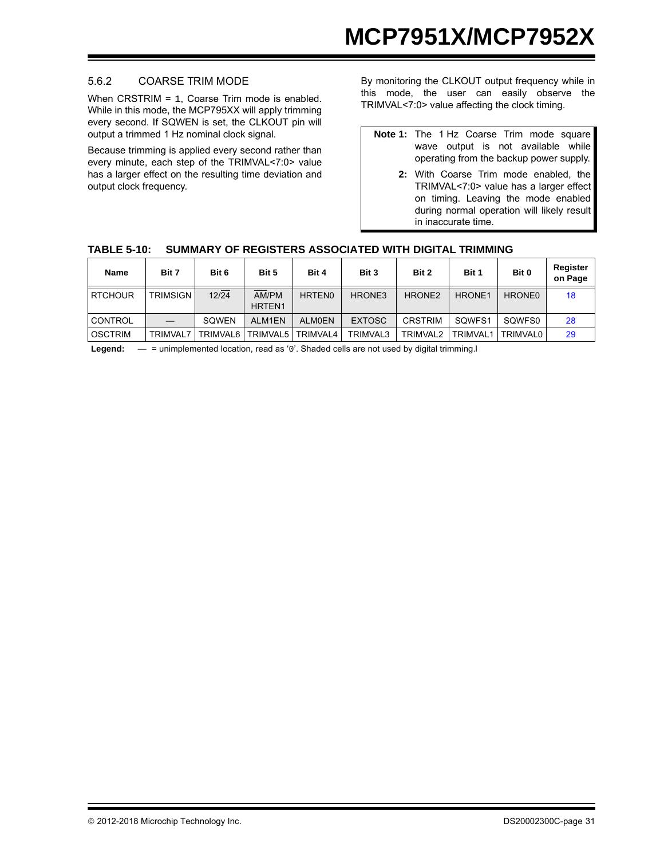#### 5.6.2 COARSE TRIM MODE

When CRSTRIM = 1, Coarse Trim mode is enabled. While in this mode, the MCP795XX will apply trimming every second. If SQWEN is set, the CLKOUT pin will output a trimmed 1 Hz nominal clock signal.

Because trimming is applied every second rather than every minute, each step of the TRIMVAL<7:0> value has a larger effect on the resulting time deviation and output clock frequency.

By monitoring the CLKOUT output frequency while in this mode, the user can easily observe the TRIMVAL<7:0> value affecting the clock timing.

- **Note 1:** The 1 Hz Coarse Trim mode square wave output is not available while operating from the backup power supply.
	- **2:** With Coarse Trim mode enabled, the TRIMVAL<7:0> value has a larger effect on timing. Leaving the mode enabled during normal operation will likely result in inaccurate time.

|  | TABLE 5-10: SUMMARY OF REGISTERS ASSOCIATED WITH DIGITAL TRIMMING |  |
|--|-------------------------------------------------------------------|--|
|--|-------------------------------------------------------------------|--|

| <b>Name</b>    | Bit 7           | Bit 6    | Bit 5                       | Bit 4         | Bit 3         | Bit 2                | Bit 1              | Bit 0    | Register<br>on Page |
|----------------|-----------------|----------|-----------------------------|---------------|---------------|----------------------|--------------------|----------|---------------------|
| <b>RTCHOUR</b> | <b>TRIMSIGN</b> | 12/24    | AM/PM<br>HRTEN <sub>1</sub> | <b>HRTEN0</b> | HRONE3        | HRONE <sub>2</sub>   | HRONE <sub>1</sub> | HRONE0   | 18                  |
| <b>CONTROL</b> |                 | SOWEN    | ALM1EN                      | <b>ALMOEN</b> | <b>EXTOSC</b> | <b>CRSTRIM</b>       | SOWFS1             | SOWFS0   | 28                  |
| <b>OSCTRIM</b> | <b>TRIMVAL7</b> | TRIMVAL6 | <b>TRIMVAL5</b>             | TRIMVAL4      | TRIMVAL3      | TRIMVAL <sub>2</sub> | TRIMVAL1           | TRIMVAL0 | 29                  |

Legend: — = unimplemented location, read as '0'. Shaded cells are not used by digital trimming.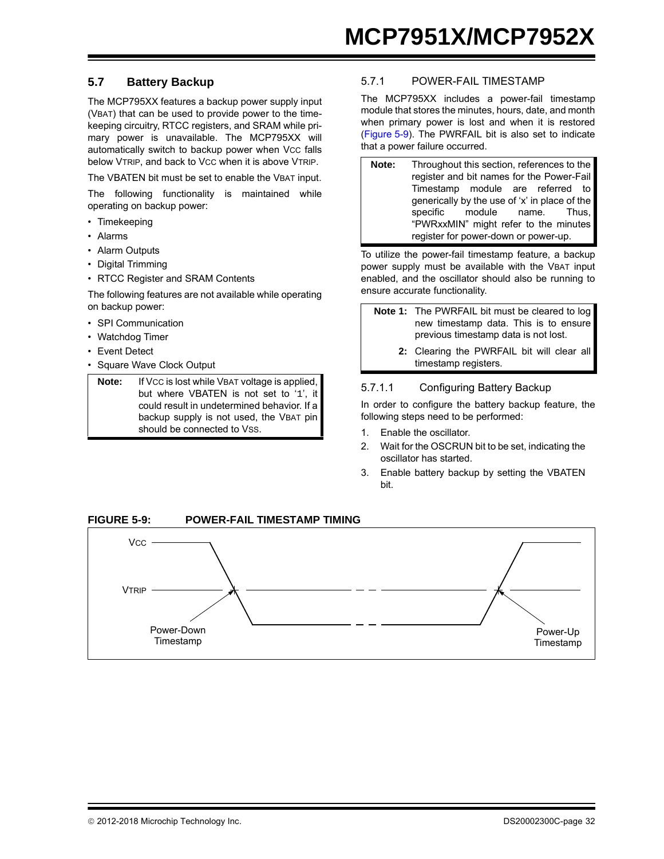#### **5.7 Battery Backup**

The MCP795XX features a backup power supply input (VBAT) that can be used to provide power to the timekeeping circuitry, RTCC registers, and SRAM while primary power is unavailable. The MCP795XX will automatically switch to backup power when Vcc falls below VTRIP, and back to Vcc when it is above VTRIP.

The VBATEN bit must be set to enable the VBAT input.

The following functionality is maintained while operating on backup power:

- Timekeeping
- Alarms
- Alarm Outputs
- Digital Trimming
- RTCC Register and SRAM Contents

The following features are not available while operating on backup power:

- SPI Communication
- Watchdog Timer
- Event Detect
- Square Wave Clock Output

**Note:** If VCC is lost while VBAT voltage is applied, but where VBATEN is not set to '1', it could result in undetermined behavior. If a backup supply is not used, the VBAT pin should be connected to VSS.

#### <span id="page-31-0"></span>5.7.1 POWER-FAIL TIMESTAMP

The MCP795XX includes a power-fail timestamp module that stores the minutes, hours, date, and month when primary power is lost and when it is restored ([Figure 5-9\)](#page-31-1). The PWRFAIL bit is also set to indicate that a power failure occurred.

**Note:** Throughout this section, references to the register and bit names for the Power-Fail Timestamp module are referred to generically by the use of 'x' in place of the specific module name. Thus, "PWRxxMIN" might refer to the minutes register for power-down or power-up.

To utilize the power-fail timestamp feature, a backup power supply must be available with the VBAT input enabled, and the oscillator should also be running to ensure accurate functionality.

- **Note 1:** The PWRFAIL bit must be cleared to log new timestamp data. This is to ensure previous timestamp data is not lost.
	- **2:** Clearing the PWRFAIL bit will clear all timestamp registers.

#### 5.7.1.1 Configuring Battery Backup

In order to configure the battery backup feature, the following steps need to be performed:

- 1. Enable the oscillator.
- 2. Wait for the OSCRUN bit to be set, indicating the oscillator has started.
- 3. Enable battery backup by setting the VBATEN bit.

<span id="page-31-1"></span>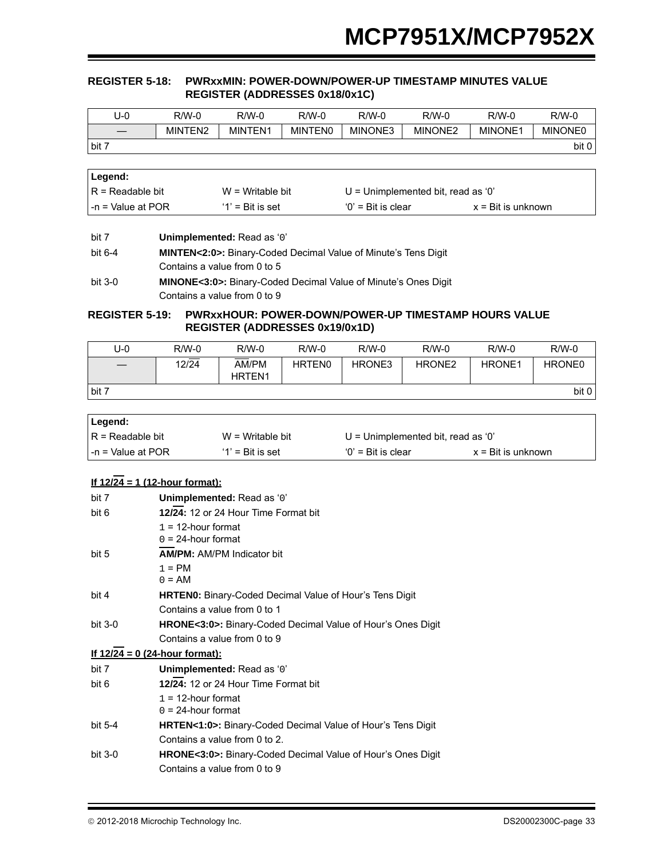#### <span id="page-32-0"></span>**REGISTER 5-18: PWRxxMIN: POWER-DOWN/POWER-UP TIMESTAMP MINUTES VALUE REGISTER (ADDRESSES 0x18/0x1C)**

| U-0   | R/W-0   | $R/W-0$ | R/W-0          | $R/W-0$ | $R/W-0$ | $R/W-0$        | $R/W-0$        |
|-------|---------|---------|----------------|---------|---------|----------------|----------------|
|       | MINTEN2 | MINTEN1 | <b>MINTENO</b> | MINONE3 | MINONE2 | <b>MINONE1</b> | <b>MINONE0</b> |
| bit 7 |         |         |                |         |         |                | bit 0          |

| ∣Legend:               |                     |                                      |                             |
|------------------------|---------------------|--------------------------------------|-----------------------------|
| $IR = Readable bit$    | $W = Writeable bit$ | $U =$ Unimplemented bit, read as '0' |                             |
| $l - n =$ Value at POR | $'1'$ = Bit is set  | $'0'$ = Bit is clear                 | $x = \text{Bit}$ is unknown |

| bit 7   | Unimplemented: Read as '0'                                                  |
|---------|-----------------------------------------------------------------------------|
| bit 6-4 | <b>MINTEN&lt;2:0&gt;:</b> Binary-Coded Decimal Value of Minute's Tens Digit |
|         | Contains a value from 0 to 5                                                |
| bit 3-0 | <b>MINONE&lt;3:0&gt;:</b> Binary-Coded Decimal Value of Minute's Ones Digit |
|         | Contains a value from 0 to 9                                                |

#### <span id="page-32-1"></span>**REGISTER 5-19: PWRxxHOUR: POWER-DOWN/POWER-UP TIMESTAMP HOURS VALUE REGISTER (ADDRESSES 0x19/0x1D)**

| J-0   | $R/W-0$ | $R/W-0$                | $R/W-0$            | $R/W-0$ | $R/W-0$            | $R/W-0$       | $R/W-0$ |
|-------|---------|------------------------|--------------------|---------|--------------------|---------------|---------|
|       | 12/24   | AM/PM<br><b>HRTEN1</b> | HRTEN <sub>0</sub> | HRONE3  | HRONE <sub>2</sub> | <b>HRONE1</b> | HRONE0  |
| bit 7 |         |                        |                    |         |                    |               | bit 0   |

| Legend:             |                     |                                      |                             |
|---------------------|---------------------|--------------------------------------|-----------------------------|
| IR = Readable bit   | $W = Writeable bit$ | $U =$ Unimplemented bit, read as '0' |                             |
| l -n = Value at POR | $'1'$ = Bit is set  | $'0'$ = Bit is clear                 | $x = \text{Bit}$ is unknown |

#### **If 12/24 = 1 (12-hour format):**

| bit 7     | Unimplemented: Read as '0'                                               |
|-----------|--------------------------------------------------------------------------|
| bit 6     | 12/24: 12 or 24 Hour Time Format bit                                     |
|           | $1 = 12$ -hour format                                                    |
|           | $0 = 24$ -hour format                                                    |
| bit 5     | <b>AM/PM: AM/PM Indicator bit</b>                                        |
|           | $1 = PM$                                                                 |
|           | $0 = AM$                                                                 |
| bit 4     | <b>HRTEN0:</b> Binary-Coded Decimal Value of Hour's Tens Digit           |
|           | Contains a value from 0 to 1                                             |
| bit $3-0$ | <b>HRONE&lt;3:0&gt;:</b> Binary-Coded Decimal Value of Hour's Ones Digit |
|           | Contains a value from 0 to 9                                             |
|           | <u>If 12/24 = 0 (24-hour format):</u>                                    |
| bit 7     | Unimplemented: Read as '0'                                               |
| bit 6     | 12/24: 12 or 24 Hour Time Format bit                                     |
|           | $1 = 12$ -hour format                                                    |
|           | $0 = 24$ -hour format                                                    |
| bit $5-4$ | <b>HRTEN&lt;1:0&gt;:</b> Binary-Coded Decimal Value of Hour's Tens Digit |
|           | Contains a value from 0 to 2.                                            |
| bit $3-0$ | <b>HRONE&lt;3:0&gt;:</b> Binary-Coded Decimal Value of Hour's Ones Digit |
|           | Contains a value from 0 to 9                                             |
|           |                                                                          |

2012-2018 Microchip Technology Inc. DS20002300C-page 33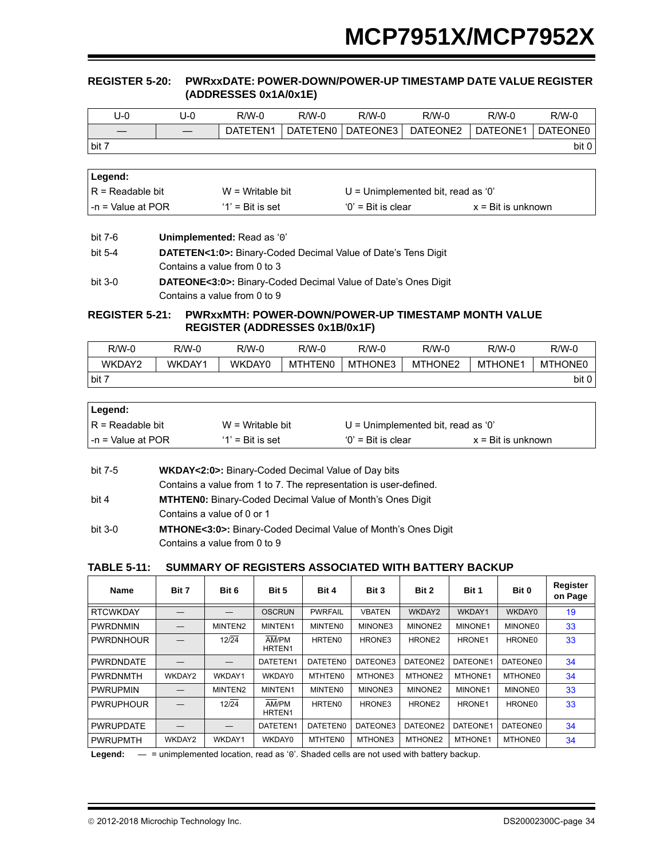#### <span id="page-33-0"></span>**REGISTER 5-20: PWRxxDATE: POWER-DOWN/POWER-UP TIMESTAMP DATE VALUE REGISTER (ADDRESSES 0x1A/0x1E)**

| U-0               | J-0 | $R/W-0$  | R/W-0    | $R/W-0$  | $R/W-0$  | $R/W-0$  | $R/W-0$  |
|-------------------|-----|----------|----------|----------|----------|----------|----------|
|                   |     | DATETEN1 | DATETEN0 | DATEONE3 | DATEONE2 | DATEONE1 | DATEONE0 |
| $1 \text{ bit}$ 7 |     |          |          |          |          |          | bit 0    |

| ∣Legend:                  |                     |                                    |                             |
|---------------------------|---------------------|------------------------------------|-----------------------------|
| $IR = Readable bit$       | $W = Writeable bit$ | U = Unimplemented bit, read as '0' |                             |
| $\vert$ -n = Value at POR | $'1'$ = Bit is set  | $'0'$ = Bit is clear               | $x = \text{Bit}$ is unknown |

| bit 7-6   | Unimplemented: Read as '0'                                                 |
|-----------|----------------------------------------------------------------------------|
| bit 5-4   | <b>DATETEN&lt;1:0&gt;:</b> Binary-Coded Decimal Value of Date's Tens Digit |
|           | Contains a value from 0 to 3                                               |
| $bit 3-0$ | <b>DATEONE&lt;3:0&gt;:</b> Binary-Coded Decimal Value of Date's Ones Digit |
|           | Contains a value from 0 to 9                                               |

#### <span id="page-33-1"></span>**REGISTER 5-21: PWRxxMTH: POWER-DOWN/POWER-UP TIMESTAMP MONTH VALUE REGISTER (ADDRESSES 0x1B/0x1F)**

| R/W-0  | R/W-0  | $R/W-0$ | R/W-0   | $R/W-0$ | $R/W-0$             | $R/W-0$        | $R/W-0$        |
|--------|--------|---------|---------|---------|---------------------|----------------|----------------|
| WKDAY2 | WKDAY1 | WKDAY0  | MTHTEN0 | MTHONE3 | MTHONE <sub>2</sub> | <b>MTHONE1</b> | <b>MTHONE0</b> |
| bit 7  |        |         |         |         |                     |                | bit 0          |

| Legend:             |                     |                                      |                             |
|---------------------|---------------------|--------------------------------------|-----------------------------|
| IR = Readable bit   | $W = W$ ritable bit | $U =$ Unimplemented bit, read as '0' |                             |
| l -n = Value at POR | $'1'$ = Bit is set  | $'0'$ = Bit is clear                 | $x = \text{Bit}$ is unknown |

| bit 7-5   | WKDAY<2:0>: Binary-Coded Decimal Value of Day bits                |
|-----------|-------------------------------------------------------------------|
|           | Contains a value from 1 to 7. The representation is user-defined. |
| bit 4     | <b>MTHTEN0:</b> Binary-Coded Decimal Value of Month's Ones Digit  |
|           | Contains a value of 0 or 1                                        |
| $bit 3-0$ | MTHONE<3:0>: Binary-Coded Decimal Value of Month's Ones Digit     |

Contains a value from 0 to 9

#### **TABLE 5-11: SUMMARY OF REGISTERS ASSOCIATED WITH BATTERY BACKUP**

| <b>Name</b>      | Bit 7  | Bit 6   | Bit 5                       | Bit 4          | Bit 3         | Bit 2              | Bit 1    | Bit 0          | Register<br>on Page |
|------------------|--------|---------|-----------------------------|----------------|---------------|--------------------|----------|----------------|---------------------|
| <b>RTCWKDAY</b>  |        |         | <b>OSCRUN</b>               | <b>PWRFAIL</b> | <b>VBATEN</b> | WKDAY2             | WKDAY1   | WKDAY0         | 19                  |
| <b>PWRDNMIN</b>  |        | MINTEN2 | MINTEN1                     | <b>MINTENO</b> | MINONE3       | MINONE2            | MINONE1  | <b>MINONE0</b> | 33                  |
| <b>PWRDNHOUR</b> |        | 12/24   | AM/PM<br>HRTEN1             | <b>HRTEN0</b>  | HRONE3        | HRONE <sub>2</sub> | HRONE1   | HRONE0         | 33                  |
| <b>PWRDNDATE</b> |        |         | DATETEN1                    | DATETEN0       | DATEONE3      | DATEONE2           | DATEONE1 | DATEONE0       | 34                  |
| <b>PWRDNMTH</b>  | WKDAY2 | WKDAY1  | WKDAY0                      | MTHTEN0        | MTHONE3       | MTHONE2            | MTHONE1  | <b>MTHONE0</b> | 34                  |
| <b>PWRUPMIN</b>  |        | MINTEN2 | MINTEN1                     | <b>MINTENO</b> | MINONE3       | MINONE2            | MINONE1  | <b>MINONE0</b> | 33                  |
| <b>PWRUPHOUR</b> |        | 12/24   | AM/PM<br>HRTEN <sub>1</sub> | <b>HRTEN0</b>  | HRONE3        | HRONE <sub>2</sub> | HRONE1   | <b>HRONE0</b>  | 33                  |
| <b>PWRUPDATE</b> |        |         | DATETEN1                    | DATETEN0       | DATEONE3      | DATEONE2           | DATEONE1 | DATEONE0       | 34                  |
| <b>PWRUPMTH</b>  | WKDAY2 | WKDAY1  | WKDAY0                      | <b>MTHTEN0</b> | MTHONE3       | MTHONE2            | MTHONE1  | <b>MTHONE0</b> | 34                  |

Legend:  $-$  = unimplemented location, read as '0'. Shaded cells are not used with battery backup.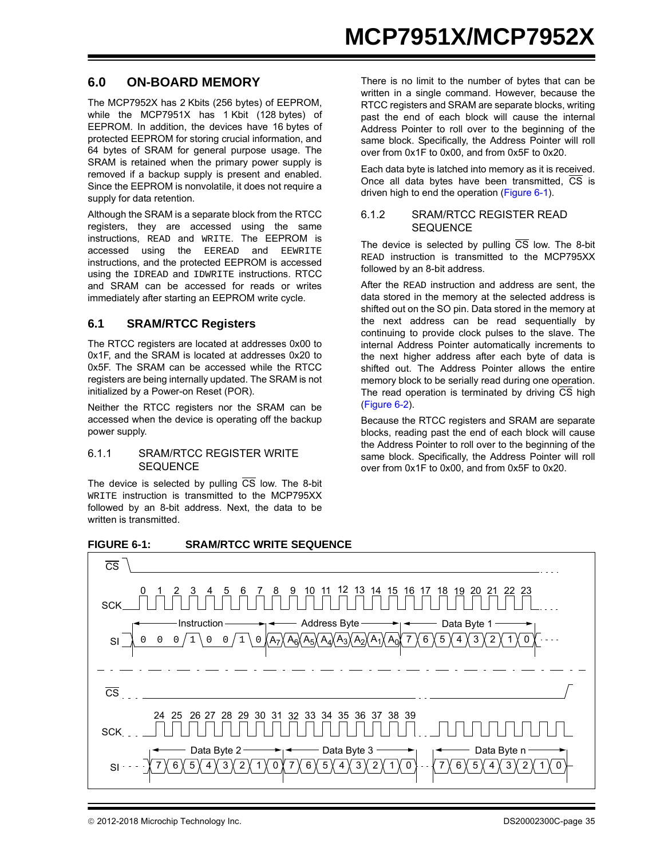### **6.0 ON-BOARD MEMORY**

The MCP7952X has 2 Kbits (256 bytes) of EEPROM, while the MCP7951X has 1 Kbit (128 bytes) of EEPROM. In addition, the devices have 16 bytes of protected EEPROM for storing crucial information, and 64 bytes of SRAM for general purpose usage. The SRAM is retained when the primary power supply is removed if a backup supply is present and enabled. Since the EEPROM is nonvolatile, it does not require a supply for data retention.

Although the SRAM is a separate block from the RTCC registers, they are accessed using the same instructions, READ and WRITE. The EEPROM is accessed using the EEREAD and EEWRITE instructions, and the protected EEPROM is accessed using the IDREAD and IDWRITE instructions. RTCC and SRAM can be accessed for reads or writes immediately after starting an EEPROM write cycle.

#### **6.1 SRAM/RTCC Registers**

The RTCC registers are located at addresses 0x00 to 0x1F, and the SRAM is located at addresses 0x20 to 0x5F. The SRAM can be accessed while the RTCC registers are being internally updated. The SRAM is not initialized by a Power-on Reset (POR).

Neither the RTCC registers nor the SRAM can be accessed when the device is operating off the backup power supply.

#### 6.1.1 SRAM/RTCC REGISTER WRITE **SEQUENCE**

The device is selected by pulling  $\overline{CS}$  low. The 8-bit WRITE instruction is transmitted to the MCP795XX followed by an 8-bit address. Next, the data to be written is transmitted.

There is no limit to the number of bytes that can be written in a single command. However, because the RTCC registers and SRAM are separate blocks, writing past the end of each block will cause the internal Address Pointer to roll over to the beginning of the same block. Specifically, the Address Pointer will roll over from 0x1F to 0x00, and from 0x5F to 0x20.

Each data byte is latched into memory as it is received. Once all data bytes have been transmitted.  $\overline{\text{CS}}$  is driven high to end the operation ([Figure 6-1\)](#page-34-0).

#### 6.1.2 SRAM/RTCC REGISTER READ SEQUENCE

The device is selected by pulling  $\overline{CS}$  low. The 8-bit READ instruction is transmitted to the MCP795XX followed by an 8-bit address.

After the READ instruction and address are sent, the data stored in the memory at the selected address is shifted out on the SO pin. Data stored in the memory at the next address can be read sequentially by continuing to provide clock pulses to the slave. The internal Address Pointer automatically increments to the next higher address after each byte of data is shifted out. The Address Pointer allows the entire memory block to be serially read during one operation. The read operation is terminated by driving  $\overline{CS}$  high ([Figure 6-2\)](#page-35-0).

Because the RTCC registers and SRAM are separate blocks, reading past the end of each block will cause the Address Pointer to roll over to the beginning of the same block. Specifically, the Address Pointer will roll over from 0x1F to 0x00, and from 0x5F to 0x20.

<span id="page-34-0"></span>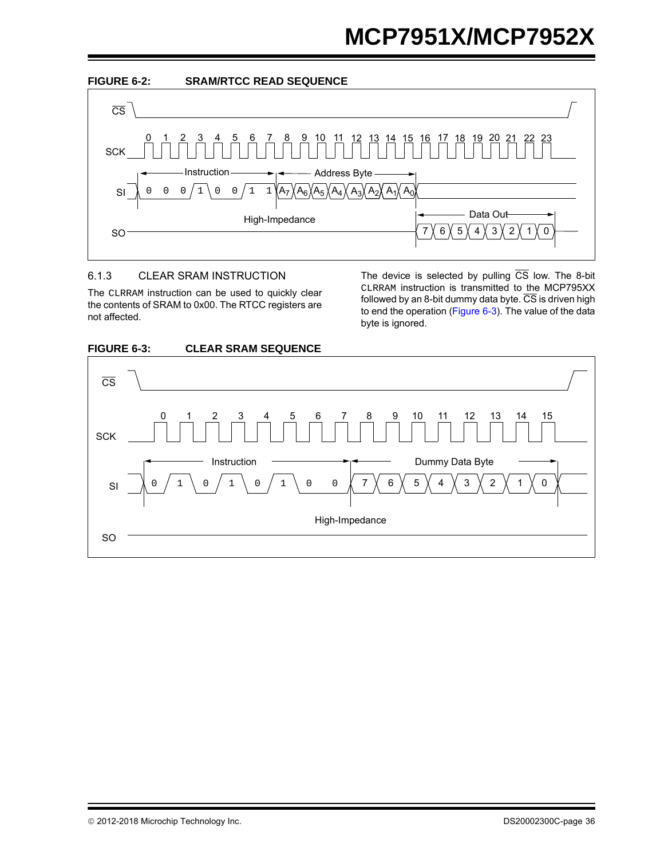<span id="page-35-0"></span>

#### 6.1.3 CLEAR SRAM INSTRUCTION

The CLRRAM instruction can be used to quickly clear the contents of SRAM to 0x00. The RTCC registers are not affected.

The device is selected by pulling  $\overline{CS}$  low. The 8-bit CLRRAM instruction is transmitted to the MCP795XX followed by an 8-bit dummy data byte.  $\overline{\text{CS}}$  is driven high to end the operation [\(Figure 6-3](#page-35-1)). The value of the data byte is ignored.



#### <span id="page-35-1"></span>**FIGURE 6-3: CLEAR SRAM SEQUENCE**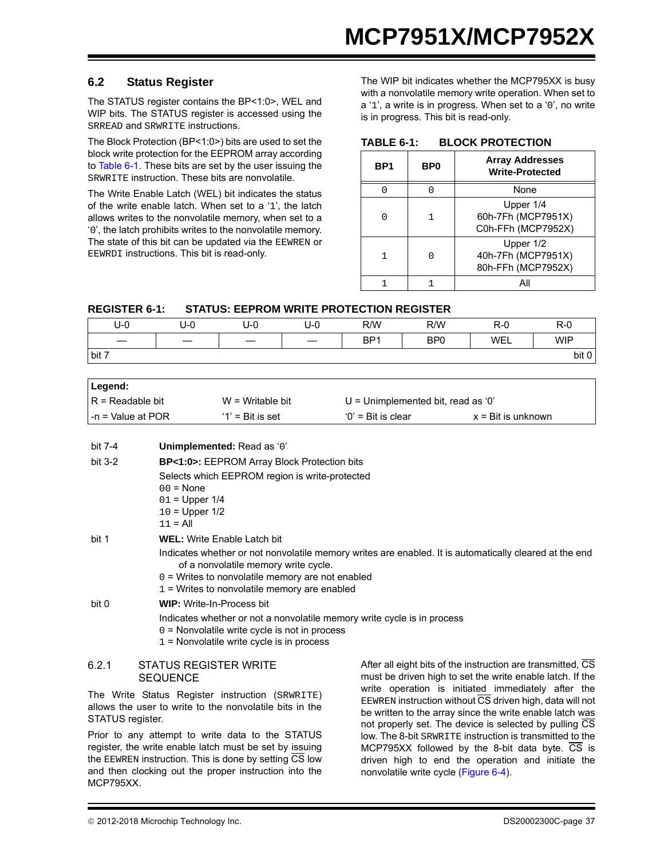#### **6.2 Status Register**

The STATUS register contains the BP<1:0>, WEL and WIP bits. The STATUS register is accessed using the SRREAD and SRWRITE instructions.

The Block Protection (BP<1:0>) bits are used to set the block write protection for the EEPROM array according to [Table 6-1](#page-36-0). These bits are set by the user issuing the SRWRITE instruction. These bits are nonvolatile.

The Write Enable Latch (WEL) bit indicates the status of the write enable latch. When set to a '1', the latch allows writes to the nonvolatile memory, when set to a '0', the latch prohibits writes to the nonvolatile memory. The state of this bit can be updated via the EEWREN or EEWRDI instructions. This bit is read-only.

The WIP bit indicates whether the MCP795XX is busy with a nonvolatile memory write operation. When set to a '1', a write is in progress. When set to a '0', no write is in progress. This bit is read-only.

#### <span id="page-36-0"></span>**TABLE 6-1: BLOCK PROTECTION**

| BP1 | BP <sub>0</sub> | <b>Array Addresses</b><br><b>Write-Protected</b>      |
|-----|-----------------|-------------------------------------------------------|
|     |                 | <b>None</b>                                           |
|     |                 | Upper 1/4<br>60h-7Fh (MCP7951X)<br>C0h-FFh (MCP7952X) |
|     | ∩               | Upper 1/2<br>40h-7Fh (MCP7951X)<br>80h-FFh (MCP7952X) |
|     |                 |                                                       |

#### **REGISTER 6-1: STATUS: EEPROM WRITE PROTECTION REGISTER**

| U-0   | U-0 | U-0 | U-0 | R/W             | R/W             | $R-0$ | $R-0$      |
|-------|-----|-----|-----|-----------------|-----------------|-------|------------|
|       |     |     |     | BP <sub>1</sub> | BP <sub>0</sub> | WEL   | <b>WIP</b> |
| bit 7 |     |     |     |                 |                 |       | bit 0      |

| ∣ Legend:          |                     |                                    |                             |
|--------------------|---------------------|------------------------------------|-----------------------------|
| IR = Readable bit  | $W = Writeable bit$ | U = Unimplemented bit, read as '0' |                             |
| I-n = Value at POR | $'1'$ = Bit is set  | $0'$ = Bit is clear                | $x = \text{Bit}$ is unknown |

| bit 7-4   | Unimplemented: Read as '0'                                                                                                                                                                                                                             |
|-----------|--------------------------------------------------------------------------------------------------------------------------------------------------------------------------------------------------------------------------------------------------------|
| bit $3-2$ | <b>BP&lt;1:0&gt;:</b> EEPROM Array Block Protection bits                                                                                                                                                                                               |
|           | Selects which EEPROM region is write-protected                                                                                                                                                                                                         |
|           | $00 = \text{None}$                                                                                                                                                                                                                                     |
|           | $01 =$ Upper $1/4$                                                                                                                                                                                                                                     |
|           | $10 = Upper 1/2$                                                                                                                                                                                                                                       |
|           | $11 = Al$                                                                                                                                                                                                                                              |
| bit 1     | <b>WEL:</b> Write Enable Latch bit                                                                                                                                                                                                                     |
|           | Indicates whether or not nonvolatile memory writes are enabled. It is automatically cleared at the end<br>of a nonvolatile memory write cycle.<br>$0 =$ Writes to nonvolatile memory are not enabled<br>$1$ = Writes to nonvolatile memory are enabled |
| bit 0     | <b>WIP:</b> Write-In-Process bit<br>Indicates whether or not a nonvolatile memory write cycle is in process<br>$0 =$ Nonvolatile write cycle is not in process<br>$1$ = Nonvolatile write cycle is in process                                          |
| 6.2.1     | After all eight bits of the instruction are transmitted, CS<br><b>STATUS REGISTER WRITE</b>                                                                                                                                                            |

#### **SEQUENCE**

The Write Status Register instruction (SRWRITE) allows the user to write to the nonvolatile bits in the STATUS register.

Prior to any attempt to write data to the STATUS register, the write enable latch must be set by issuing the EEWREN instruction. This is done by setting  $\overline{\text{CS}}$  low and then clocking out the proper instruction into the MCP795XX.

After all eight bits of the instruction are transmitted, CS must be driven high to set the write enable latch. If the write operation is initiated immediately after the EEWREN instruction without  $\overline{\text{CS}}$  driven high, data will not be written to the array since the write enable latch was not properly set. The device is selected by pulling CS low. The 8-bit SRWRITE instruction is transmitted to the MCP795XX followed by the 8-bit data byte.  $\overline{CS}$  is driven high to end the operation and initiate the nonvolatile write cycle ([Figure 6-4\)](#page-37-0).

2012-2018 Microchip Technology Inc. DS20002300C-page 37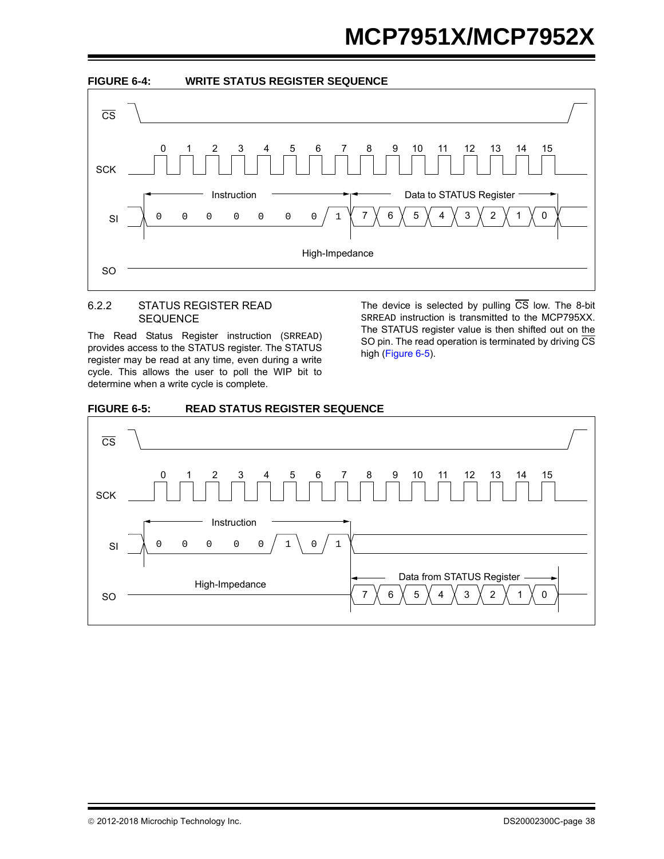<span id="page-37-0"></span>

#### 6.2.2 STATUS REGISTER READ **SEQUENCE**

The Read Status Register instruction (SRREAD) provides access to the STATUS register. The STATUS register may be read at any time, even during a write cycle. This allows the user to poll the WIP bit to determine when a write cycle is complete.

The device is selected by pulling  $\overline{CS}$  low. The 8-bit SRREAD instruction is transmitted to the MCP795XX. The STATUS register value is then shifted out on the SO pin. The read operation is terminated by driving  $\overline{\text{CS}}$ high [\(Figure 6-5](#page-37-1)).

<span id="page-37-1"></span>

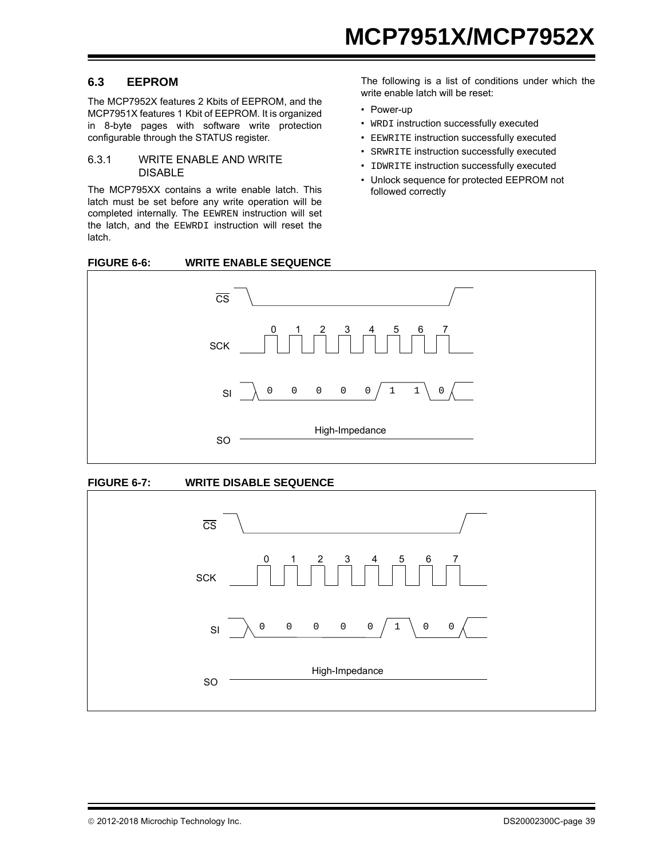#### **6.3 EEPROM**

The MCP7952X features 2 Kbits of EEPROM, and the MCP7951X features 1 Kbit of EEPROM. It is organized in 8-byte pages with software write protection configurable through the STATUS register.

#### <span id="page-38-0"></span>6.3.1 WRITE ENABLE AND WRITE **DISABLE**

The MCP795XX contains a write enable latch. This latch must be set before any write operation will be completed internally. The EEWREN instruction will set the latch, and the EEWRDI instruction will reset the latch.

The following is a list of conditions under which the write enable latch will be reset:

- Power-up
- WRDI instruction successfully executed
- EEWRITE instruction successfully executed
- SRWRITE instruction successfully executed
- IDWRITE instruction successfully executed
- Unlock sequence for protected EEPROM not followed correctly





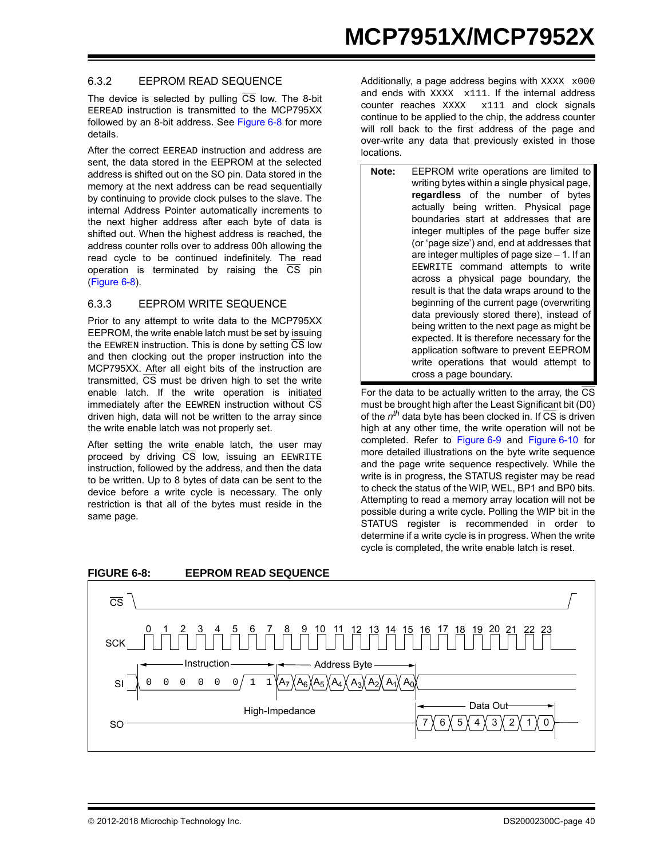#### 6.3.2 EEPROM READ SEQUENCE

The device is selected by pulling  $\overline{CS}$  low. The 8-bit EEREAD instruction is transmitted to the MCP795XX followed by an 8-bit address. See [Figure 6-8](#page-39-0) for more details.

After the correct EEREAD instruction and address are sent, the data stored in the EEPROM at the selected address is shifted out on the SO pin. Data stored in the memory at the next address can be read sequentially by continuing to provide clock pulses to the slave. The internal Address Pointer automatically increments to the next higher address after each byte of data is shifted out. When the highest address is reached, the address counter rolls over to address 00h allowing the read cycle to be continued indefinitely. The read operation is terminated by raising the  $\overline{CS}$  pin ([Figure 6-8\)](#page-39-0).

#### 6.3.3 EEPROM WRITE SEQUENCE

Prior to any attempt to write data to the MCP795XX EEPROM, the write enable latch must be set by issuing the EEWREN instruction. This is done by setting  $\overline{\text{CS}}$  low and then clocking out the proper instruction into the MCP795XX. After all eight bits of the instruction are transmitted,  $\overline{CS}$  must be driven high to set the write enable latch. If the write operation is initiated immediately after the EEWREN instruction without  $\overline{\text{CS}}$ driven high, data will not be written to the array since the write enable latch was not properly set.

After setting the write enable latch, the user may proceed by driving  $\overline{\text{CS}}$  low, issuing an EEWRITE instruction, followed by the address, and then the data to be written. Up to 8 bytes of data can be sent to the device before a write cycle is necessary. The only restriction is that all of the bytes must reside in the same page.

Additionally, a page address begins with  $\text{XXX} \times 000$ and ends with  $\overline{XXX}$   $\overline{x}$   $111$ . If the internal address counter reaches XXXX x111 and clock signals continue to be applied to the chip, the address counter will roll back to the first address of the page and over-write any data that previously existed in those locations.

**Note:** EEPROM write operations are limited to writing bytes within a single physical page, **regardless** of the number of bytes actually being written. Physical page boundaries start at addresses that are integer multiples of the page buffer size (or 'page size') and, end at addresses that are integer multiples of page size  $-1$ . If an EEWRITE command attempts to write across a physical page boundary, the result is that the data wraps around to the beginning of the current page (overwriting data previously stored there), instead of being written to the next page as might be expected. It is therefore necessary for the application software to prevent EEPROM write operations that would attempt to cross a page boundary.

For the data to be actually written to the array, the  $\overline{\text{CS}}$ must be brought high after the Least Significant bit (D0) of the *nth* data byte has been clocked in. If CS is driven high at any other time, the write operation will not be completed. Refer to [Figure 6-9](#page-40-0) and [Figure 6-10](#page-40-1) for more detailed illustrations on the byte write sequence and the page write sequence respectively. While the write is in progress, the STATUS register may be read to check the status of the WIP, WEL, BP1 and BP0 bits. Attempting to read a memory array location will not be possible during a write cycle. Polling the WIP bit in the STATUS register is recommended in order to determine if a write cycle is in progress. When the write cycle is completed, the write enable latch is reset.



#### <span id="page-39-0"></span>**FIGURE 6-8: EEPROM READ SEQUENCE**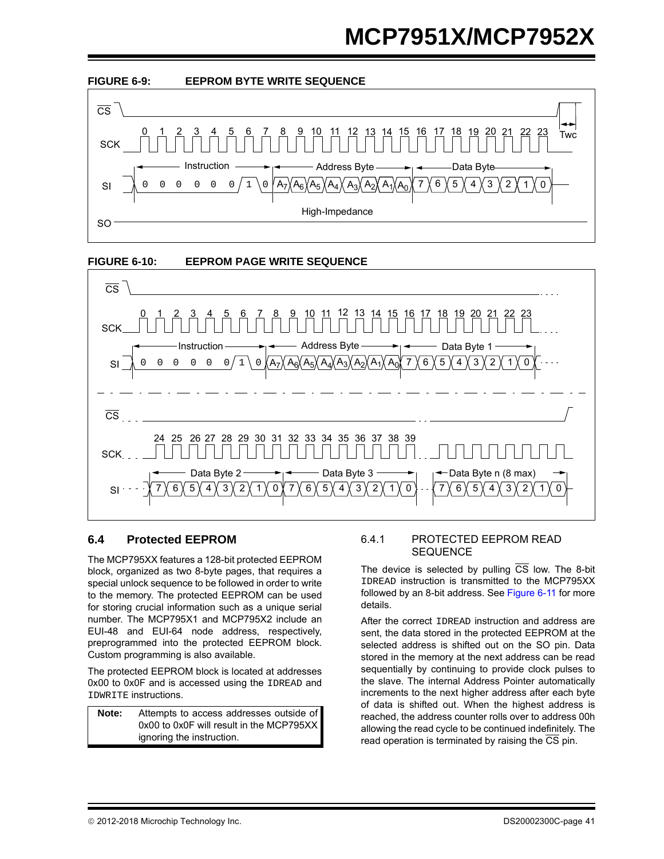<span id="page-40-0"></span>

<span id="page-40-1"></span>

#### **6.4 Protected EEPROM**

The MCP795XX features a 128-bit protected EEPROM block, organized as two 8-byte pages, that requires a special unlock sequence to be followed in order to write to the memory. The protected EEPROM can be used for storing crucial information such as a unique serial number. The MCP795X1 and MCP795X2 include an EUI-48 and EUI-64 node address, respectively, preprogrammed into the protected EEPROM block. Custom programming is also available.

The protected EEPROM block is located at addresses 0x00 to 0x0F and is accessed using the IDREAD and IDWRITE instructions.

**Note:** Attempts to access addresses outside of 0x00 to 0x0F will result in the MCP795XX ignoring the instruction.

#### 6.4.1 PROTECTED EEPROM READ **SEQUENCE**

The device is selected by pulling  $\overline{CS}$  low. The 8-bit IDREAD instruction is transmitted to the MCP795XX followed by an 8-bit address. See [Figure 6-11](#page-42-0) for more details.

After the correct IDREAD instruction and address are sent, the data stored in the protected EEPROM at the selected address is shifted out on the SO pin. Data stored in the memory at the next address can be read sequentially by continuing to provide clock pulses to the slave. The internal Address Pointer automatically increments to the next higher address after each byte of data is shifted out. When the highest address is reached, the address counter rolls over to address 00h allowing the read cycle to be continued indefinitely. The read operation is terminated by raising the  $\overline{\text{CS}}$  pin.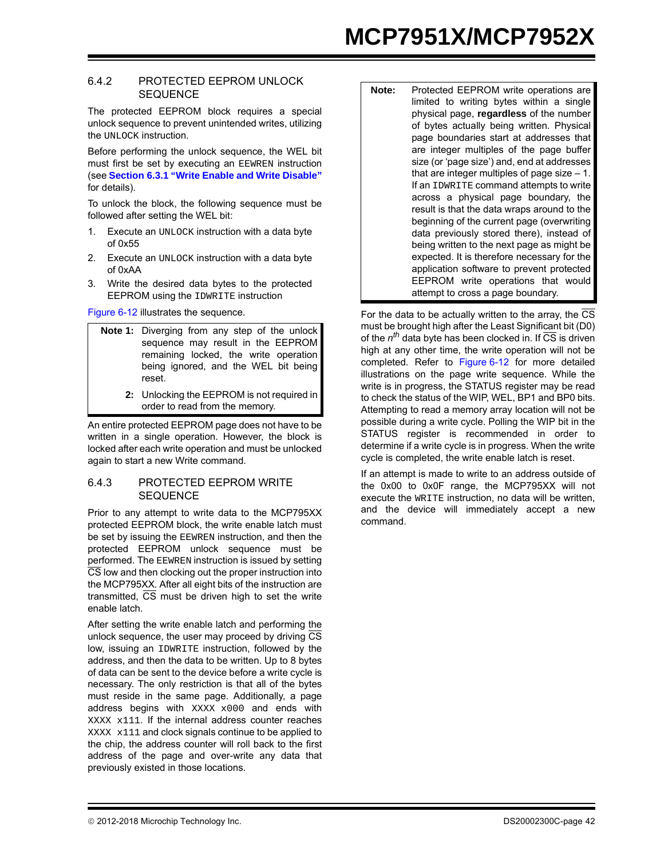# **MCP7951X/MCP7952X**

#### 6.4.2 PROTECTED EEPROM UNLOCK **SEQUENCE**

The protected EEPROM block requires a special unlock sequence to prevent unintended writes, utilizing the UNLOCK instruction.

Before performing the unlock sequence, the WEL bit must first be set by executing an EEWREN instruction (see **[Section 6.3.1 "Write Enable and Write Disable"](#page-38-0)** for details).

To unlock the block, the following sequence must be followed after setting the WEL bit:

- 1. Execute an UNLOCK instruction with a data byte of 0x55
- 2. Execute an UNLOCK instruction with a data byte of 0xAA
- 3. Write the desired data bytes to the protected EEPROM using the IDWRITE instruction

[Figure 6-12](#page-42-1) illustrates the sequence.

- **Note 1:** Diverging from any step of the unlock sequence may result in the EEPROM remaining locked, the write operation being ignored, and the WEL bit being reset.
	- **2:** Unlocking the EEPROM is not required in order to read from the memory.

An entire protected EEPROM page does not have to be written in a single operation. However, the block is locked after each write operation and must be unlocked again to start a new Write command.

#### 6.4.3 PROTECTED EEPROM WRITE **SEQUENCE**

Prior to any attempt to write data to the MCP795XX protected EEPROM block, the write enable latch must be set by issuing the EEWREN instruction, and then the protected EEPROM unlock sequence must be performed. The EEWREN instruction is issued by setting CS low and then clocking out the proper instruction into the MCP795XX. After all eight bits of the instruction are transmitted,  $\overline{CS}$  must be driven high to set the write enable latch.

After setting the write enable latch and performing the unlock sequence, the user may proceed by driving CS low, issuing an IDWRITE instruction, followed by the address, and then the data to be written. Up to 8 bytes of data can be sent to the device before a write cycle is necessary. The only restriction is that all of the bytes must reside in the same page. Additionally, a page address begins with XXXX x000 and ends with XXXX x111. If the internal address counter reaches XXXX x111 and clock signals continue to be applied to the chip, the address counter will roll back to the first address of the page and over-write any data that previously existed in those locations.

| Note: | Protected EEPROM write operations are          |
|-------|------------------------------------------------|
|       | limited to writing bytes within a single       |
|       | physical page, regardless of the number        |
|       | of bytes actually being written. Physical      |
|       | page boundaries start at addresses that        |
|       | are integer multiples of the page buffer       |
|       | size (or 'page size') and, end at addresses    |
|       | that are integer multiples of page size $-1$ . |
|       | If an IDWRITE command attempts to write        |
|       | across a physical page boundary, the           |
|       | result is that the data wraps around to the    |
|       | beginning of the current page (overwriting     |
|       | data previously stored there), instead of      |
|       | being written to the next page as might be     |
|       | expected. It is therefore necessary for the    |
|       | application software to prevent protected      |
|       | EEPROM write operations that would             |
|       | attempt to cross a page boundary.              |

For the data to be actually written to the array, the CS must be brought high after the Least Significant bit (D0) of the *nth* data byte has been clocked in. If CS is driven high at any other time, the write operation will not be completed. Refer to [Figure 6-12](#page-42-1) for more detailed illustrations on the page write sequence. While the write is in progress, the STATUS register may be read to check the status of the WIP, WEL, BP1 and BP0 bits. Attempting to read a memory array location will not be possible during a write cycle. Polling the WIP bit in the STATUS register is recommended in order to determine if a write cycle is in progress. When the write cycle is completed, the write enable latch is reset.

If an attempt is made to write to an address outside of the 0x00 to 0x0F range, the MCP795XX will not execute the WRITE instruction, no data will be written, and the device will immediately accept a new command.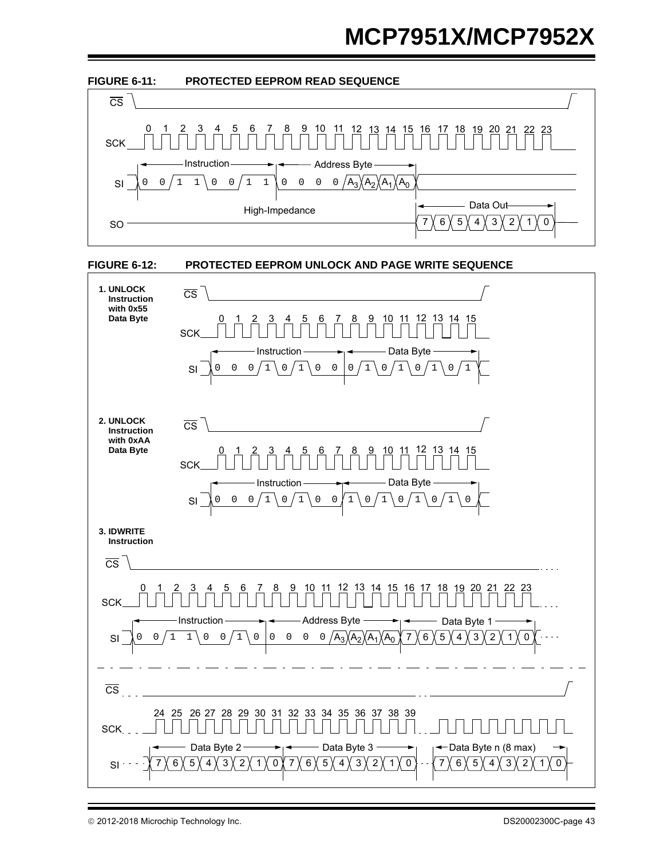<span id="page-42-0"></span>

<span id="page-42-1"></span>

2012-2018 Microchip Technology Inc. DS20002300C-page 43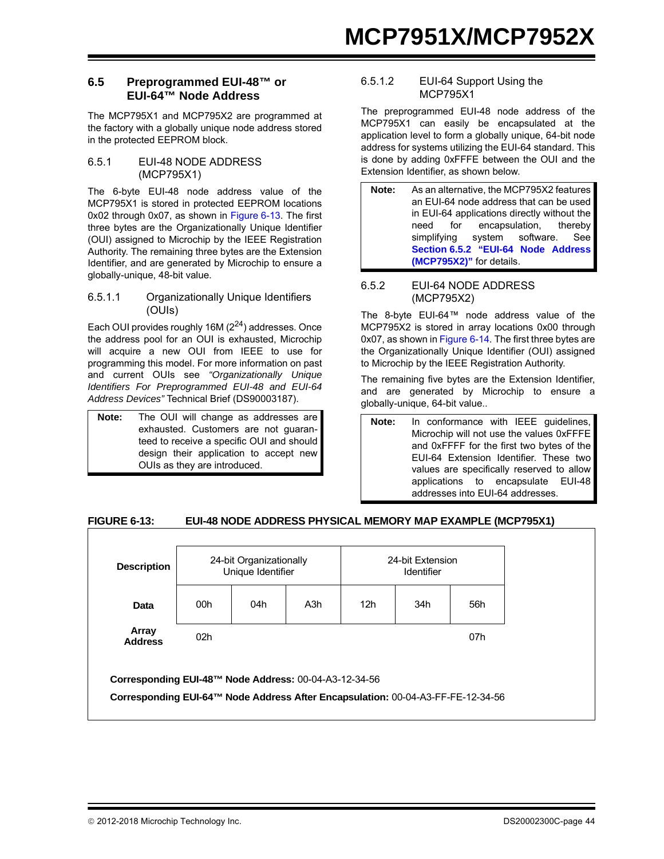#### **6.5 Preprogrammed EUI-48™ or EUI-64™ Node Address**

The MCP795X1 and MCP795X2 are programmed at the factory with a globally unique node address stored in the protected EEPROM block.

#### 6.5.1 EUI-48 NODE ADDRESS (MCP795X1)

The 6-byte EUI-48 node address value of the MCP795X1 is stored in protected EEPROM locations 0x02 through 0x07, as shown in [Figure 6-13.](#page-43-0) The first three bytes are the Organizationally Unique Identifier (OUI) assigned to Microchip by the IEEE Registration Authority. The remaining three bytes are the Extension Identifier, and are generated by Microchip to ensure a globally-unique, 48-bit value.

#### 6.5.1.1 Organizationally Unique Identifiers (OUIs)

Each OUI provides roughly 16M  $(2^{24})$  addresses. Once the address pool for an OUI is exhausted, Microchip will acquire a new OUI from IEEE to use for programming this model. For more information on past and current OUIs see *"Organizationally Unique Identifiers For Preprogrammed EUI-48 and EUI-64 Address Devices"* Technical Brief (DS90003187).

**Note:** The OUI will change as addresses are exhausted. Customers are not guaranteed to receive a specific OUI and should design their application to accept new OUIs as they are introduced.

#### 6.5.1.2 EUI-64 Support Using the MCP795X1

The preprogrammed EUI-48 node address of the MCP795X1 can easily be encapsulated at the application level to form a globally unique, 64-bit node address for systems utilizing the EUI-64 standard. This is done by adding 0xFFFE between the OUI and the Extension Identifier, as shown below.

| Note: | As an alternative, the MCP795X2 features    |  |  |  |  |  |  |
|-------|---------------------------------------------|--|--|--|--|--|--|
|       | an EUI-64 node address that can be used     |  |  |  |  |  |  |
|       | in EUI-64 applications directly without the |  |  |  |  |  |  |
|       | need for encapsulation, thereby             |  |  |  |  |  |  |
|       | simplifying system software. See            |  |  |  |  |  |  |
|       | Section 6.5.2 "EUI-64 Node Address          |  |  |  |  |  |  |
|       | (MCP795X2)" for details.                    |  |  |  |  |  |  |

#### <span id="page-43-1"></span>6.5.2 EUI-64 NODE ADDRESS (MCP795X2)

The 8-byte EUI-64™ node address value of the MCP795X2 is stored in array locations 0x00 through 0x07, as shown in [Figure 6-14](#page-44-0). The first three bytes are the Organizationally Unique Identifier (OUI) assigned to Microchip by the IEEE Registration Authority.

The remaining five bytes are the Extension Identifier, and are generated by Microchip to ensure a globally-unique, 64-bit value..

**Note:** In conformance with IEEE guidelines, Microchip will not use the values 0xFFFE and 0xFFFF for the first two bytes of the EUI-64 Extension Identifier. These two values are specifically reserved to allow applications to encapsulate EUI-48 addresses into EUI-64 addresses.

## <span id="page-43-0"></span>**FIGURE 6-13: EUI-48 NODE ADDRESS PHYSICAL MEMORY MAP EXAMPLE (MCP795X1)**

|                                                       | 24-bit Organizationally<br>Unique Identifier |     |                  | 24-bit Extension<br>Identifier |     |     |
|-------------------------------------------------------|----------------------------------------------|-----|------------------|--------------------------------|-----|-----|
| Data                                                  | 00h                                          | 04h | A <sub>3</sub> h | 12 <sub>h</sub>                | 34h | 56h |
| Array<br><b>Address</b>                               | 02 <sub>h</sub>                              |     |                  |                                |     | 07h |
| Corresponding EUI-48™ Node Address: 00-04-A3-12-34-56 |                                              |     |                  |                                |     |     |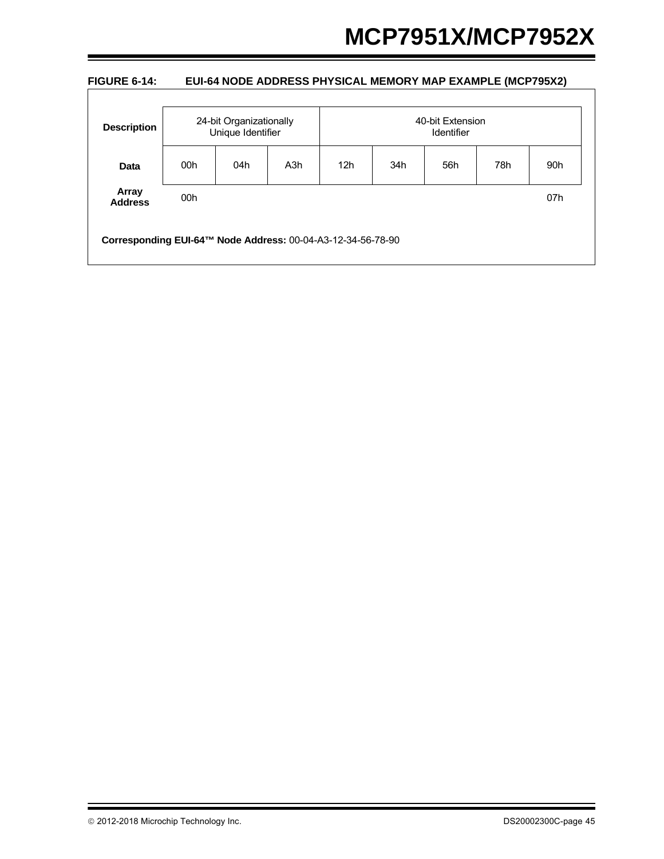#### <span id="page-44-0"></span>**FIGURE 6-14: EUI-64 NODE ADDRESS PHYSICAL MEMORY MAP EXAMPLE (MCP795X2)**

| 24-bit Organizationally<br>Unique Identifier |     |     | 40-bit Extension<br><b>Identifier</b> |     |     |     |     |
|----------------------------------------------|-----|-----|---------------------------------------|-----|-----|-----|-----|
| 00h                                          | 04h | A3h | 12 <sub>h</sub>                       | 34h | 56h | 78h | 90h |
| 00h                                          |     |     |                                       |     |     |     | 07h |
|                                              |     |     |                                       |     |     |     |     |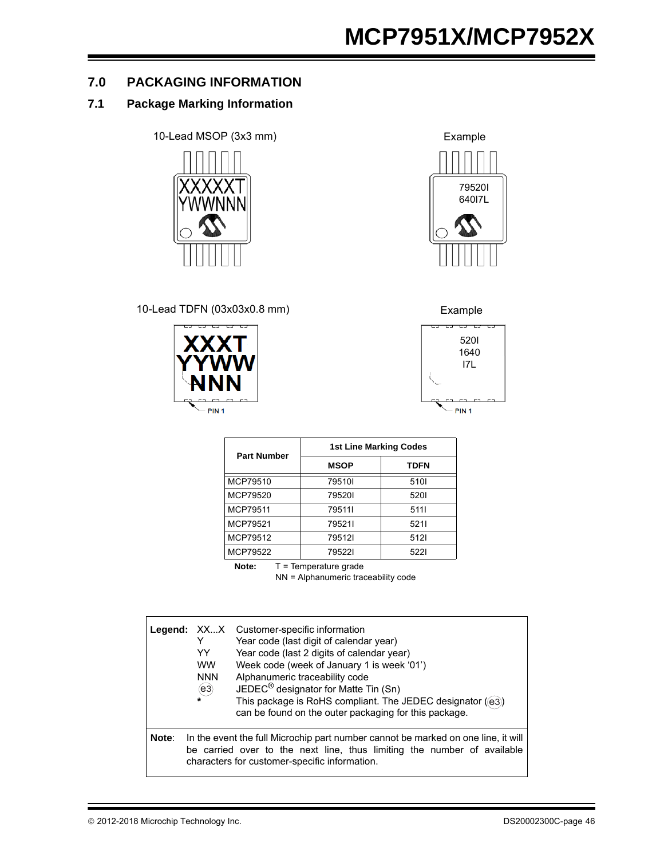### **7.0 PACKAGING INFORMATION**

#### **7.1 Package Marking Information**

10-Lead MSOP (3x3 mm) Example



10-Lead TDFN (03x03x0.8 mm) Example







| <b>Part Number</b> | <b>1st Line Marking Codes</b> |             |  |  |  |
|--------------------|-------------------------------|-------------|--|--|--|
|                    | <b>MSOP</b>                   | <b>TDFN</b> |  |  |  |
| MCP79510           | 795101                        | 5101        |  |  |  |
| MCP79520           | 795201                        | 5201        |  |  |  |
| MCP79511           | 795111                        | 5111        |  |  |  |
| MCP79521           | 795211                        | 5211        |  |  |  |
| MCP79512           | 795121                        | 5121        |  |  |  |
| MCP79522           | 795221                        | 5221        |  |  |  |

**Note:** T = Temperature grade

NN = Alphanumeric traceability code

|       | YY<br><b>WW</b><br><b>NNN</b><br>(e3) | <b>Legend:</b> XXX Customer-specific information<br>Year code (last digit of calendar year)<br>Year code (last 2 digits of calendar year)<br>Week code (week of January 1 is week '01')<br>Alphanumeric traceability code<br>JEDEC <sup>®</sup> designator for Matte Tin (Sn)<br>This package is RoHS compliant. The JEDEC designator ((e3))<br>can be found on the outer packaging for this package. |
|-------|---------------------------------------|-------------------------------------------------------------------------------------------------------------------------------------------------------------------------------------------------------------------------------------------------------------------------------------------------------------------------------------------------------------------------------------------------------|
| Note: |                                       | In the event the full Microchip part number cannot be marked on one line, it will<br>be carried over to the next line, thus limiting the number of available<br>characters for customer-specific information.                                                                                                                                                                                         |

© 2012-2018 Microchip Technology Inc. COMEXANDED STATES AND DESIGN DESIGNATION DESIGNATION DESIGNATION OF A SA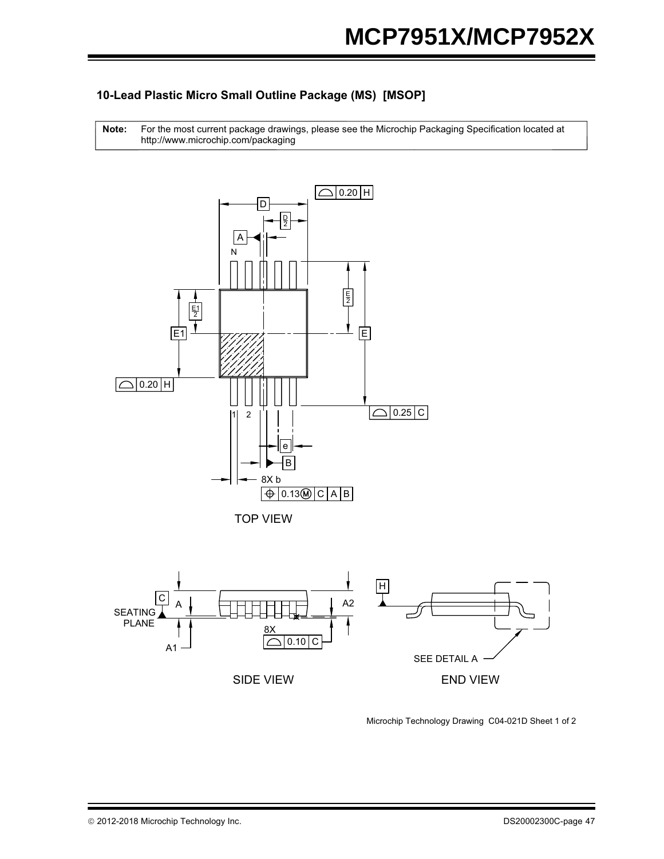### **10-Lead Plastic Micro Small Outline Package (MS) [MSOP]**

http://www.microchip.com/packaging **Note:** For the most current package drawings, please see the Microchip Packaging Specification located at



TOP VIEW



Microchip Technology Drawing C04-021D Sheet 1 of 2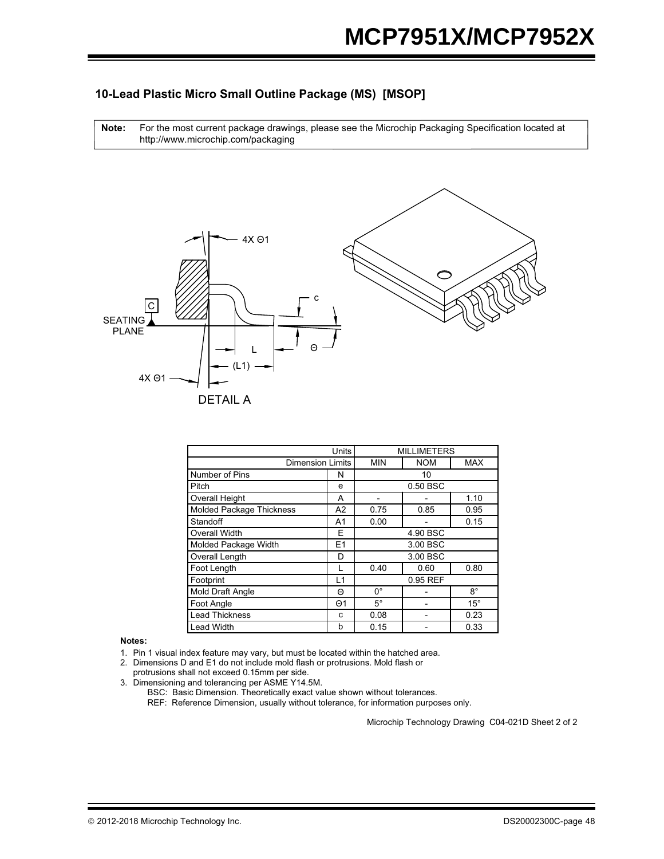#### **10-Lead Plastic Micro Small Outline Package (MS) [MSOP]**

For the most current package drawings, please see the Microchip Packaging Specification located at http://www.microchip.com/packaging **Note:**



|                                 | Units          |             |            |              |  |  |
|---------------------------------|----------------|-------------|------------|--------------|--|--|
| <b>Dimension Limits</b>         |                | <b>MIN</b>  | <b>NOM</b> | <b>MAX</b>   |  |  |
| Number of Pins                  | N              |             | 10         |              |  |  |
| Pitch                           | e              |             | 0.50 BSC   |              |  |  |
| <b>Overall Height</b>           | A              |             |            | 1.10         |  |  |
| <b>Molded Package Thickness</b> | A2             | 0.75        | 0.85       | 0.95         |  |  |
| Standoff                        | A <sub>1</sub> | 0.00        |            | 0.15         |  |  |
| <b>Overall Width</b>            | Е              |             | 4.90 BSC   |              |  |  |
| Molded Package Width            | E1             |             | 3.00 BSC   |              |  |  |
| Overall Length                  | D              | 3.00 BSC    |            |              |  |  |
| Foot Length                     |                | 0.40        | 0.60       | 0.80         |  |  |
| Footprint                       | L1             |             | 0.95 REF   |              |  |  |
| Mold Draft Angle                | Θ              | $0^{\circ}$ |            | $8^\circ$    |  |  |
| Foot Angle                      | $\Theta$ 1     | $5^{\circ}$ |            | $15^{\circ}$ |  |  |
| <b>Lead Thickness</b>           | C              | 0.08        |            | 0.23         |  |  |
| <b>Lead Width</b>               | b              | 0.15        |            | 0.33         |  |  |

**Notes:**

1. Pin 1 visual index feature may vary, but must be located within the hatched area.

2. Dimensions D and E1 do not include mold flash or protrusions. Mold flash or protrusions shall not exceed 0.15mm per side.

3. Dimensioning and tolerancing per ASME Y14.5M.

BSC: Basic Dimension. Theoretically exact value shown without tolerances.

REF: Reference Dimension, usually without tolerance, for information purposes only.

Microchip Technology Drawing C04-021D Sheet 2 of 2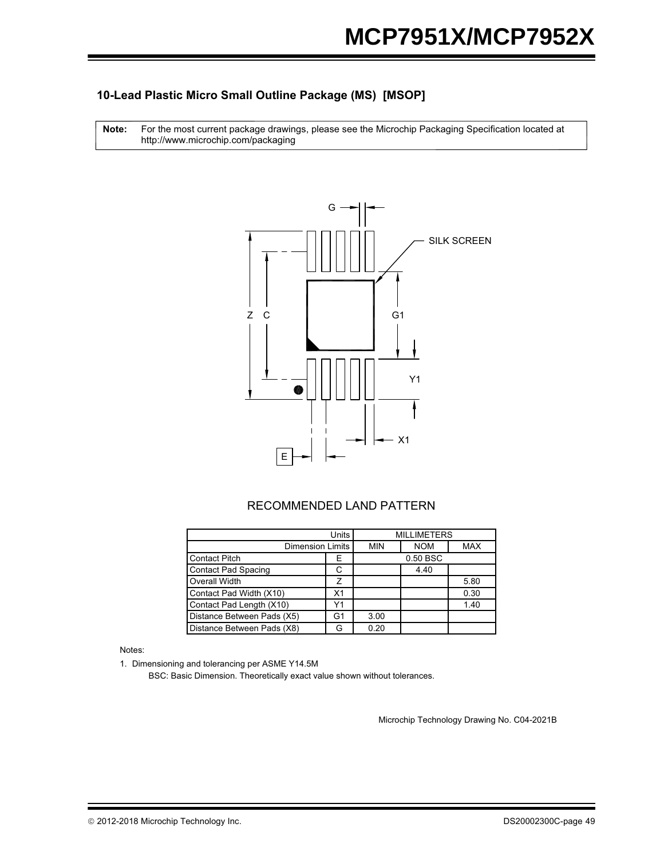#### **10-Lead Plastic Micro Small Outline Package (MS) [MSOP]**

For the most current package drawings, please see the Microchip Packaging Specification located at http://www.microchip.com/packaging **Note:**



#### RECOMMENDED LAND PATTERN

|                            | <b>MILLIMETERS</b> |            |            |      |
|----------------------------|--------------------|------------|------------|------|
| <b>Dimension Limits</b>    | <b>MIN</b>         | <b>NOM</b> | <b>MAX</b> |      |
| <b>Contact Pitch</b>       | Е                  |            | 0.50 BSC   |      |
| <b>Contact Pad Spacing</b> |                    |            | 4.40       |      |
| Overall Width              |                    |            |            | 5.80 |
| Contact Pad Width (X10)    | X <sub>1</sub>     |            |            | 0.30 |
| Contact Pad Length (X10)   | Y1                 |            |            | 1.40 |
| Distance Between Pads (X5) | G1                 | 3.00       |            |      |
| Distance Between Pads (X8) |                    | 0.20       |            |      |

#### Notes:

1. Dimensioning and tolerancing per ASME Y14.5M

BSC: Basic Dimension. Theoretically exact value shown without tolerances.

Microchip Technology Drawing No. C04-2021B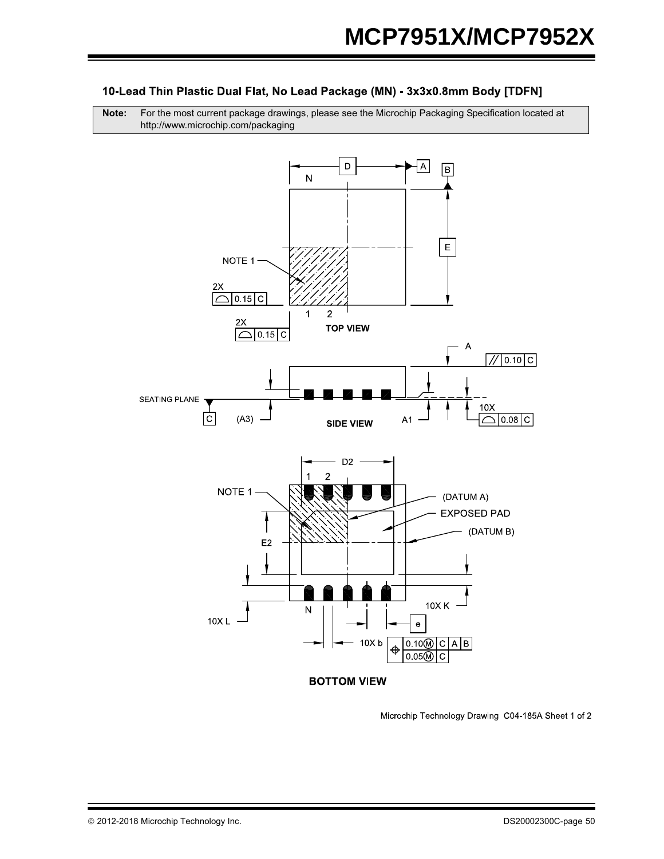#### 10-Lead Thin Plastic Dual Flat, No Lead Package (MN) - 3x3x0.8mm Body [TDFN]

**Note:** For the most current package drawings, please see the Microchip Packaging Specification located at http://www.microchip.com/packaging



Microchip Technology Drawing C04-185A Sheet 1 of 2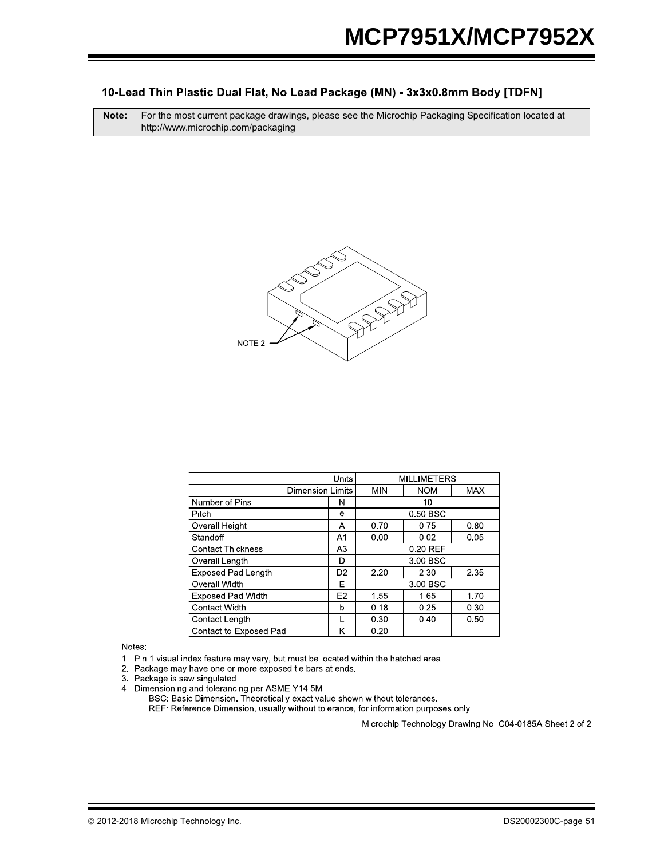#### 10-Lead Thin Plastic Dual Flat, No Lead Package (MN) - 3x3x0.8mm Body [TDFN]

**Note:** For the most current package drawings, please see the Microchip Packaging Specification located at http://www.microchip.com/packaging



|                           | <b>MILLIMETERS</b> |            |            |            |  |
|---------------------------|--------------------|------------|------------|------------|--|
| <b>Dimension Limits</b>   |                    | <b>MIN</b> | <b>NOM</b> | <b>MAX</b> |  |
| Number of Pins            | 10<br>N            |            |            |            |  |
| Pitch                     | е                  | 0.50 BSC   |            |            |  |
| <b>Overall Height</b>     | А                  | 0.70       | 0.75       | 0.80       |  |
| Standoff                  | A <sub>1</sub>     | 0.00       | 0.05       |            |  |
| <b>Contact Thickness</b>  | A <sub>3</sub>     | 0.20 REF   |            |            |  |
| Overall Length            | D                  | 3.00 BSC   |            |            |  |
| <b>Exposed Pad Length</b> | D <sub>2</sub>     | 2.20       | 2.30       |            |  |
| Overall Width             | E                  | 3.00 BSC   |            |            |  |
| <b>Exposed Pad Width</b>  | E <sub>2</sub>     | 1.55       | 1.65       | 1.70       |  |
| Contact Width             | b                  | 0.18       | 0.25       | 0.30       |  |
| Contact Length            |                    | 0.30       | 0.40       | 0.50       |  |
| Contact-to-Exposed Pad    | κ                  | 0.20       |            |            |  |

Notes:

1. Pin 1 visual index feature may vary, but must be located within the hatched area.

2. Package may have one or more exposed tie bars at ends.

3 Package is saw singulated

4. Dimensioning and tolerancing per ASME Y14.5M<br>BSC: Basic Dimension. Theoretically exact value shown without tolerances. REF: Reference Dimension, usually without tolerance, for information purposes only.

Microchip Technology Drawing No. C04-0185A Sheet 2 of 2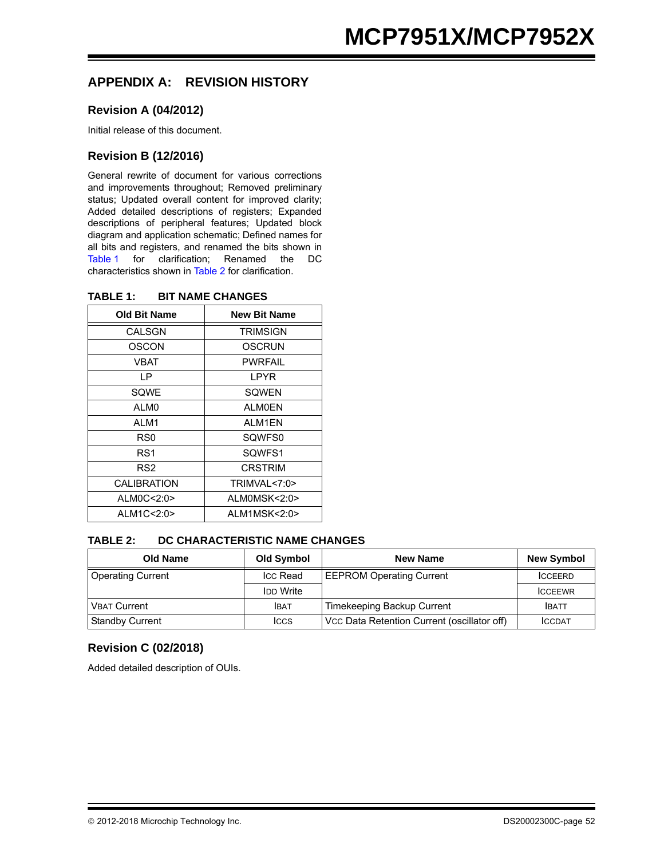### **APPENDIX A: REVISION HISTORY**

#### **Revision A (04/2012)**

Initial release of this document.

#### **Revision B (12/2016)**

General rewrite of document for various corrections and improvements throughout; Removed preliminary status; Updated overall content for improved clarity; Added detailed descriptions of registers; Expanded descriptions of peripheral features; Updated block diagram and application schematic; Defined names for all bits and registers, and renamed the bits shown in [Table 1](#page-51-0) for clarification; Renamed the DC characteristics shown in [Table 2](#page-51-1) for clarification.

| <b>Old Bit Name</b> | <b>New Bit Name</b> |
|---------------------|---------------------|
| CALSGN              | <b>TRIMSIGN</b>     |
| OSCON               | OSCRUN              |
| VBAT                | PWRFAIL             |
| ΙP                  | LPYR                |
| SOWE                | SOWEN               |
| AI MO               | AI MOFN             |
| AI M1               | AI M1FN             |
| RS0                 | SQWFS0              |
| RS1                 | SOWFS1              |
| RS <sub>2</sub>     | <b>CRSTRIM</b>      |
| <b>CALIBRATION</b>  | TRIMVAL<7:0>        |
| ALM0C<2:0>          | ALMOMSK<2:0>        |
| ALM1C<2:0>          | ALM1MSK<2:0>        |

#### <span id="page-51-0"></span>**TABLE 1: BIT NAME CHANGES**

#### <span id="page-51-1"></span>**TABLE 2: DC CHARACTERISTIC NAME CHANGES**

| <b>Old Name</b>          | Old Symbol       | <b>New Name</b>                             | <b>New Symbol</b> |
|--------------------------|------------------|---------------------------------------------|-------------------|
| <b>Operating Current</b> | <b>Icc Read</b>  | <b>EEPROM Operating Current</b>             | <b>ICCEERD</b>    |
|                          | <b>IDD Write</b> |                                             | <b>ICCEEWR</b>    |
| <b>VBAT Current</b>      | <b>IBAT</b>      | Timekeeping Backup Current                  | <b>IBATT</b>      |
| <b>Standby Current</b>   | <b>ICCS</b>      | Vcc Data Retention Current (oscillator off) | <b>ICCDAT</b>     |

#### **Revision C (02/2018)**

Added detailed description of OUIs.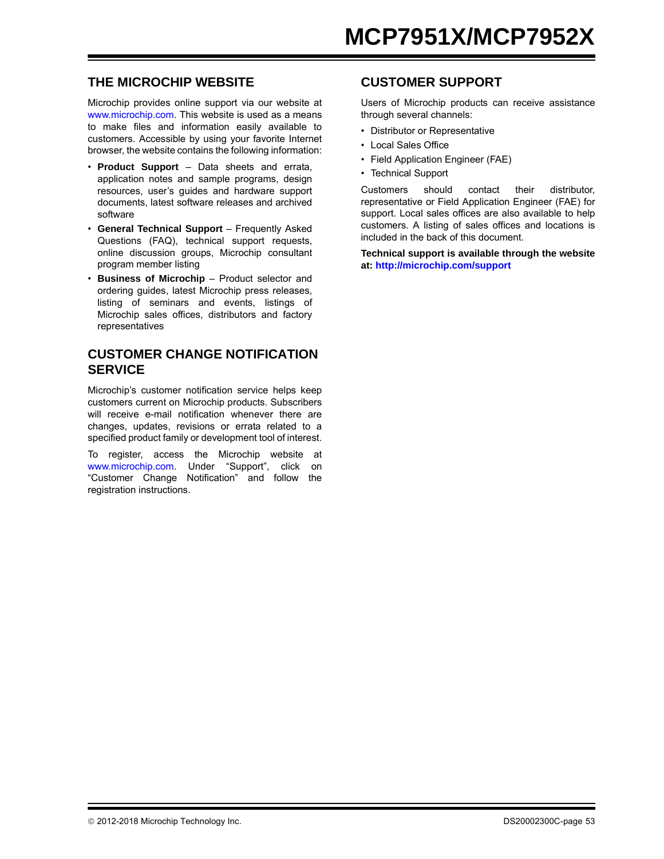### **THE MICROCHIP WEBSITE**

[Microchip provides online support via our website at](http://www.microchip.com) www.microchip.com. This website is used as a means to make files and information easily available to customers. Accessible by using your favorite Internet browser, the website contains the following information:

- **Product Support** Data sheets and errata, application notes and sample programs, design resources, user's guides and hardware support documents, latest software releases and archived software
- **General Technical Support** Frequently Asked Questions (FAQ), technical support requests, online discussion groups, Microchip consultant program member listing
- **Business of Microchip** Product selector and ordering guides, latest Microchip press releases, listing of seminars and events, listings of Microchip sales offices, distributors and factory representatives

### **CUSTOMER CHANGE NOTIFICATION SERVICE**

Microchip's customer notification service helps keep customers current on Microchip products. Subscribers will receive e-mail notification whenever there are changes, updates, revisions or errata related to a specified product family or development tool of interest.

To register[, access the Microchip website at](http://www.microchip.com) www.microchip.com. Under "Support", click on "Customer Change Notification" and follow the registration instructions.

### **CUSTOMER SUPPORT**

Users of Microchip products can receive assistance through several channels:

- Distributor or Representative
- Local Sales Office
- Field Application Engineer (FAE)
- Technical Support

Customers should contact their distributor, representative or Field Application Engineer (FAE) for support. Local sales offices are also available to help customers. A listing of sales offices and locations is included in the back of this document.

**Technical support is [available through the website](http://www.microchip.com) [at:](http://www.microchip.com) http://microchip.com/support**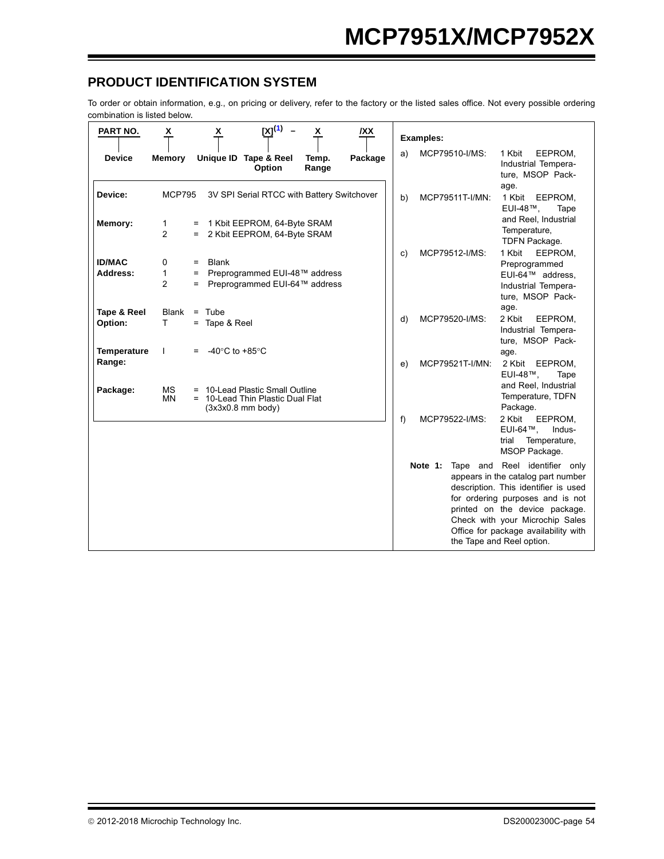### **PRODUCT IDENTIFICATION SYSTEM**

To order or obtain information, e.g., on pricing or delivery, refer to the factory or the listed sales office. Not every possible ordering combination is listed below.

<span id="page-53-0"></span>

| PART NO.                                     | X                        |                   | x                                                                 | $[X]^{(1)}$                                                                            | X              | <b>IXX</b> |                                                                                                                                                                                                                                                                                                      | <b>Examples:</b> |                                                                                                   |  |
|----------------------------------------------|--------------------------|-------------------|-------------------------------------------------------------------|----------------------------------------------------------------------------------------|----------------|------------|------------------------------------------------------------------------------------------------------------------------------------------------------------------------------------------------------------------------------------------------------------------------------------------------------|------------------|---------------------------------------------------------------------------------------------------|--|
| <b>Device</b>                                | <b>Memory</b>            |                   |                                                                   | Unique ID Tape & Reel<br>Option                                                        | Temp.<br>Range | Package    | a)                                                                                                                                                                                                                                                                                                   | MCP79510-I/MS:   | 1 Kbit<br>EEPROM,<br>Industrial Tempera-<br>ture, MSOP Pack-<br>age.                              |  |
| Device:                                      | <b>MCP795</b>            |                   |                                                                   | 3V SPI Serial RTCC with Battery Switchover                                             |                |            | b)                                                                                                                                                                                                                                                                                                   | MCP79511T-I/MN:  | 1 Kbit EEPROM,<br>EUI-48™.<br>Tape                                                                |  |
| Memory:                                      | 1<br>$\overline{2}$      | $=$               |                                                                   | 1 Kbit EEPROM, 64-Byte SRAM<br>2 Kbit EEPROM, 64-Byte SRAM                             |                |            |                                                                                                                                                                                                                                                                                                      |                  | and Reel, Industrial<br>Temperature,<br>TDFN Package.                                             |  |
| <b>ID/MAC</b><br>Address:                    | 0<br>1<br>$\overline{2}$ | $=$<br>$=$<br>$=$ | <b>Blank</b>                                                      | Preprogrammed EUI-48™ address<br>Preprogrammed EUI-64™ address                         |                |            | C)                                                                                                                                                                                                                                                                                                   | MCP79512-I/MS:   | 1 Kbit<br>EEPROM,<br>Preprogrammed<br>EUI-64™ address.<br>Industrial Tempera-<br>ture, MSOP Pack- |  |
| Tape & Reel<br>Option:<br><b>Temperature</b> | <b>Blank</b><br>T.<br>L  | $=$               | $=$ Tube<br>$=$ Tape & Reel<br>-40 $\degree$ C to +85 $\degree$ C |                                                                                        |                |            | d)                                                                                                                                                                                                                                                                                                   | MCP79520-I/MS:   | age.<br>2 Kbit<br>EEPROM,<br>Industrial Tempera-<br>ture, MSOP Pack-<br>age.                      |  |
| Range:<br>Package:                           | <b>MS</b><br><b>MN</b>   |                   |                                                                   | 10-Lead Plastic Small Outline<br>10-Lead Thin Plastic Dual Flat<br>$(3x3x0.8$ mm body) |                |            | e)                                                                                                                                                                                                                                                                                                   | MCP79521T-I/MN:  | 2 Kbit EEPROM,<br>EUI-48™.<br>Tape<br>and Reel, Industrial<br>Temperature, TDFN<br>Package.       |  |
|                                              |                          |                   |                                                                   |                                                                                        |                |            | f                                                                                                                                                                                                                                                                                                    | MCP79522-I/MS:   | 2 Kbit<br>EEPROM,<br>EUI-64™,<br>Indus-<br>trial<br>Temperature,<br>MSOP Package.                 |  |
|                                              |                          |                   |                                                                   |                                                                                        |                |            | Tape and Reel identifier only<br>Note 1:<br>appears in the catalog part number<br>description. This identifier is used<br>for ordering purposes and is not<br>printed on the device package.<br>Check with your Microchip Sales<br>Office for package availability with<br>the Tape and Reel option. |                  |                                                                                                   |  |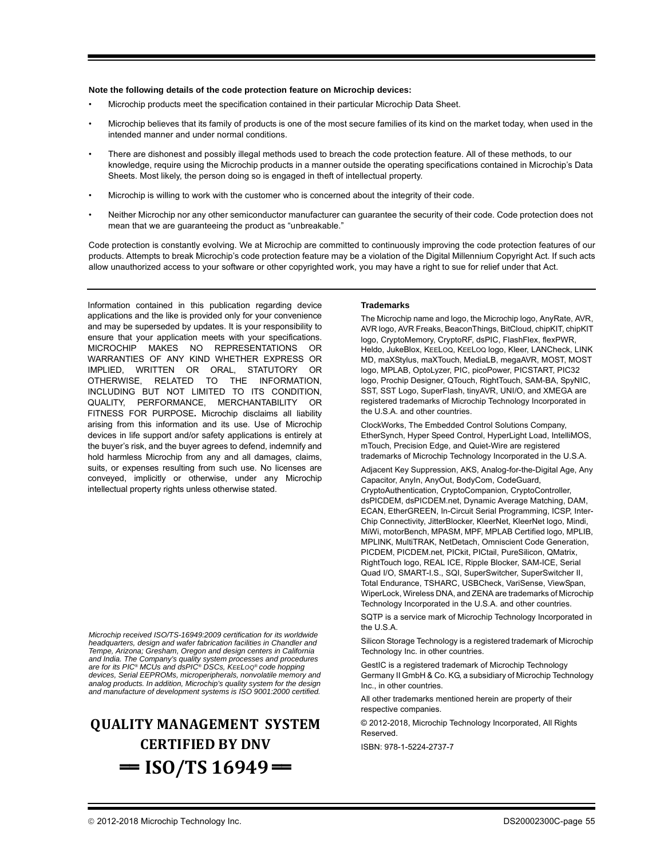#### **Note the following details of the code protection feature on Microchip devices:**

- Microchip products meet the specification contained in their particular Microchip Data Sheet.
- Microchip believes that its family of products is one of the most secure families of its kind on the market today, when used in the intended manner and under normal conditions.
- There are dishonest and possibly illegal methods used to breach the code protection feature. All of these methods, to our knowledge, require using the Microchip products in a manner outside the operating specifications contained in Microchip's Data Sheets. Most likely, the person doing so is engaged in theft of intellectual property.
- Microchip is willing to work with the customer who is concerned about the integrity of their code.
- Neither Microchip nor any other semiconductor manufacturer can guarantee the security of their code. Code protection does not mean that we are guaranteeing the product as "unbreakable."

Code protection is constantly evolving. We at Microchip are committed to continuously improving the code protection features of our products. Attempts to break Microchip's code protection feature may be a violation of the Digital Millennium Copyright Act. If such acts allow unauthorized access to your software or other copyrighted work, you may have a right to sue for relief under that Act.

Information contained in this publication regarding device applications and the like is provided only for your convenience and may be superseded by updates. It is your responsibility to ensure that your application meets with your specifications. MICROCHIP MAKES NO REPRESENTATIONS OR WARRANTIES OF ANY KIND WHETHER EXPRESS OR IMPLIED, WRITTEN OR ORAL, STATUTORY OR OTHERWISE, RELATED TO THE INFORMATION, INCLUDING BUT NOT LIMITED TO ITS CONDITION, QUALITY, PERFORMANCE, MERCHANTABILITY OR FITNESS FOR PURPOSE**.** Microchip disclaims all liability arising from this information and its use. Use of Microchip devices in life support and/or safety applications is entirely at the buyer's risk, and the buyer agrees to defend, indemnify and hold harmless Microchip from any and all damages, claims, suits, or expenses resulting from such use. No licenses are conveyed, implicitly or otherwise, under any Microchip intellectual property rights unless otherwise stated.

*Microchip received ISO/TS-16949:2009 certification for its worldwide headquarters, design and wafer fabrication facilities in Chandler and Tempe, Arizona; Gresham, Oregon and design centers in California and India. The Company's quality system processes and procedures are for its PIC® MCUs and dsPIC® DSCs, KEELOQ® code hopping devices, Serial EEPROMs, microperipherals, nonvolatile memory and analog products. In addition, Microchip's quality system for the design and manufacture of development systems is ISO 9001:2000 certified.*

## **QUALITY MANAGEMENT SYSTEM CERTIFIED BY DNV**   $=$  **ISO/TS 16949**  $=$

#### **Trademarks**

The Microchip name and logo, the Microchip logo, AnyRate, AVR, AVR logo, AVR Freaks, BeaconThings, BitCloud, chipKIT, chipKIT logo, CryptoMemory, CryptoRF, dsPIC, FlashFlex, flexPWR, Heldo, JukeBlox, KEELOQ, KEELOQ logo, Kleer, LANCheck, LINK MD, maXStylus, maXTouch, MediaLB, megaAVR, MOST, MOST logo, MPLAB, OptoLyzer, PIC, picoPower, PICSTART, PIC32 logo, Prochip Designer, QTouch, RightTouch, SAM-BA, SpyNIC, SST, SST Logo, SuperFlash, tinyAVR, UNI/O, and XMEGA are registered trademarks of Microchip Technology Incorporated in the U.S.A. and other countries.

ClockWorks, The Embedded Control Solutions Company, EtherSynch, Hyper Speed Control, HyperLight Load, IntelliMOS, mTouch, Precision Edge, and Quiet-Wire are registered trademarks of Microchip Technology Incorporated in the U.S.A.

Adjacent Key Suppression, AKS, Analog-for-the-Digital Age, Any Capacitor, AnyIn, AnyOut, BodyCom, CodeGuard, CryptoAuthentication, CryptoCompanion, CryptoController, dsPICDEM, dsPICDEM.net, Dynamic Average Matching, DAM, ECAN, EtherGREEN, In-Circuit Serial Programming, ICSP, Inter-Chip Connectivity, JitterBlocker, KleerNet, KleerNet logo, Mindi, MiWi, motorBench, MPASM, MPF, MPLAB Certified logo, MPLIB, MPLINK, MultiTRAK, NetDetach, Omniscient Code Generation, PICDEM, PICDEM.net, PICkit, PICtail, PureSilicon, QMatrix, RightTouch logo, REAL ICE, Ripple Blocker, SAM-ICE, Serial Quad I/O, SMART-I.S., SQI, SuperSwitcher, SuperSwitcher II, Total Endurance, TSHARC, USBCheck, VariSense, ViewSpan, WiperLock, Wireless DNA, and ZENA are trademarks of Microchip Technology Incorporated in the U.S.A. and other countries.

SQTP is a service mark of Microchip Technology Incorporated in the U.S.A.

Silicon Storage Technology is a registered trademark of Microchip Technology Inc. in other countries.

GestIC is a registered trademark of Microchip Technology Germany II GmbH & Co. KG, a subsidiary of Microchip Technology Inc., in other countries.

All other trademarks mentioned herein are property of their respective companies.

© 2012-2018, Microchip Technology Incorporated, All Rights Reserved.

ISBN: 978-1-5224-2737-7